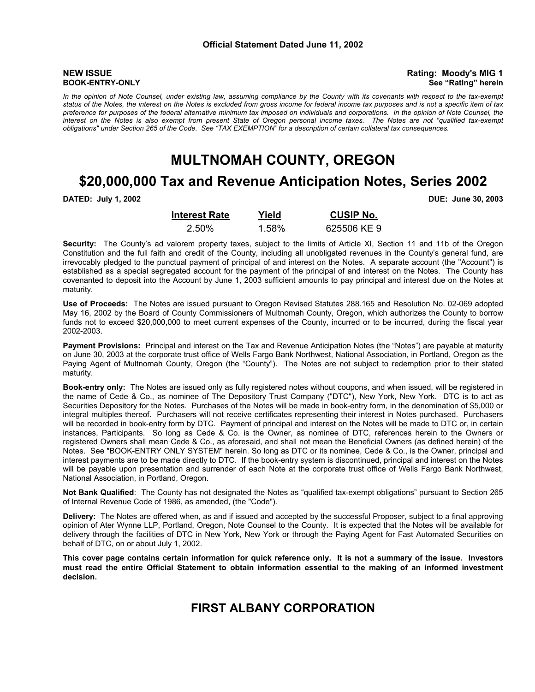**NEW ISSUE** Rating: Moody's MIG 1 **BOOK-ENTRY-ONLY** See "Rating" herein

*In the opinion of Note Counsel, under existing law, assuming compliance by the County with its covenants with respect to the tax-exempt status of the Notes, the interest on the Notes is excluded from gross income for federal income tax purposes and is not a specific item of tax preference for purposes of the federal alternative minimum tax imposed on individuals and corporations. In the opinion of Note Counsel, the interest on the Notes is also exempt from present State of Oregon personal income taxes. The Notes are not "qualified tax-exempt obligations" under Section 265 of the Code. See "TAX EXEMPTION" for a description of certain collateral tax consequences.*

## **MULTNOMAH COUNTY, OREGON**

## **\$20,000,000 Tax and Revenue Anticipation Notes, Series 2002**

**DATED: July 1, 2002 DUE: June 30, 2003**

| <b>Interest Rate</b> | Yield | <b>CUSIP No.</b> |
|----------------------|-------|------------------|
| 2.50%                | 1.58% | 625506 KE 9      |

**Security:** The County's ad valorem property taxes, subject to the limits of Article XI, Section 11 and 11b of the Oregon Constitution and the full faith and credit of the County, including all unobligated revenues in the County's general fund, are irrevocably pledged to the punctual payment of principal of and interest on the Notes. A separate account (the "Account") is established as a special segregated account for the payment of the principal of and interest on the Notes. The County has covenanted to deposit into the Account by June 1, 2003 sufficient amounts to pay principal and interest due on the Notes at maturity.

**Use of Proceeds:** The Notes are issued pursuant to Oregon Revised Statutes 288.165 and Resolution No. 02-069 adopted May 16, 2002 by the Board of County Commissioners of Multnomah County, Oregon, which authorizes the County to borrow funds not to exceed \$20,000,000 to meet current expenses of the County, incurred or to be incurred, during the fiscal year 2002-2003.

**Payment Provisions:** Principal and interest on the Tax and Revenue Anticipation Notes (the "Notes") are payable at maturity on June 30, 2003 at the corporate trust office of Wells Fargo Bank Northwest, National Association, in Portland, Oregon as the Paying Agent of Multnomah County, Oregon (the "County"). The Notes are not subject to redemption prior to their stated maturity.

**Book-entry only:** The Notes are issued only as fully registered notes without coupons, and when issued, will be registered in the name of Cede & Co., as nominee of The Depository Trust Company ("DTC"), New York, New York. DTC is to act as Securities Depository for the Notes. Purchases of the Notes will be made in book-entry form, in the denomination of \$5,000 or integral multiples thereof. Purchasers will not receive certificates representing their interest in Notes purchased. Purchasers will be recorded in book-entry form by DTC. Payment of principal and interest on the Notes will be made to DTC or, in certain instances, Participants. So long as Cede & Co. is the Owner, as nominee of DTC, references herein to the Owners or registered Owners shall mean Cede & Co., as aforesaid, and shall not mean the Beneficial Owners (as defined herein) of the Notes. See "BOOK-ENTRY ONLY SYSTEM" herein. So long as DTC or its nominee, Cede & Co., is the Owner, principal and interest payments are to be made directly to DTC. If the book-entry system is discontinued, principal and interest on the Notes will be payable upon presentation and surrender of each Note at the corporate trust office of Wells Fargo Bank Northwest, National Association, in Portland, Oregon.

**Not Bank Qualified**: The County has not designated the Notes as "qualified tax-exempt obligations" pursuant to Section 265 of Internal Revenue Code of 1986, as amended, (the "Code").

**Delivery:** The Notes are offered when, as and if issued and accepted by the successful Proposer, subject to a final approving opinion of Ater Wynne LLP, Portland, Oregon, Note Counsel to the County. It is expected that the Notes will be available for delivery through the facilities of DTC in New York, New York or through the Paying Agent for Fast Automated Securities on behalf of DTC, on or about July 1, 2002.

**This cover page contains certain information for quick reference only. It is not a summary of the issue. Investors must read the entire Official Statement to obtain information essential to the making of an informed investment decision.**

## **FIRST ALBANY CORPORATION**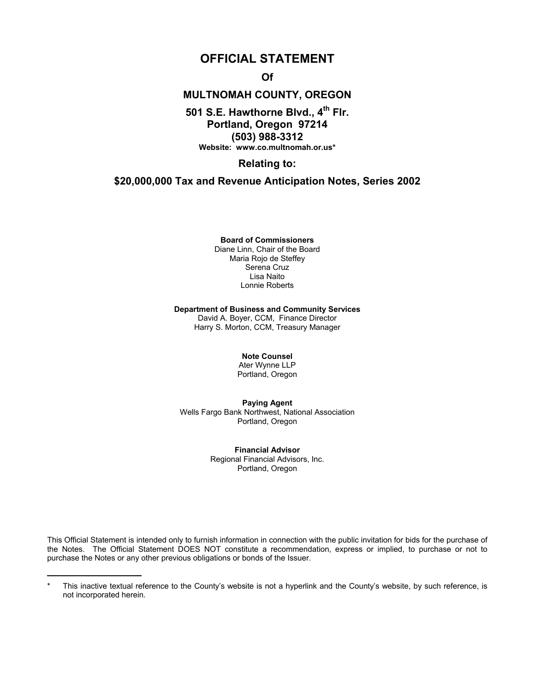## **OFFICIAL STATEMENT**

**Of** 

## **MULTNOMAH COUNTY, OREGON**

### 501 S.E. Hawthorne Blvd., 4<sup>th</sup> Flr. **Portland, Oregon 97214 (503) 988-3312 Website: www.co.multnomah.or.us\***

**Relating to:** 

### **\$20,000,000 Tax and Revenue Anticipation Notes, Series 2002**

**Board of Commissioners**

Diane Linn, Chair of the Board Maria Rojo de Steffey Serena Cruz Lisa Naito Lonnie Roberts

#### **Department of Business and Community Services**

David A. Boyer, CCM, Finance Director Harry S. Morton, CCM, Treasury Manager

### **Note Counsel**

Ater Wynne LLP Portland, Oregon

**Paying Agent**  Wells Fargo Bank Northwest, National Association Portland, Oregon

> **Financial Advisor**  Regional Financial Advisors, Inc. Portland, Oregon

This Official Statement is intended only to furnish information in connection with the public invitation for bids for the purchase of the Notes. The Official Statement DOES NOT constitute a recommendation, express or implied, to purchase or not to purchase the Notes or any other previous obligations or bonds of the Issuer.

This inactive textual reference to the County's website is not a hyperlink and the County's website, by such reference, is not incorporated herein.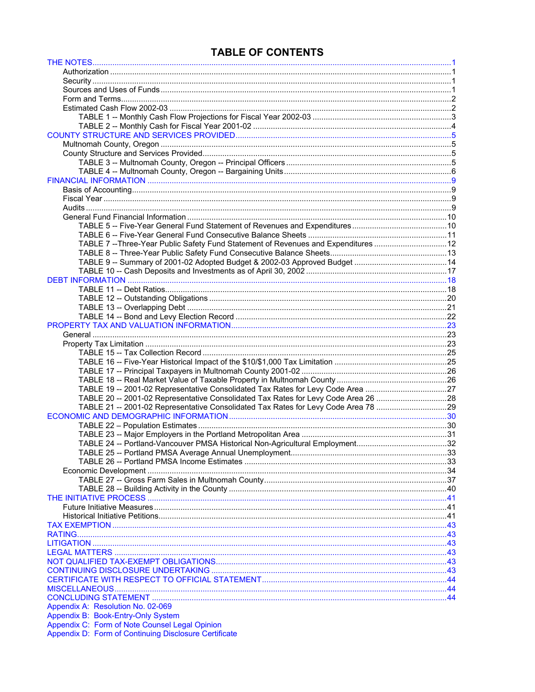## **TABLE OF CONTENTS**

| TABLE 7 -- Three-Year Public Safety Fund Statement of Revenues and Expenditures 12 |  |
|------------------------------------------------------------------------------------|--|
|                                                                                    |  |
|                                                                                    |  |
|                                                                                    |  |
|                                                                                    |  |
|                                                                                    |  |
|                                                                                    |  |
|                                                                                    |  |
|                                                                                    |  |
|                                                                                    |  |
|                                                                                    |  |
|                                                                                    |  |
|                                                                                    |  |
|                                                                                    |  |
|                                                                                    |  |
|                                                                                    |  |
|                                                                                    |  |
| TABLE 19 -- 2001-02 Representative Consolidated Tax Rates for Levy Code Area 27    |  |
| TABLE 20 -- 2001-02 Representative Consolidated Tax Rates for Levy Code Area 26 28 |  |
| TABLE 21 -- 2001-02 Representative Consolidated Tax Rates for Levy Code Area 78 29 |  |
|                                                                                    |  |
|                                                                                    |  |
|                                                                                    |  |
|                                                                                    |  |
|                                                                                    |  |
|                                                                                    |  |
|                                                                                    |  |
|                                                                                    |  |
|                                                                                    |  |
|                                                                                    |  |
|                                                                                    |  |
|                                                                                    |  |
|                                                                                    |  |
|                                                                                    |  |
|                                                                                    |  |
|                                                                                    |  |
|                                                                                    |  |
|                                                                                    |  |
|                                                                                    |  |
|                                                                                    |  |
|                                                                                    |  |
| Appendix A: Resolution No. 02-069                                                  |  |
| Appendix B: Book-Entry-Only System                                                 |  |
| Appendix C: Form of Note Counsel Legal Opinion                                     |  |
| Appendix D: Form of Continuing Disclosure Certificate                              |  |
|                                                                                    |  |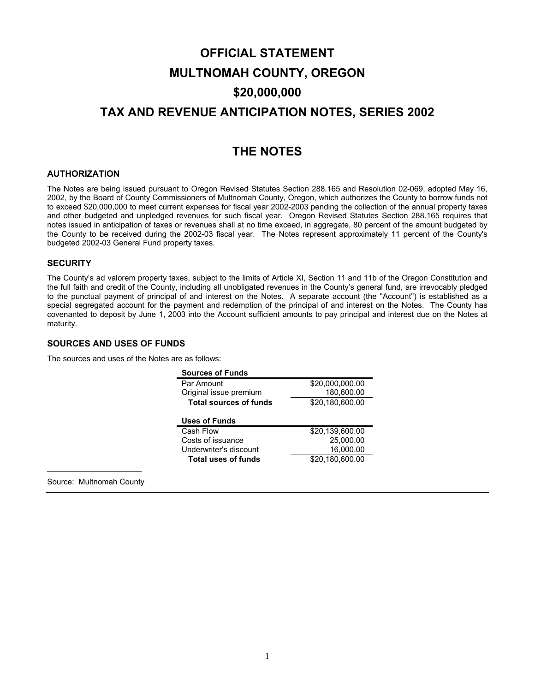# <span id="page-3-0"></span>**OFFICIAL STATEMENT MULTNOMAH COUNTY, OREGON \$20,000,000 TAX AND REVENUE ANTICIPATION NOTES, SERIES 2002**

## **THE NOTES**

### **AUTHORIZATION**

The Notes are being issued pursuant to Oregon Revised Statutes Section 288.165 and Resolution 02-069, adopted May 16, 2002, by the Board of County Commissioners of Multnomah County, Oregon, which authorizes the County to borrow funds not to exceed \$20,000,000 to meet current expenses for fiscal year 2002-2003 pending the collection of the annual property taxes and other budgeted and unpledged revenues for such fiscal year. Oregon Revised Statutes Section 288.165 requires that notes issued in anticipation of taxes or revenues shall at no time exceed, in aggregate, 80 percent of the amount budgeted by the County to be received during the 2002-03 fiscal year. The Notes represent approximately 11 percent of the County's budgeted 2002-03 General Fund property taxes.

### **SECURITY**

The County's ad valorem property taxes, subject to the limits of Article XI, Section 11 and 11b of the Oregon Constitution and the full faith and credit of the County, including all unobligated revenues in the County's general fund, are irrevocably pledged to the punctual payment of principal of and interest on the Notes. A separate account (the "Account") is established as a special segregated account for the payment and redemption of the principal of and interest on the Notes. The County has covenanted to deposit by June 1, 2003 into the Account sufficient amounts to pay principal and interest due on the Notes at maturity.

### **SOURCES AND USES OF FUNDS**

The sources and uses of the Notes are as follows:

| <b>Sources of Funds</b>       |                 |
|-------------------------------|-----------------|
| Par Amount                    | \$20,000,000.00 |
| Original issue premium        | 180,600.00      |
| <b>Total sources of funds</b> | \$20,180,600.00 |
| <b>Uses of Funds</b>          |                 |
| Cash Flow                     | \$20.139.600.00 |
| Costs of issuance             | 25,000.00       |
| Underwriter's discount        | 16,000.00       |
| <b>Total uses of funds</b>    | \$20.180.600.00 |

Source: Multnomah County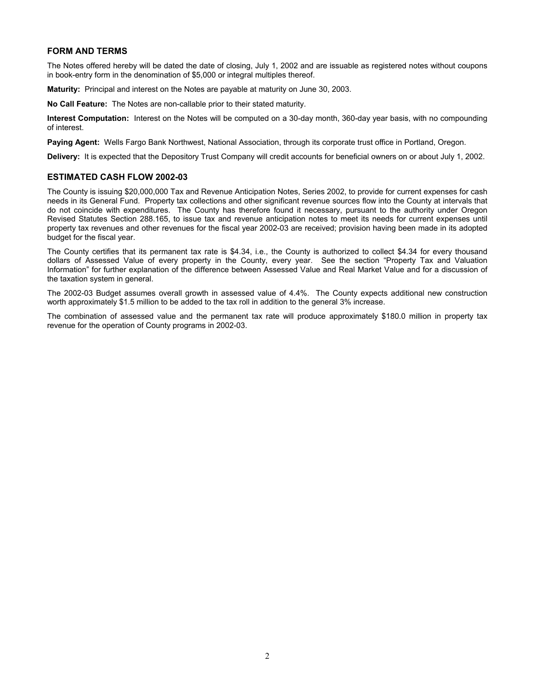### **FORM AND TERMS**

The Notes offered hereby will be dated the date of closing, July 1, 2002 and are issuable as registered notes without coupons in book-entry form in the denomination of \$5,000 or integral multiples thereof.

**Maturity:** Principal and interest on the Notes are payable at maturity on June 30, 2003.

**No Call Feature:** The Notes are non-callable prior to their stated maturity.

**Interest Computation:** Interest on the Notes will be computed on a 30-day month, 360-day year basis, with no compounding of interest.

**Paying Agent:** Wells Fargo Bank Northwest, National Association, through its corporate trust office in Portland, Oregon.

**Delivery:** It is expected that the Depository Trust Company will credit accounts for beneficial owners on or about July 1, 2002.

### **ESTIMATED CASH FLOW 2002-03**

The County is issuing \$20,000,000 Tax and Revenue Anticipation Notes, Series 2002, to provide for current expenses for cash needs in its General Fund. Property tax collections and other significant revenue sources flow into the County at intervals that do not coincide with expenditures. The County has therefore found it necessary, pursuant to the authority under Oregon Revised Statutes Section 288.165, to issue tax and revenue anticipation notes to meet its needs for current expenses until property tax revenues and other revenues for the fiscal year 2002-03 are received; provision having been made in its adopted budget for the fiscal year.

The County certifies that its permanent tax rate is \$4.34, i.e., the County is authorized to collect \$4.34 for every thousand dollars of Assessed Value of every property in the County, every year. See the section "Property Tax and Valuation Information" for further explanation of the difference between Assessed Value and Real Market Value and for a discussion of the taxation system in general.

The 2002-03 Budget assumes overall growth in assessed value of 4.4%. The County expects additional new construction worth approximately \$1.5 million to be added to the tax roll in addition to the general 3% increase.

The combination of assessed value and the permanent tax rate will produce approximately \$180.0 million in property tax revenue for the operation of County programs in 2002-03.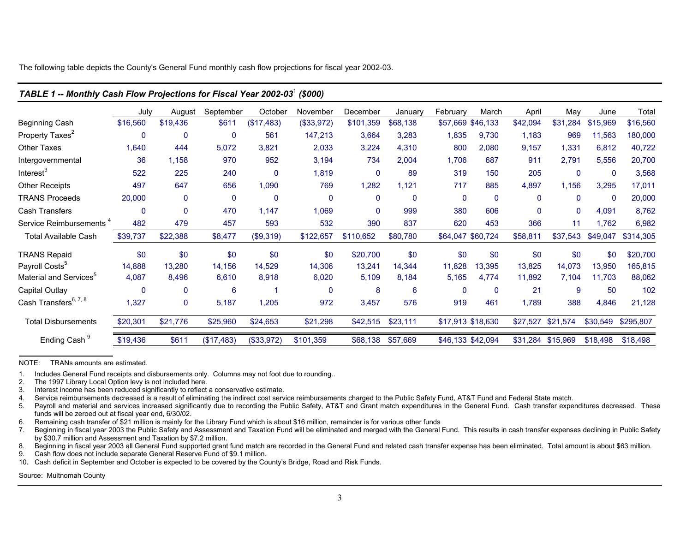The following table depicts the County's General Fund monthly cash flow projections for fiscal year 2002-03.

|                                     | July        | August       | September   | October    | November   | December     | January        | February          | March        | April        | May               | June         | Total     |
|-------------------------------------|-------------|--------------|-------------|------------|------------|--------------|----------------|-------------------|--------------|--------------|-------------------|--------------|-----------|
| Beginning Cash                      | \$16,560    | \$19,436     | \$611       | (\$17,483) | (\$33,972) | \$101,359    | \$68,138       | \$57,669 \$46,133 |              | \$42,094     | \$31,284          | \$15,969     | \$16,560  |
| Property Taxes <sup>2</sup>         | $\mathbf 0$ | 0            | $\mathbf 0$ | 561        | 147,213    | 3,664        | 3,283          | 1,835             | 9,730        | 1,183        | 969               | 11,563       | 180,000   |
| <b>Other Taxes</b>                  | 1,640       | 444          | 5,072       | 3,821      | 2,033      | 3,224        | 4,310          | 800               | 2,080        | 9,157        | 1,331             | 6,812        | 40,722    |
| Intergovernmental                   | 36          | 1,158        | 970         | 952        | 3,194      | 734          | 2,004          | 1,706             | 687          | 911          | 2,791             | 5,556        | 20,700    |
| Interest <sup>3</sup>               | 522         | 225          | 240         | 0          | 1,819      | $\mathbf{0}$ | 89             | 319               | 150          | 205          | 0                 | $\mathbf{0}$ | 3,568     |
| <b>Other Receipts</b>               | 497         | 647          | 656         | 1,090      | 769        | ,282         | 1,121          | 717               | 885          | 4,897        | 1,156             | 3,295        | 17,011    |
| <b>TRANS Proceeds</b>               | 20,000      | $\mathbf{0}$ | 0           | 0          | 0          | 0            | $\overline{0}$ | $\pmb{0}$         | $\mathbf{0}$ | $\mathbf{0}$ | $\mathbf{0}$      | $\mathbf{0}$ | 20,000    |
| Cash Transfers                      | $\mathbf 0$ | 0            | 470         | 1,147      | 1,069      | 0            | 999            | 380               | 606          | $\mathbf{0}$ | $\mathbf{0}$      | 4,091        | 8,762     |
| Service Reimbursements <sup>4</sup> | 482         | 479          | 457         | 593        | 532        | 390          | 837            | 620               | 453          | 366          | 11                | 1,762        | 6,982     |
| <b>Total Available Cash</b>         | \$39,737    | \$22,388     | \$8,477     | (\$9,319)  | \$122,657  | \$110,652    | \$80,780       | \$64,047 \$60,724 |              | \$58,811     | \$37,543          | \$49,047     | \$314,305 |
| <b>TRANS Repaid</b>                 | \$0         | \$0          | \$0         | \$0        | \$0        | \$20,700     | \$0            | \$0               | \$0          | \$0          | \$0               | \$0          | \$20,700  |
| Payroll Costs <sup>5</sup>          | 14,888      | 13,280       | 14,156      | 14,529     | 14,306     | 13,241       | 14,344         | 11,828            | 13,395       | 13,825       | 14,073            | 13,950       | 165,815   |
| Material and Services <sup>5</sup>  | 4,087       | 8,496        | 6,610       | 8,918      | 6,020      | 5,109        | 8,184          | 5,165             | 4,774        | 11,892       | 7,104             | 11,703       | 88,062    |
| Capital Outlay                      | $\mathbf 0$ | 0            | 6           |            | 0          | 8            | 6              | $\mathbf 0$       | $\mathbf{0}$ | 21           | 9                 | 50           | 102       |
| Cash Transfers <sup>6, 7, 8</sup>   | 1,327       | $\mathbf 0$  | 5,187       | 1,205      | 972        | 3,457        | 576            | 919               | 461          | 1,789        | 388               | 4,846        | 21,128    |
| <b>Total Disbursements</b>          | \$20,301    | \$21,776     | \$25,960    | \$24,653   | \$21,298   | \$42,515     | \$23,111       | \$17,913 \$18,630 |              | \$27,527     | \$21,574          | \$30,549     | \$295,807 |
| Ending Cash <sup>9</sup>            | \$19,436    | \$611        | (\$17,483)  | (\$33,972) | \$101,359  | \$68,138     | \$57,669       | \$46,133 \$42,094 |              |              | \$31,284 \$15,969 | \$18,498     | \$18,498  |
|                                     |             |              |             |            |            |              |                |                   |              |              |                   |              |           |

### *TABLE 1 -- Monthly Cash Flow Projections for Fiscal Year 2002-03*<sup>1</sup> *(\$000)*

NOTE: TRANs amounts are estimated.

1. Includes General Fund receipts and disbursements only. Columns may not foot due to rounding..

2. The 1997 Library Local Option levy is not included here.

3. Interest income has been reduced significantly to reflect a conservative estimate.

Service reimbursements decreased is a result of eliminating the indirect cost service reimbursements charged to the Public Safety Fund, AT&T Fund and Federal State match.

5. Payroll and material and services increased significantly due to recording the Public Safety, AT&T and Grant match expenditures in the General Fund. Cash transfer expenditures decreased. These funds will be zeroed out at fiscal year end, 6/30/02.

6. Remaining cash transfer of \$21 million is mainly for the Library Fund which is about \$16 million, remainder is for various other funds

7. Beginning in fiscal year 2003 the Public Safety and Assessment and Taxation Fund will be eliminated and merged with the General Fund. This results in cash transfer expenses declining in Public Safety by \$30.7 million and Assessment and Taxation by \$7.2 million.

8. Beginning in fiscal year 2003 all General Fund supported grant fund match are recorded in the General Fund and related cash transfer expense has been eliminated. Total amount is about \$63 million.

9. Cash flow does not include separate General Reserve Fund of \$9.1 million.

10. Cash deficit in September and October is expected to be covered by the County's Bridge, Road and Risk Funds.

Source: Multnomah County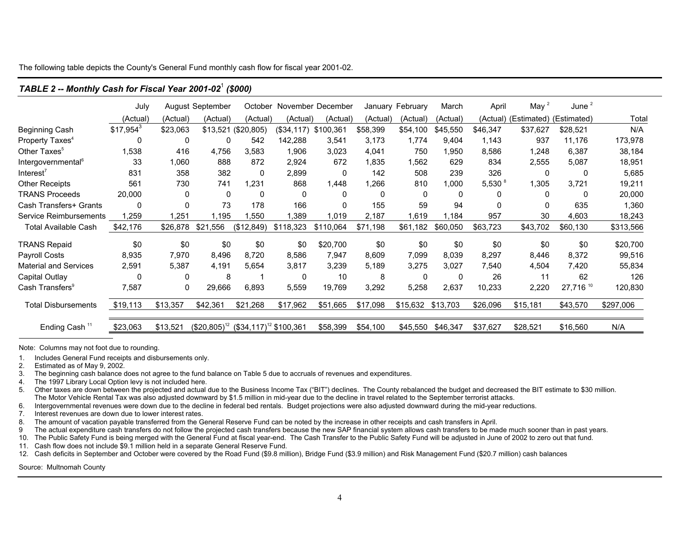The following table depicts the County's General Fund monthly cash flow for fiscal year 2001-02.

|                                | July        |              | August September                           | October             |              | November December |          | January February | March    | April              | May $2$     | June $^2$   |           |
|--------------------------------|-------------|--------------|--------------------------------------------|---------------------|--------------|-------------------|----------|------------------|----------|--------------------|-------------|-------------|-----------|
|                                | (Actual)    | (Actual)     | (Actual)                                   | (Actual)            | (Actual)     | (Actual)          | (Actual) | (Actual)         | (Actual) | (Actual)           | (Estimated) | (Estimated) | Total     |
| <b>Beginning Cash</b>          | $$17,954^3$ | \$23,063     |                                            | \$13,521 (\$20,805) | (\$34,117)   | \$100,361         | \$58,399 | \$54,100         | \$45,550 | \$46,347           | \$37,627    | \$28,521    | N/A       |
| Property Taxes <sup>4</sup>    | 0           | 0            | $\Omega$                                   | 542                 | 142,288      | 3,541             | 3,173    | 1,774            | 9,404    | 1,143              | 937         | 11,176      | 173,978   |
| Other Taxes <sup>5</sup>       | ,538        | 416          | 4,756                                      | 3,583               | 1,906        | 3,023             | 4,041    | 750              | ,950     | 8,586              | 1,248       | 6,387       | 38,184    |
| Intergovernmental <sup>6</sup> | 33          | 1,060        | 888                                        | 872                 | 2,924        | 672               | 1,835    | 562. ا           | 629      | 834                | 2,555       | 5,087       | 18,951    |
| Interest <sup>/</sup>          | 831         | 358          | 382                                        | $\mathbf{0}$        | 2,899        | 0                 | 142      | 508              | 239      | 326                | 0           | 0           | 5,685     |
| <b>Other Receipts</b>          | 561         | 730          | 741                                        | 1,231               | 868          | 1,448             | 1,266    | 810              | 1,000    | 5,530 <sup>8</sup> | 1,305       | 3,721       | 19,211    |
| <b>TRANS Proceeds</b>          | 20,000      | 0            | $\mathbf{0}$                               | 0                   | $\mathbf{0}$ | 0                 | 0        | 0                | 0        | 0                  | 0           | 0           | 20,000    |
| Cash Transfers+ Grants         | 0           | 0            | 73                                         | 178                 | 166          | 0                 | 155      | 59               | 94       | $\Omega$           | 0           | 635         | 1,360     |
| Service Reimbursements         | ,259        | 1,251        | 1,195                                      | ,550                | ,389         | 1,019             | 2,187    | 1,619            | ,184     | 957                | 30          | 4,603       | 18,243    |
| <b>Total Available Cash</b>    | \$42,176    | \$26,878     | \$21<br>.556                               | (\$12,849)          | \$118,323    | \$110,064         | \$71,198 | \$61,182         | \$60,050 | \$63,723           | \$43,702    | \$60,130    | \$313,566 |
| <b>TRANS Repaid</b>            | \$0         | \$0          | \$0                                        | \$0                 | \$0          | \$20,700          | \$0      | \$0              | \$0      | \$0                | \$0         | \$0         | \$20,700  |
| Payroll Costs                  | 8,935       | 7,970        | 8,496                                      | 8,720               | 8,586        | 7,947             | 8,609    | 7,099            | 8,039    | 8,297              | 8,446       | 8,372       | 99,516    |
| <b>Material and Services</b>   | 2,591       | 5,387        | 4,191                                      | 5,654               | 3,817        | 3,239             | 5,189    | 3,275            | 3,027    | 7,540              | 4,504       | 7,420       | 55,834    |
| Capital Outlay                 | 0           | 0            | 8                                          |                     | 0            | 10                | 8        | 0                | 0        | 26                 | 11          | 62          | 126       |
| Cash Transfers <sup>®</sup>    | 7,587       | $\mathbf{0}$ | 29,666                                     | 6,893               | 5,559        | 19,769            | 3,292    | 5,258            | 2,637    | 10,233             | 2,220       | 27,716 10   | 120,830   |
| <b>Total Disbursements</b>     | \$19,113    | \$13,357     | \$42,361                                   | \$21,268            | \$17,962     | \$51,665          | \$17,098 | \$15,632         | \$13,703 | \$26,096           | \$15,181    | \$43,570    | \$297,006 |
| Ending Cash <sup>11</sup>      | \$23,063    | \$13,521     | $($20,805)^{12}$ $($34,117)^{12} $100,361$ |                     |              | \$58,399          | \$54,100 | \$45,550         | \$46,347 | \$37,627           | \$28,521    | \$16,560    | N/A       |

### *TABLE 2 -- Monthly Cash for Fiscal Year 2001-02*<sup>1</sup> *(\$000)*

Note: Columns may not foot due to rounding.

- 1. Includes General Fund receipts and disbursements only.<br>2. Estimated as of May 9, 2002.
- 2. Estimated as of May 9, 2002.<br>3. The beginning cash balance of
- The beginning cash balance does not agree to the fund balance on Table 5 due to accruals of revenues and expenditures.
- 4. The 1997 Library Local Option levy is not included here.

5. Other taxes are down between the projected and actual due to the Business Income Tax ("BIT") declines. The County rebalanced the budget and decreased the BIT estimate to \$30 million. The Motor Vehicle Rental Tax was also adjusted downward by \$1.5 million in mid-year due to the decline in travel related to the September terrorist attacks.

- 6. Intergovernmental revenues were down due to the decline in federal bed rentals. Budget projections were also adjusted downward during the mid-year reductions.
- 7. Interest revenues are down due to lower interest rates.
- 8. The amount of vacation payable transferred from the General Reserve Fund can be noted by the increase in other receipts and cash transfers in April.
- 9 The actual expenditure cash transfers do not follow the projected cash transfers because the new SAP financial system allows cash transfers to be made much sooner than in past years.
- 10. The Public Safety Fund is being merged with the General Fund at fiscal year-end. The Cash Transfer to the Public Safety Fund will be adjusted in June of 2002 to zero out that fund.
- 11. Cash flow does not include \$9.1 million held in a separate General Reserve Fund.
- 12. Cash deficits in September and October were covered by the Road Fund (\$9.8 million), Bridge Fund (\$3.9 million) and Risk Management Fund (\$20.7 million) cash balances

Source: Multnomah County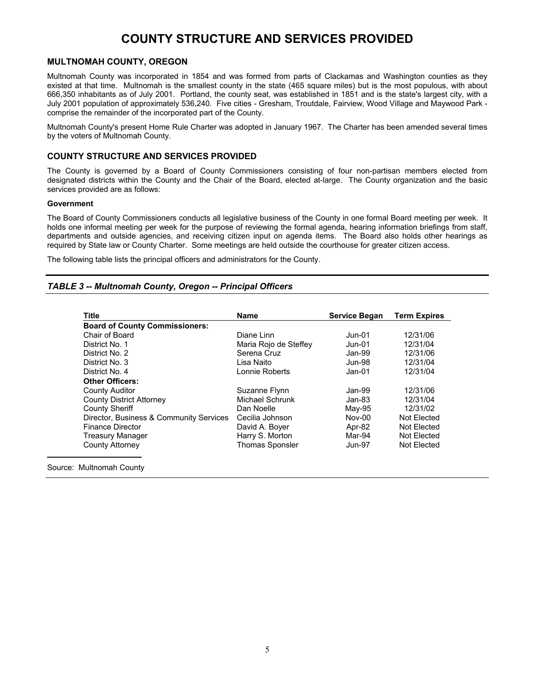## **COUNTY STRUCTURE AND SERVICES PROVIDED**

### <span id="page-7-0"></span>**MULTNOMAH COUNTY, OREGON**

Multnomah County was incorporated in 1854 and was formed from parts of Clackamas and Washington counties as they existed at that time. Multnomah is the smallest county in the state (465 square miles) but is the most populous, with about 666,350 inhabitants as of July 2001. Portland, the county seat, was established in 1851 and is the state's largest city, with a July 2001 population of approximately 536,240. Five cities - Gresham, Troutdale, Fairview, Wood Village and Maywood Park comprise the remainder of the incorporated part of the County.

Multnomah County's present Home Rule Charter was adopted in January 1967. The Charter has been amended several times by the voters of Multnomah County.

### **COUNTY STRUCTURE AND SERVICES PROVIDED**

The County is governed by a Board of County Commissioners consisting of four non-partisan members elected from designated districts within the County and the Chair of the Board, elected at-large. The County organization and the basic services provided are as follows:

#### **Government**

The Board of County Commissioners conducts all legislative business of the County in one formal Board meeting per week. It holds one informal meeting per week for the purpose of reviewing the formal agenda, hearing information briefings from staff, departments and outside agencies, and receiving citizen input on agenda items. The Board also holds other hearings as required by State law or County Charter. Some meetings are held outside the courthouse for greater citizen access.

The following table lists the principal officers and administrators for the County.

### *TABLE 3 -- Multnomah County, Oregon -- Principal Officers*

| $Jun-01$<br>Maria Rojo de Steffey<br>$Jun-01$<br>Jan-99<br>Jun-98<br>$Jan-01$ | 12/31/06<br>12/31/04<br>12/31/06<br>12/31/04<br>12/31/04 |
|-------------------------------------------------------------------------------|----------------------------------------------------------|
|                                                                               |                                                          |
|                                                                               |                                                          |
|                                                                               |                                                          |
|                                                                               |                                                          |
|                                                                               |                                                          |
|                                                                               |                                                          |
|                                                                               |                                                          |
| Jan-99                                                                        | 12/31/06                                                 |
| $Jan-83$                                                                      | 12/31/04                                                 |
| May-95                                                                        | 12/31/02                                                 |
| Nov-00                                                                        | Not Elected                                              |
| Apr-82                                                                        | Not Elected                                              |
| Mar-94                                                                        | Not Elected                                              |
|                                                                               | Not Elected                                              |
|                                                                               | $Jun-97$                                                 |

Source: Multnomah County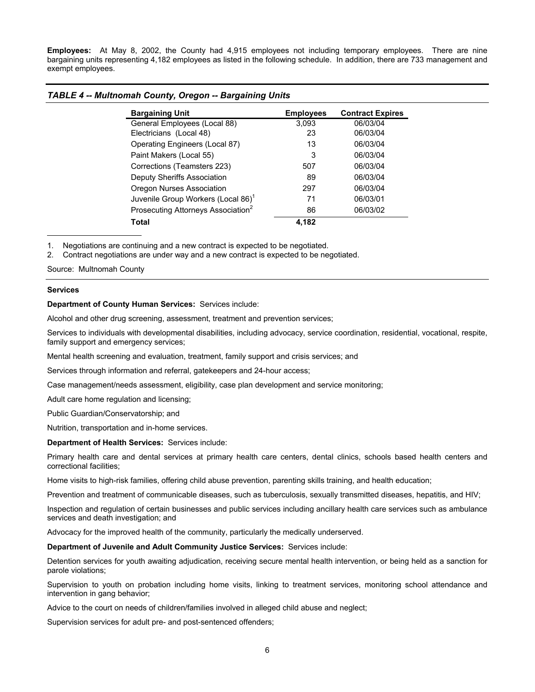**Employees:** At May 8, 2002, the County had 4,915 employees not including temporary employees. There are nine bargaining units representing 4,182 employees as listed in the following schedule. In addition, there are 733 management and exempt employees.

| <b>Bargaining Unit</b>                         | <b>Employees</b> | <b>Contract Expires</b> |
|------------------------------------------------|------------------|-------------------------|
| General Employees (Local 88)                   | 3.093            | 06/03/04                |
| Electricians (Local 48)                        | 23               | 06/03/04                |
| Operating Engineers (Local 87)                 | 13               | 06/03/04                |
| Paint Makers (Local 55)                        | 3                | 06/03/04                |
| Corrections (Teamsters 223)                    | 507              | 06/03/04                |
| Deputy Sheriffs Association                    | 89               | 06/03/04                |
| Oregon Nurses Association                      | 297              | 06/03/04                |
| Juvenile Group Workers (Local 86) <sup>1</sup> | 71               | 06/03/01                |
| Prosecuting Attorneys Association <sup>2</sup> | 86               | 06/03/02                |
| Total                                          | 4.182            |                         |

### *TABLE 4 -- Multnomah County, Oregon -- Bargaining Units*

1. Negotiations are continuing and a new contract is expected to be negotiated.

2. Contract negotiations are under way and a new contract is expected to be negotiated.

Source: Multnomah County

#### **Services**

**Department of County Human Services:** Services include:

Alcohol and other drug screening, assessment, treatment and prevention services;

Services to individuals with developmental disabilities, including advocacy, service coordination, residential, vocational, respite, family support and emergency services;

Mental health screening and evaluation, treatment, family support and crisis services; and

Services through information and referral, gatekeepers and 24-hour access;

Case management/needs assessment, eligibility, case plan development and service monitoring;

Adult care home regulation and licensing;

Public Guardian/Conservatorship; and

Nutrition, transportation and in-home services.

#### **Department of Health Services:** Services include:

Primary health care and dental services at primary health care centers, dental clinics, schools based health centers and correctional facilities;

Home visits to high-risk families, offering child abuse prevention, parenting skills training, and health education;

Prevention and treatment of communicable diseases, such as tuberculosis, sexually transmitted diseases, hepatitis, and HIV;

Inspection and regulation of certain businesses and public services including ancillary health care services such as ambulance services and death investigation; and

Advocacy for the improved health of the community, particularly the medically underserved.

**Department of Juvenile and Adult Community Justice Services:** Services include:

Detention services for youth awaiting adjudication, receiving secure mental health intervention, or being held as a sanction for parole violations;

Supervision to youth on probation including home visits, linking to treatment services, monitoring school attendance and intervention in gang behavior;

Advice to the court on needs of children/families involved in alleged child abuse and neglect;

Supervision services for adult pre- and post-sentenced offenders;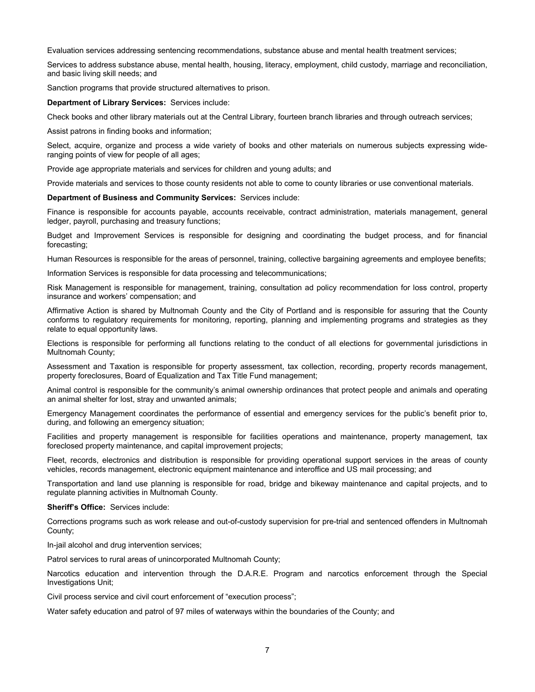Evaluation services addressing sentencing recommendations, substance abuse and mental health treatment services;

Services to address substance abuse, mental health, housing, literacy, employment, child custody, marriage and reconciliation, and basic living skill needs; and

Sanction programs that provide structured alternatives to prison.

#### **Department of Library Services:** Services include:

Check books and other library materials out at the Central Library, fourteen branch libraries and through outreach services;

Assist patrons in finding books and information;

Select, acquire, organize and process a wide variety of books and other materials on numerous subjects expressing wideranging points of view for people of all ages;

Provide age appropriate materials and services for children and young adults; and

Provide materials and services to those county residents not able to come to county libraries or use conventional materials.

#### **Department of Business and Community Services:** Services include:

Finance is responsible for accounts payable, accounts receivable, contract administration, materials management, general ledger, payroll, purchasing and treasury functions;

Budget and Improvement Services is responsible for designing and coordinating the budget process, and for financial forecasting;

Human Resources is responsible for the areas of personnel, training, collective bargaining agreements and employee benefits;

Information Services is responsible for data processing and telecommunications;

Risk Management is responsible for management, training, consultation ad policy recommendation for loss control, property insurance and workers' compensation; and

Affirmative Action is shared by Multnomah County and the City of Portland and is responsible for assuring that the County conforms to regulatory requirements for monitoring, reporting, planning and implementing programs and strategies as they relate to equal opportunity laws.

Elections is responsible for performing all functions relating to the conduct of all elections for governmental jurisdictions in Multnomah County;

Assessment and Taxation is responsible for property assessment, tax collection, recording, property records management, property foreclosures, Board of Equalization and Tax Title Fund management;

Animal control is responsible for the community's animal ownership ordinances that protect people and animals and operating an animal shelter for lost, stray and unwanted animals;

Emergency Management coordinates the performance of essential and emergency services for the public's benefit prior to, during, and following an emergency situation;

Facilities and property management is responsible for facilities operations and maintenance, property management, tax foreclosed property maintenance, and capital improvement projects;

Fleet, records, electronics and distribution is responsible for providing operational support services in the areas of county vehicles, records management, electronic equipment maintenance and interoffice and US mail processing; and

Transportation and land use planning is responsible for road, bridge and bikeway maintenance and capital projects, and to regulate planning activities in Multnomah County.

**Sheriff's Office:** Services include:

Corrections programs such as work release and out-of-custody supervision for pre-trial and sentenced offenders in Multnomah County;

In-jail alcohol and drug intervention services;

Patrol services to rural areas of unincorporated Multnomah County;

Narcotics education and intervention through the D.A.R.E. Program and narcotics enforcement through the Special Investigations Unit;

Civil process service and civil court enforcement of "execution process";

Water safety education and patrol of 97 miles of waterways within the boundaries of the County; and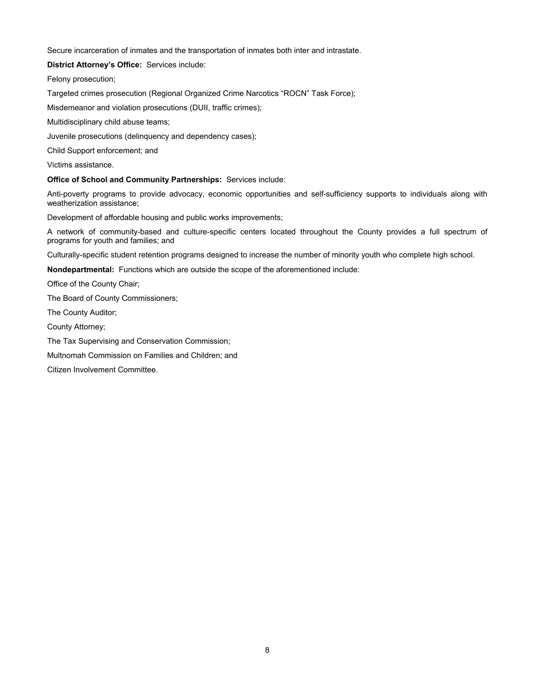Secure incarceration of inmates and the transportation of inmates both inter and intrastate.

**District Attorney's Office:** Services include:

Felony prosecution;

Targeted crimes prosecution (Regional Organized Crime Narcotics "ROCN" Task Force);

Misdemeanor and violation prosecutions (DUII, traffic crimes);

Multidisciplinary child abuse teams;

Juvenile prosecutions (delinquency and dependency cases);

Child Support enforcement; and

Victims assistance.

### **Office of School and Community Partnerships:** Services include:

Anti-poverty programs to provide advocacy, economic opportunities and self-sufficiency supports to individuals along with weatherization assistance;

Development of affordable housing and public works improvements;

A network of community-based and culture-specific centers located throughout the County provides a full spectrum of programs for youth and families; and

Culturally-specific student retention programs designed to increase the number of minority youth who complete high school.

**Nondepartmental:** Functions which are outside the scope of the aforementioned include:

Office of the County Chair;

The Board of County Commissioners;

The County Auditor;

County Attorney;

The Tax Supervising and Conservation Commission;

Multnomah Commission on Families and Children; and

Citizen Involvement Committee.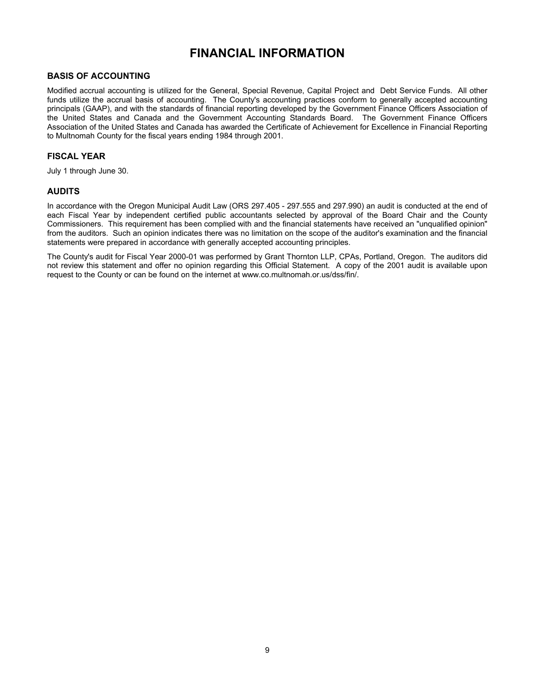## **FINANCIAL INFORMATION**

### <span id="page-11-0"></span>**BASIS OF ACCOUNTING**

Modified accrual accounting is utilized for the General, Special Revenue, Capital Project and Debt Service Funds. All other funds utilize the accrual basis of accounting. The County's accounting practices conform to generally accepted accounting principals (GAAP), and with the standards of financial reporting developed by the Government Finance Officers Association of the United States and Canada and the Government Accounting Standards Board. The Government Finance Officers Association of the United States and Canada has awarded the Certificate of Achievement for Excellence in Financial Reporting to Multnomah County for the fiscal years ending 1984 through 2001.

### **FISCAL YEAR**

July 1 through June 30.

### **AUDITS**

In accordance with the Oregon Municipal Audit Law (ORS 297.405 - 297.555 and 297.990) an audit is conducted at the end of each Fiscal Year by independent certified public accountants selected by approval of the Board Chair and the County Commissioners. This requirement has been complied with and the financial statements have received an "unqualified opinion" from the auditors. Such an opinion indicates there was no limitation on the scope of the auditor's examination and the financial statements were prepared in accordance with generally accepted accounting principles.

The County's audit for Fiscal Year 2000-01 was performed by Grant Thornton LLP, CPAs, Portland, Oregon. The auditors did not review this statement and offer no opinion regarding this Official Statement. A copy of the 2001 audit is available upon request to the County or can be found on the internet at www.co.multnomah.or.us/dss/fin/.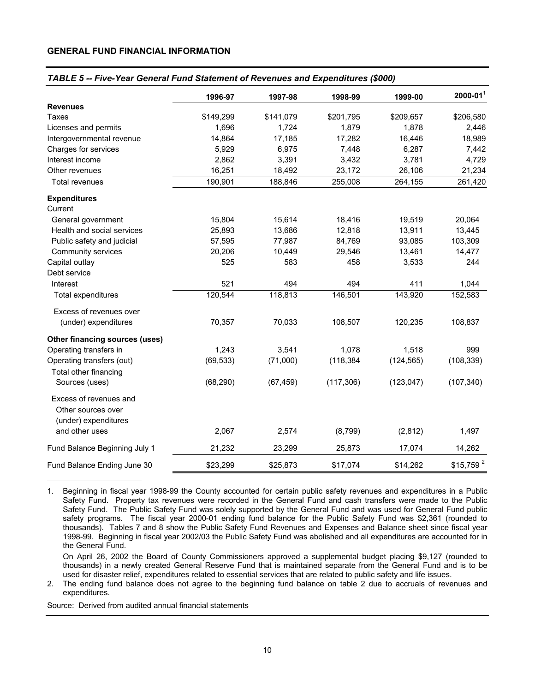### **GENERAL FUND FINANCIAL INFORMATION**

### *TABLE 5 -- Five-Year General Fund Statement of Revenues and Expenditures (\$000)*

|                                              | 1996-97   | 1997-98   | 1998-99    | 1999-00    | $2000 - 011$          |
|----------------------------------------------|-----------|-----------|------------|------------|-----------------------|
| <b>Revenues</b>                              |           |           |            |            |                       |
| Taxes                                        | \$149,299 | \$141,079 | \$201,795  | \$209,657  | \$206,580             |
| Licenses and permits                         | 1,696     | 1,724     | 1,879      | 1,878      | 2,446                 |
| Intergovernmental revenue                    | 14,864    | 17,185    | 17,282     | 16,446     | 18,989                |
| Charges for services                         | 5,929     | 6,975     | 7,448      | 6,287      | 7,442                 |
| Interest income                              | 2,862     | 3,391     | 3,432      | 3,781      | 4,729                 |
| Other revenues                               | 16,251    | 18,492    | 23,172     | 26,106     | 21,234                |
| Total revenues                               | 190,901   | 188,846   | 255,008    | 264,155    | 261,420               |
| <b>Expenditures</b><br>Current               |           |           |            |            |                       |
| General government                           | 15,804    | 15,614    | 18,416     | 19,519     | 20,064                |
| Health and social services                   | 25,893    | 13,686    | 12,818     | 13,911     | 13,445                |
| Public safety and judicial                   | 57,595    | 77,987    | 84,769     | 93,085     | 103,309               |
| Community services                           | 20,206    | 10,449    | 29,546     | 13,461     | 14,477                |
| Capital outlay                               | 525       | 583       | 458        | 3,533      | 244                   |
| Debt service                                 |           |           |            |            |                       |
| Interest                                     | 521       | 494       | 494        | 411        | 1,044                 |
| Total expenditures                           | 120,544   | 118,813   | 146,501    | 143,920    | 152,583               |
| Excess of revenues over                      |           |           |            |            |                       |
| (under) expenditures                         | 70,357    | 70,033    | 108,507    | 120,235    | 108,837               |
| Other financing sources (uses)               |           |           |            |            |                       |
| Operating transfers in                       | 1,243     | 3,541     | 1,078      | 1,518      | 999                   |
| Operating transfers (out)                    | (69, 533) | (71,000)  | (118, 384) | (124, 565) | (108, 339)            |
| Total other financing<br>Sources (uses)      | (68, 290) | (67, 459) | (117, 306) | (123, 047) | (107, 340)            |
|                                              |           |           |            |            |                       |
| Excess of revenues and<br>Other sources over |           |           |            |            |                       |
| (under) expenditures<br>and other uses       | 2,067     | 2,574     | (8,799)    | (2,812)    | 1,497                 |
| Fund Balance Beginning July 1                | 21,232    | 23,299    | 25,873     | 17,074     | 14,262                |
| Fund Balance Ending June 30                  | \$23,299  | \$25,873  | \$17,074   | \$14,262   | \$15,759 <sup>2</sup> |

1. Beginning in fiscal year 1998-99 the County accounted for certain public safety revenues and expenditures in a Public Safety Fund. Property tax revenues were recorded in the General Fund and cash transfers were made to the Public Safety Fund. The Public Safety Fund was solely supported by the General Fund and was used for General Fund public safety programs. The fiscal year 2000-01 ending fund balance for the Public Safety Fund was \$2,361 (rounded to thousands). Tables 7 and 8 show the Public Safety Fund Revenues and Expenses and Balance sheet since fiscal year 1998-99. Beginning in fiscal year 2002/03 the Public Safety Fund was abolished and all expenditures are accounted for in the General Fund.

 On April 26, 2002 the Board of County Commissioners approved a supplemental budget placing \$9,127 (rounded to thousands) in a newly created General Reserve Fund that is maintained separate from the General Fund and is to be used for disaster relief, expenditures related to essential services that are related to public safety and life issues.

2. The ending fund balance does not agree to the beginning fund balance on table 2 due to accruals of revenues and expenditures.

Source: Derived from audited annual financial statements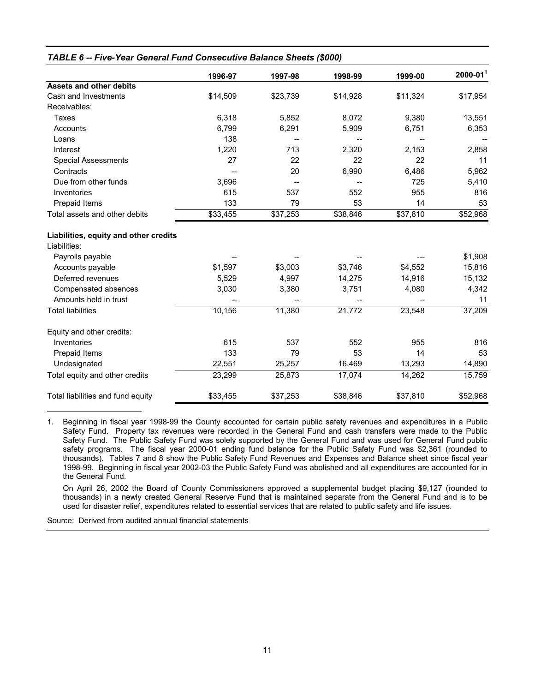|                                       | 1996-97  | 1997-98  | 1998-99  | 1999-00  | $2000 - 011$ |
|---------------------------------------|----------|----------|----------|----------|--------------|
| <b>Assets and other debits</b>        |          |          |          |          |              |
| Cash and Investments                  | \$14,509 | \$23,739 | \$14,928 | \$11,324 | \$17,954     |
| Receivables:                          |          |          |          |          |              |
| Taxes                                 | 6,318    | 5,852    | 8,072    | 9,380    | 13,551       |
| Accounts                              | 6,799    | 6,291    | 5,909    | 6,751    | 6,353        |
| Loans                                 | 138      |          |          |          |              |
| Interest                              | 1,220    | 713      | 2,320    | 2,153    | 2,858        |
| <b>Special Assessments</b>            | 27       | 22       | 22       | 22       | 11           |
| Contracts                             |          | 20       | 6,990    | 6,486    | 5,962        |
| Due from other funds                  | 3,696    |          |          | 725      | 5,410        |
| Inventories                           | 615      | 537      | 552      | 955      | 816          |
| Prepaid Items                         | 133      | 79       | 53       | 14       | 53           |
| Total assets and other debits         | \$33,455 | \$37,253 | \$38,846 | \$37,810 | \$52,968     |
| Liabilities, equity and other credits |          |          |          |          |              |
| Liabilities:                          |          |          |          |          |              |
| Payrolls payable                      |          |          |          |          | \$1,908      |
| Accounts payable                      | \$1,597  | \$3,003  | \$3,746  | \$4,552  | 15,816       |
| Deferred revenues                     | 5,529    | 4,997    | 14,275   | 14,916   | 15,132       |
| Compensated absences                  | 3,030    | 3,380    | 3,751    | 4,080    | 4,342        |
| Amounts held in trust                 |          |          |          |          | 11           |
| <b>Total liabilities</b>              | 10,156   | 11,380   | 21,772   | 23,548   | 37,209       |
| Equity and other credits:             |          |          |          |          |              |
| Inventories                           | 615      | 537      | 552      | 955      | 816          |
| Prepaid Items                         | 133      | 79       | 53       | 14       | 53           |
| Undesignated                          | 22,551   | 25,257   | 16,469   | 13,293   | 14,890       |
| Total equity and other credits        | 23,299   | 25,873   | 17,074   | 14,262   | 15,759       |
| Total liabilities and fund equity     | \$33,455 | \$37,253 | \$38,846 | \$37,810 | \$52,968     |

1. Beginning in fiscal year 1998-99 the County accounted for certain public safety revenues and expenditures in a Public Safety Fund. Property tax revenues were recorded in the General Fund and cash transfers were made to the Public Safety Fund. The Public Safety Fund was solely supported by the General Fund and was used for General Fund public safety programs. The fiscal year 2000-01 ending fund balance for the Public Safety Fund was \$2,361 (rounded to thousands). Tables 7 and 8 show the Public Safety Fund Revenues and Expenses and Balance sheet since fiscal year 1998-99. Beginning in fiscal year 2002-03 the Public Safety Fund was abolished and all expenditures are accounted for in the General Fund.

 On April 26, 2002 the Board of County Commissioners approved a supplemental budget placing \$9,127 (rounded to thousands) in a newly created General Reserve Fund that is maintained separate from the General Fund and is to be used for disaster relief, expenditures related to essential services that are related to public safety and life issues.

Source: Derived from audited annual financial statements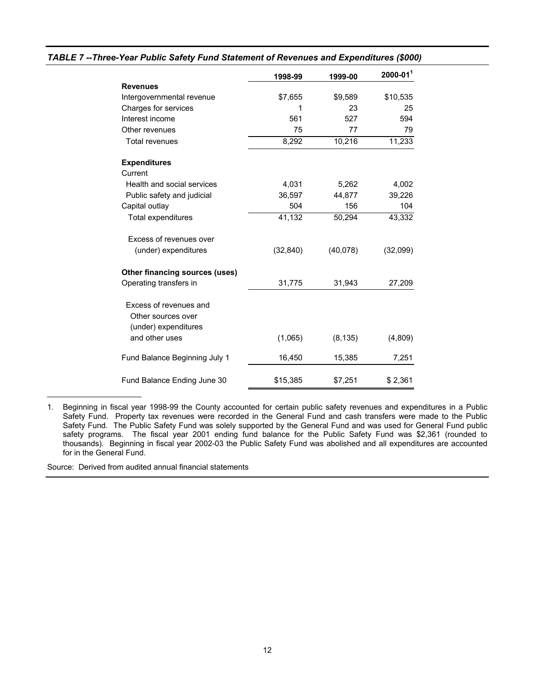|                                | 1998-99   | 1999-00  | $2000 - 011$ |
|--------------------------------|-----------|----------|--------------|
| <b>Revenues</b>                |           |          |              |
| Intergovernmental revenue      | \$7,655   | \$9,589  | \$10,535     |
| Charges for services           |           | 23       | 25           |
| Interest income                | 561       | 527      | 594          |
| Other revenues                 | 75        | 77       | 79           |
| <b>Total revenues</b>          | 8,292     | 10,216   | 11,233       |
| <b>Expenditures</b>            |           |          |              |
| Current                        |           |          |              |
| Health and social services     | 4,031     | 5,262    | 4,002        |
| Public safety and judicial     | 36,597    | 44,877   | 39,226       |
| Capital outlay                 | 504       | 156      | 104          |
| Total expenditures             | 41,132    | 50,294   | 43,332       |
| Excess of revenues over        |           |          |              |
| (under) expenditures           | (32, 840) | (40,078) | (32,099)     |
| Other financing sources (uses) |           |          |              |
| Operating transfers in         | 31,775    | 31,943   | 27,209       |
| Excess of revenues and         |           |          |              |
| Other sources over             |           |          |              |
| (under) expenditures           |           |          |              |
| and other uses                 | (1,065)   | (8, 135) | (4,809)      |
| Fund Balance Beginning July 1  | 16,450    | 15,385   | 7,251        |
| Fund Balance Ending June 30    | \$15,385  | \$7,251  | \$2,361      |

### *TABLE 7 --Three-Year Public Safety Fund Statement of Revenues and Expenditures (\$000)*

1. Beginning in fiscal year 1998-99 the County accounted for certain public safety revenues and expenditures in a Public Safety Fund. Property tax revenues were recorded in the General Fund and cash transfers were made to the Public Safety Fund. The Public Safety Fund was solely supported by the General Fund and was used for General Fund public safety programs. The fiscal year 2001 ending fund balance for the Public Safety Fund was \$2,361 (rounded to thousands). Beginning in fiscal year 2002-03 the Public Safety Fund was abolished and all expenditures are accounted for in the General Fund.

Source: Derived from audited annual financial statements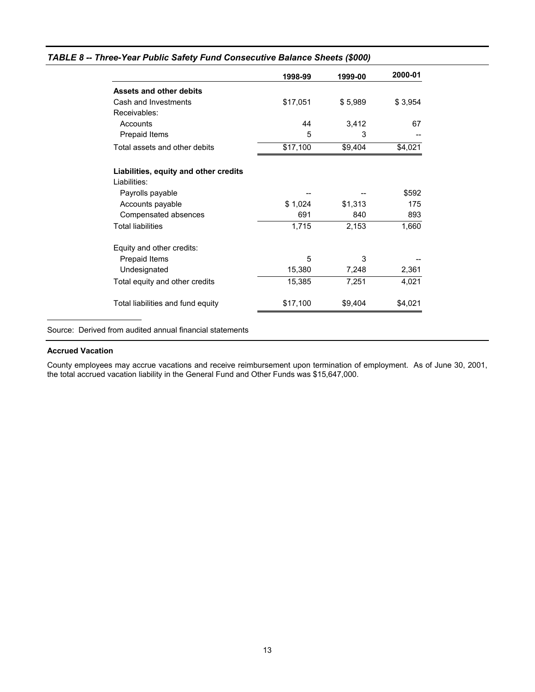|  |  | TABLE 8 -- Three-Year Public Safety Fund Consecutive Balance Sheets (\$000) |  |  |
|--|--|-----------------------------------------------------------------------------|--|--|
|  |  |                                                                             |  |  |

|                                                       | 1998-99  | 1999-00 | 2000-01 |
|-------------------------------------------------------|----------|---------|---------|
| <b>Assets and other debits</b>                        |          |         |         |
| Cash and Investments                                  | \$17,051 | \$5,989 | \$3,954 |
| Receivables:                                          |          |         |         |
| Accounts                                              | 44       | 3,412   | 67      |
| Prepaid Items                                         | 5        | 3       |         |
| Total assets and other debits                         | \$17,100 | \$9,404 | \$4,021 |
| Liabilities, equity and other credits<br>Liabilities: |          |         |         |
| Payrolls payable                                      |          |         | \$592   |
| Accounts payable                                      | \$1,024  | \$1,313 | 175     |
| Compensated absences                                  | 691      | 840     | 893     |
| <b>Total liabilities</b>                              | 1,715    | 2,153   | 1,660   |
| Equity and other credits:                             |          |         |         |
| Prepaid Items                                         | 5        | 3       |         |
| Undesignated                                          | 15,380   | 7,248   | 2,361   |
| Total equity and other credits                        | 15,385   | 7,251   | 4,021   |
| Total liabilities and fund equity                     | \$17,100 | \$9,404 | \$4,021 |

Source: Derived from audited annual financial statements

### **Accrued Vacation**

County employees may accrue vacations and receive reimbursement upon termination of employment. As of June 30, 2001, the total accrued vacation liability in the General Fund and Other Funds was \$15,647,000.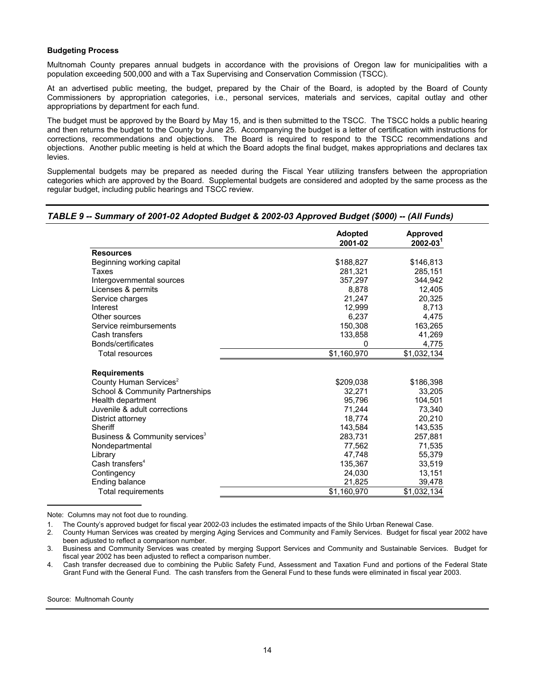#### **Budgeting Process**

Multnomah County prepares annual budgets in accordance with the provisions of Oregon law for municipalities with a population exceeding 500,000 and with a Tax Supervising and Conservation Commission (TSCC).

At an advertised public meeting, the budget, prepared by the Chair of the Board, is adopted by the Board of County Commissioners by appropriation categories, i.e., personal services, materials and services, capital outlay and other appropriations by department for each fund.

The budget must be approved by the Board by May 15, and is then submitted to the TSCC. The TSCC holds a public hearing and then returns the budget to the County by June 25. Accompanying the budget is a letter of certification with instructions for corrections, recommendations and objections. The Board is required to respond to the TSCC recommendations and objections. Another public meeting is held at which the Board adopts the final budget, makes appropriations and declares tax levies.

Supplemental budgets may be prepared as needed during the Fiscal Year utilizing transfers between the appropriation categories which are approved by the Board. Supplemental budgets are considered and adopted by the same process as the regular budget, including public hearings and TSCC review.

### *TABLE 9 -- Summary of 2001-02 Adopted Budget & 2002-03 Approved Budget (\$000) -- (All Funds)*

|                                            | <b>Adopted</b><br>2001-02 | <b>Approved</b><br>$2002 - 031$ |
|--------------------------------------------|---------------------------|---------------------------------|
| <b>Resources</b>                           |                           |                                 |
| Beginning working capital                  | \$188,827                 | \$146,813                       |
| Taxes                                      | 281,321                   | 285,151                         |
| Intergovernmental sources                  | 357,297                   | 344,942                         |
| Licenses & permits                         | 8.878                     | 12,405                          |
| Service charges                            | 21,247                    | 20,325                          |
| Interest                                   | 12.999                    | 8.713                           |
| Other sources                              | 6,237                     | 4,475                           |
| Service reimbursements                     | 150,308                   | 163,265                         |
| Cash transfers                             | 133,858                   | 41,269                          |
| Bonds/certificates                         | 0                         | 4,775                           |
| <b>Total resources</b>                     | \$1,160,970               | \$1,032,134                     |
| <b>Requirements</b>                        |                           |                                 |
| County Human Services <sup>2</sup>         | \$209,038                 | \$186,398                       |
| School & Community Partnerships            | 32,271                    | 33,205                          |
| Health department                          | 95,796                    | 104,501                         |
| Juvenile & adult corrections               | 71,244                    | 73,340                          |
| District attorney                          | 18.774                    | 20,210                          |
| Sheriff                                    | 143,584                   | 143.535                         |
| Business & Community services <sup>3</sup> | 283,731                   | 257,881                         |
| Nondepartmental                            | 77,562                    | 71,535                          |
| Library                                    | 47,748                    | 55,379                          |
| Cash transfers <sup>4</sup>                | 135,367                   | 33,519                          |
| Contingency                                | 24,030                    | 13,151                          |
| Ending balance                             | 21,825                    | 39,478                          |
| Total requirements                         | \$1.160.970               | \$1,032,134                     |

Note: Columns may not foot due to rounding.

1. The County's approved budget for fiscal year 2002-03 includes the estimated impacts of the Shilo Urban Renewal Case.

2. County Human Services was created by merging Aging Services and Community and Family Services. Budget for fiscal year 2002 have been adjusted to reflect a comparison number.

3. Business and Community Services was created by merging Support Services and Community and Sustainable Services. Budget for fiscal year 2002 has been adjusted to reflect a comparison number.

4. Cash transfer decreased due to combining the Public Safety Fund, Assessment and Taxation Fund and portions of the Federal State Grant Fund with the General Fund. The cash transfers from the General Fund to these funds were eliminated in fiscal year 2003.

Source: Multnomah County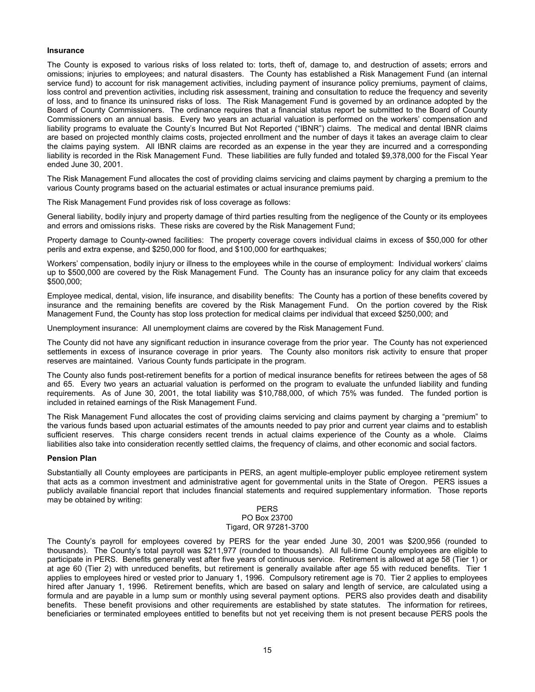### **Insurance**

The County is exposed to various risks of loss related to: torts, theft of, damage to, and destruction of assets; errors and omissions; injuries to employees; and natural disasters. The County has established a Risk Management Fund (an internal service fund) to account for risk management activities, including payment of insurance policy premiums, payment of claims, loss control and prevention activities, including risk assessment, training and consultation to reduce the frequency and severity of loss, and to finance its uninsured risks of loss. The Risk Management Fund is governed by an ordinance adopted by the Board of County Commissioners. The ordinance requires that a financial status report be submitted to the Board of County Commissioners on an annual basis. Every two years an actuarial valuation is performed on the workers' compensation and liability programs to evaluate the County's Incurred But Not Reported ("IBNR") claims. The medical and dental IBNR claims are based on projected monthly claims costs, projected enrollment and the number of days it takes an average claim to clear the claims paying system. All IBNR claims are recorded as an expense in the year they are incurred and a corresponding liability is recorded in the Risk Management Fund. These liabilities are fully funded and totaled \$9,378,000 for the Fiscal Year ended June 30, 2001.

The Risk Management Fund allocates the cost of providing claims servicing and claims payment by charging a premium to the various County programs based on the actuarial estimates or actual insurance premiums paid.

The Risk Management Fund provides risk of loss coverage as follows:

General liability, bodily injury and property damage of third parties resulting from the negligence of the County or its employees and errors and omissions risks. These risks are covered by the Risk Management Fund;

Property damage to County-owned facilities: The property coverage covers individual claims in excess of \$50,000 for other perils and extra expense, and \$250,000 for flood, and \$100,000 for earthquakes;

Workers' compensation, bodily injury or illness to the employees while in the course of employment: Individual workers' claims up to \$500,000 are covered by the Risk Management Fund. The County has an insurance policy for any claim that exceeds \$500,000;

Employee medical, dental, vision, life insurance, and disability benefits: The County has a portion of these benefits covered by insurance and the remaining benefits are covered by the Risk Management Fund. On the portion covered by the Risk Management Fund, the County has stop loss protection for medical claims per individual that exceed \$250,000; and

Unemployment insurance: All unemployment claims are covered by the Risk Management Fund.

The County did not have any significant reduction in insurance coverage from the prior year. The County has not experienced settlements in excess of insurance coverage in prior years. The County also monitors risk activity to ensure that proper reserves are maintained. Various County funds participate in the program.

The County also funds post-retirement benefits for a portion of medical insurance benefits for retirees between the ages of 58 and 65. Every two years an actuarial valuation is performed on the program to evaluate the unfunded liability and funding requirements. As of June 30, 2001, the total liability was \$10,788,000, of which 75% was funded. The funded portion is included in retained earnings of the Risk Management Fund.

The Risk Management Fund allocates the cost of providing claims servicing and claims payment by charging a "premium" to the various funds based upon actuarial estimates of the amounts needed to pay prior and current year claims and to establish sufficient reserves. This charge considers recent trends in actual claims experience of the County as a whole. Claims liabilities also take into consideration recently settled claims, the frequency of claims, and other economic and social factors.

#### **Pension Plan**

Substantially all County employees are participants in PERS, an agent multiple-employer public employee retirement system that acts as a common investment and administrative agent for governmental units in the State of Oregon. PERS issues a publicly available financial report that includes financial statements and required supplementary information. Those reports may be obtained by writing:

#### PERS PO Box 23700 Tigard, OR 97281-3700

The County's payroll for employees covered by PERS for the year ended June 30, 2001 was \$200,956 (rounded to thousands). The County's total payroll was \$211,977 (rounded to thousands). All full-time County employees are eligible to participate in PERS. Benefits generally vest after five years of continuous service. Retirement is allowed at age 58 (Tier 1) or at age 60 (Tier 2) with unreduced benefits, but retirement is generally available after age 55 with reduced benefits. Tier 1 applies to employees hired or vested prior to January 1, 1996. Compulsory retirement age is 70. Tier 2 applies to employees hired after January 1, 1996. Retirement benefits, which are based on salary and length of service, are calculated using a formula and are payable in a lump sum or monthly using several payment options. PERS also provides death and disability benefits. These benefit provisions and other requirements are established by state statutes. The information for retirees, beneficiaries or terminated employees entitled to benefits but not yet receiving them is not present because PERS pools the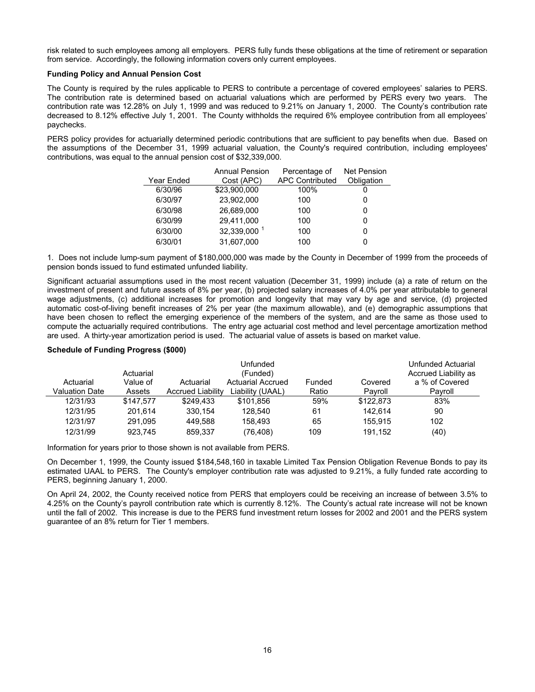risk related to such employees among all employers. PERS fully funds these obligations at the time of retirement or separation from service. Accordingly, the following information covers only current employees.

### **Funding Policy and Annual Pension Cost**

The County is required by the rules applicable to PERS to contribute a percentage of covered employees' salaries to PERS. The contribution rate is determined based on actuarial valuations which are performed by PERS every two years. The contribution rate was 12.28% on July 1, 1999 and was reduced to 9.21% on January 1, 2000. The County's contribution rate decreased to 8.12% effective July 1, 2001. The County withholds the required 6% employee contribution from all employees' paychecks.

PERS policy provides for actuarially determined periodic contributions that are sufficient to pay benefits when due. Based on the assumptions of the December 31, 1999 actuarial valuation, the County's required contribution, including employees' contributions, was equal to the annual pension cost of \$32,339,000.

|            | <b>Annual Pension</b> | Percentage of          | <b>Net Pension</b> |
|------------|-----------------------|------------------------|--------------------|
| Year Ended | Cost (APC)            | <b>APC Contributed</b> | Obligation         |
| 6/30/96    | \$23,900,000          | 100%                   |                    |
| 6/30/97    | 23,902,000            | 100                    |                    |
| 6/30/98    | 26.689.000            | 100                    |                    |
| 6/30/99    | 29,411,000            | 100                    |                    |
| 6/30/00    | 32,339,000 1          | 100                    |                    |
| 6/30/01    | 31.607.000            | 100                    |                    |

1. Does not include lump-sum payment of \$180,000,000 was made by the County in December of 1999 from the proceeds of pension bonds issued to fund estimated unfunded liability.

Significant actuarial assumptions used in the most recent valuation (December 31, 1999) include (a) a rate of return on the investment of present and future assets of 8% per year, (b) projected salary increases of 4.0% per year attributable to general wage adjustments, (c) additional increases for promotion and longevity that may vary by age and service, (d) projected automatic cost-of-living benefit increases of 2% per year (the maximum allowable), and (e) demographic assumptions that have been chosen to reflect the emerging experience of the members of the system, and are the same as those used to compute the actuarially required contributions. The entry age actuarial cost method and level percentage amortization method are used. A thirty-year amortization period is used. The actuarial value of assets is based on market value.

|                |           |                          | Unfunded                 |        |           | Unfunded Actuarial   |
|----------------|-----------|--------------------------|--------------------------|--------|-----------|----------------------|
|                | Actuarial |                          | (Funded)                 |        |           | Accrued Liability as |
| Actuarial      | Value of  | Actuarial                | <b>Actuarial Accrued</b> | Funded | Covered   | a % of Covered       |
| Valuation Date | Assets    | <b>Accrued Liability</b> | Liability (UAAL)         | Ratio  | Pavroll   | Pavroll              |
| 12/31/93       | \$147.577 | \$249.433                | \$101.856                | 59%    | \$122,873 | 83%                  |
| 12/31/95       | 201.614   | 330.154                  | 128.540                  | 61     | 142.614   | 90                   |
| 12/31/97       | 291.095   | 449.588                  | 158.493                  | 65     | 155.915   | 102                  |
| 12/31/99       | 923.745   | 859,337                  | (76,408)                 | 109    | 191.152   | (40)                 |

#### **Schedule of Funding Progress (\$000)**

Information for years prior to those shown is not available from PERS.

On December 1, 1999, the County issued \$184,548,160 in taxable Limited Tax Pension Obligation Revenue Bonds to pay its estimated UAAL to PERS. The County's employer contribution rate was adjusted to 9.21%, a fully funded rate according to PERS, beginning January 1, 2000.

On April 24, 2002, the County received notice from PERS that employers could be receiving an increase of between 3.5% to 4.25% on the County's payroll contribution rate which is currently 8.12%. The County's actual rate increase will not be known until the fall of 2002. This increase is due to the PERS fund investment return losses for 2002 and 2001 and the PERS system guarantee of an 8% return for Tier 1 members.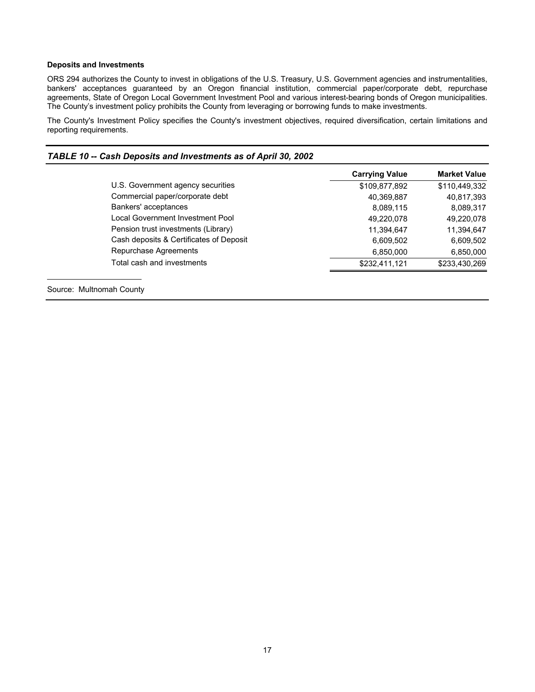### **Deposits and Investments**

ORS 294 authorizes the County to invest in obligations of the U.S. Treasury, U.S. Government agencies and instrumentalities, bankers' acceptances guaranteed by an Oregon financial institution, commercial paper/corporate debt, repurchase agreements, State of Oregon Local Government Investment Pool and various interest-bearing bonds of Oregon municipalities. The County's investment policy prohibits the County from leveraging or borrowing funds to make investments.

The County's Investment Policy specifies the County's investment objectives, required diversification, certain limitations and reporting requirements.

| TABLE 10 -- Cash Deposits and Investments as of April 30, 2002 |  |
|----------------------------------------------------------------|--|
|                                                                |  |

|                                         | <b>Carrying Value</b> | <b>Market Value</b> |
|-----------------------------------------|-----------------------|---------------------|
| U.S. Government agency securities       | \$109,877,892         | \$110,449,332       |
| Commercial paper/corporate debt         | 40,369,887            | 40,817,393          |
| Bankers' acceptances                    | 8,089,115             | 8,089,317           |
| Local Government Investment Pool        | 49,220,078            | 49,220,078          |
| Pension trust investments (Library)     | 11,394,647            | 11,394,647          |
| Cash deposits & Certificates of Deposit | 6,609,502             | 6,609,502           |
| Repurchase Agreements                   | 6,850,000             | 6,850,000           |
| Total cash and investments              | \$232,411,121         | \$233,430,269       |

Source: Multnomah County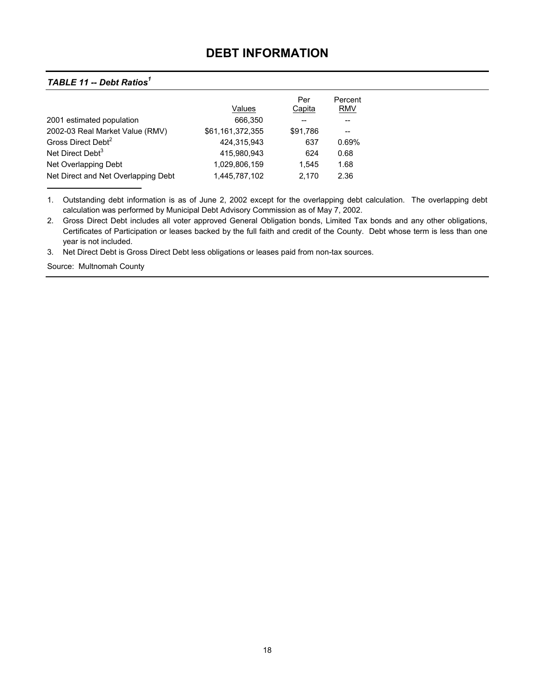## **DEBT INFORMATION**

### <span id="page-20-0"></span>*TABLE 11 -- Debt Ratios<sup>1</sup>*

|                                     |                  | Per      | Percent    |
|-------------------------------------|------------------|----------|------------|
|                                     | Values           | Capita   | <b>RMV</b> |
| 2001 estimated population           | 666,350          |          |            |
| 2002-03 Real Market Value (RMV)     | \$61,161,372,355 | \$91,786 |            |
| Gross Direct Debt <sup>2</sup>      | 424.315.943      | 637      | 0.69%      |
| Net Direct Debt <sup>3</sup>        | 415.980.943      | 624      | 0.68       |
| Net Overlapping Debt                | 1,029,806,159    | 1.545    | 1.68       |
| Net Direct and Net Overlapping Debt | 1,445,787,102    | 2.170    | 2.36       |
|                                     |                  |          |            |

1. Outstanding debt information is as of June 2, 2002 except for the overlapping debt calculation. The overlapping debt calculation was performed by Municipal Debt Advisory Commission as of May 7, 2002.

2. Gross Direct Debt includes all voter approved General Obligation bonds, Limited Tax bonds and any other obligations, Certificates of Participation or leases backed by the full faith and credit of the County. Debt whose term is less than one year is not included.

3. Net Direct Debt is Gross Direct Debt less obligations or leases paid from non-tax sources.

Source: Multnomah County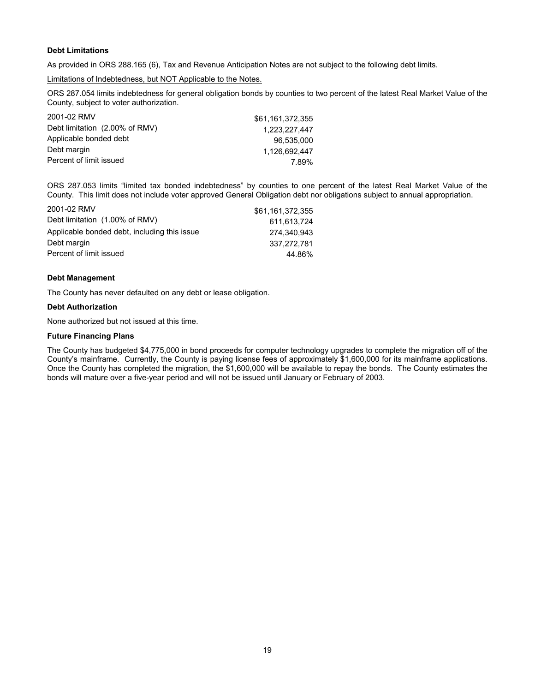### **Debt Limitations**

As provided in ORS 288.165 (6), Tax and Revenue Anticipation Notes are not subject to the following debt limits.

Limitations of Indebtedness, but NOT Applicable to the Notes.

ORS 287.054 limits indebtedness for general obligation bonds by counties to two percent of the latest Real Market Value of the County, subject to voter authorization.

| 2001-02 RMV                    | \$61.161.372.355 |
|--------------------------------|------------------|
| Debt limitation (2.00% of RMV) | 1.223.227.447    |
| Applicable bonded debt         | 96.535.000       |
| Debt margin                    | 1.126.692.447    |
| Percent of limit issued        | 7.89%            |

ORS 287.053 limits "limited tax bonded indebtedness" by counties to one percent of the latest Real Market Value of the County. This limit does not include voter approved General Obligation debt nor obligations subject to annual appropriation.

| 2001-02 RMV                                  | \$61.161.372.355 |
|----------------------------------------------|------------------|
| Debt limitation (1.00% of RMV)               | 611.613.724      |
| Applicable bonded debt, including this issue | 274.340.943      |
| Debt margin                                  | 337.272.781      |
| Percent of limit issued                      | 44.86%           |

#### **Debt Management**

The County has never defaulted on any debt or lease obligation.

### **Debt Authorization**

None authorized but not issued at this time.

### **Future Financing Plans**

The County has budgeted \$4,775,000 in bond proceeds for computer technology upgrades to complete the migration off of the County's mainframe. Currently, the County is paying license fees of approximately \$1,600,000 for its mainframe applications. Once the County has completed the migration, the \$1,600,000 will be available to repay the bonds. The County estimates the bonds will mature over a five-year period and will not be issued until January or February of 2003.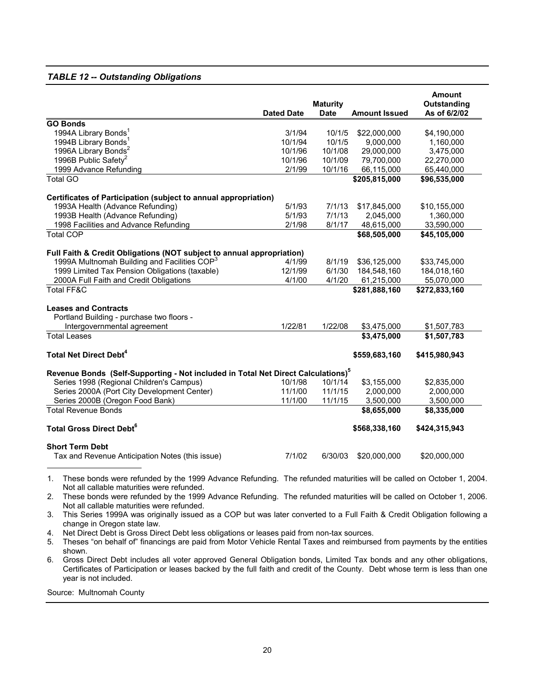### *TABLE 12 -- Outstanding Obligations*

|                                                                                              | <b>Dated Date</b> | <b>Maturity</b><br><b>Date</b> | <b>Amount Issued</b> | <b>Amount</b><br>Outstanding<br>As of 6/2/02 |
|----------------------------------------------------------------------------------------------|-------------------|--------------------------------|----------------------|----------------------------------------------|
| <b>GO Bonds</b>                                                                              |                   |                                |                      |                                              |
| 1994A Library Bonds <sup>1</sup>                                                             | 3/1/94            | 10/1/5                         | \$22,000,000         | \$4,190,000                                  |
| 1994B Library Bonds <sup>1</sup>                                                             | 10/1/94           | 10/1/5                         | 9,000,000            | 1,160,000                                    |
| 1996A Library Bonds <sup>2</sup>                                                             | 10/1/96           | 10/1/08                        | 29,000,000           | 3,475,000                                    |
| 1996B Public Safety <sup>2</sup>                                                             | 10/1/96           | 10/1/09                        | 79,700,000           | 22,270,000                                   |
| 1999 Advance Refunding                                                                       | 2/1/99            | 10/1/16                        | 66,115,000           | 65,440,000                                   |
| <b>Total GO</b>                                                                              |                   |                                | \$205,815,000        | \$96,535,000                                 |
| Certificates of Participation (subject to annual appropriation)                              |                   |                                |                      |                                              |
| 1993A Health (Advance Refunding)                                                             | 5/1/93            | 7/1/13                         | \$17,845,000         | \$10,155,000                                 |
| 1993B Health (Advance Refunding)                                                             | 5/1/93            | 7/1/13                         | 2,045,000            | 1,360,000                                    |
| 1998 Facilities and Advance Refunding                                                        | 2/1/98            | 8/1/17                         | 48,615,000           | 33,590,000                                   |
| <b>Total COP</b>                                                                             |                   |                                | \$68,505,000         | \$45,105,000                                 |
| Full Faith & Credit Obligations (NOT subject to annual appropriation)                        |                   |                                |                      |                                              |
| 1999A Multnomah Building and Facilities COP <sup>3</sup>                                     | 4/1/99            | 8/1/19                         | \$36,125,000         | \$33,745,000                                 |
| 1999 Limited Tax Pension Obligations (taxable)                                               | 12/1/99           | 6/1/30                         | 184,548,160          | 184,018,160                                  |
| 2000A Full Faith and Credit Obligations                                                      | 4/1/00            | 4/1/20                         | 61,215,000           | 55,070,000                                   |
| <b>Total FF&amp;C</b>                                                                        |                   |                                | \$281,888,160        | \$272,833,160                                |
| <b>Leases and Contracts</b>                                                                  |                   |                                |                      |                                              |
| Portland Building - purchase two floors -                                                    |                   |                                |                      |                                              |
| Intergovernmental agreement                                                                  | 1/22/81           | 1/22/08                        | \$3,475,000          | \$1,507,783                                  |
| <b>Total Leases</b>                                                                          |                   |                                | \$3,475,000          | \$1,507,783                                  |
| <b>Total Net Direct Debt<sup>4</sup></b>                                                     |                   |                                | \$559,683,160        | \$415,980,943                                |
| Revenue Bonds (Self-Supporting - Not included in Total Net Direct Calculations) <sup>5</sup> |                   |                                |                      |                                              |
| Series 1998 (Regional Children's Campus)                                                     | 10/1/98           | 10/1/14                        | \$3,155,000          | \$2,835,000                                  |
| Series 2000A (Port City Development Center)                                                  | 11/1/00           | 11/1/15                        | 2,000,000            | 2,000,000                                    |
| Series 2000B (Oregon Food Bank)                                                              | 11/1/00           | 11/1/15                        | 3,500,000            | 3,500,000                                    |
| <b>Total Revenue Bonds</b>                                                                   |                   |                                | \$8,655,000          | \$8,335,000                                  |
| <b>Total Gross Direct Debt<sup>6</sup></b>                                                   |                   |                                | \$568,338,160        | \$424,315,943                                |
| <b>Short Term Debt</b>                                                                       |                   |                                |                      |                                              |
| Tax and Revenue Anticipation Notes (this issue)                                              | 7/1/02            | 6/30/03                        | \$20,000,000         | \$20,000,000                                 |
|                                                                                              |                   |                                |                      |                                              |

1. These bonds were refunded by the 1999 Advance Refunding. The refunded maturities will be called on October 1, 2004. Not all callable maturities were refunded.

2. These bonds were refunded by the 1999 Advance Refunding. The refunded maturities will be called on October 1, 2006. Not all callable maturities were refunded.

3. This Series 1999A was originally issued as a COP but was later converted to a Full Faith & Credit Obligation following a change in Oregon state law.

4. Net Direct Debt is Gross Direct Debt less obligations or leases paid from non-tax sources.

5. Theses "on behalf of" financings are paid from Motor Vehicle Rental Taxes and reimbursed from payments by the entities shown.

6. Gross Direct Debt includes all voter approved General Obligation bonds, Limited Tax bonds and any other obligations, Certificates of Participation or leases backed by the full faith and credit of the County. Debt whose term is less than one year is not included.

Source: Multnomah County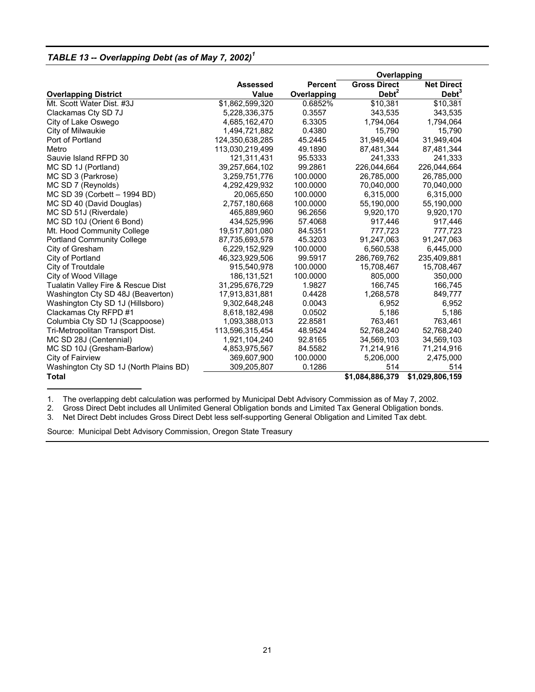### *TABLE 13 -- Overlapping Debt (as of May 7, 2002)<sup>1</sup>*

|                                        |                 |                | Overlapping         |                   |  |
|----------------------------------------|-----------------|----------------|---------------------|-------------------|--|
|                                        | <b>Assessed</b> | <b>Percent</b> | <b>Gross Direct</b> | <b>Net Direct</b> |  |
| <b>Overlapping District</b>            | <b>Value</b>    | Overlapping    | Debt $2$            | Debt <sup>3</sup> |  |
| Mt. Scott Water Dist. #3J              | \$1,862,599,320 | 0.6852%        | \$10,381            | \$10,381          |  |
| Clackamas Cty SD 7J                    | 5,228,336,375   | 0.3557         | 343,535             | 343,535           |  |
| City of Lake Oswego                    | 4,685,162,470   | 6.3305         | 1,794,064           | 1,794,064         |  |
| City of Milwaukie                      | 1,494,721,882   | 0.4380         | 15,790              | 15,790            |  |
| Port of Portland                       | 124,350,638,285 | 45.2445        | 31,949,404          | 31,949,404        |  |
| Metro                                  | 113,030,219,499 | 49.1890        | 87,481,344          | 87,481,344        |  |
| Sauvie Island RFPD 30                  | 121,311,431     | 95.5333        | 241,333             | 241.333           |  |
| MC SD 1J (Portland)                    | 39,257,664,102  | 99.2861        | 226,044,664         | 226,044,664       |  |
| MC SD 3 (Parkrose)                     | 3,259,751,776   | 100.0000       | 26.785.000          | 26,785,000        |  |
| MC SD 7 (Reynolds)                     | 4,292,429,932   | 100.0000       | 70,040,000          | 70,040,000        |  |
| MC SD 39 (Corbett - 1994 BD)           | 20,065,650      | 100.0000       | 6,315,000           | 6,315,000         |  |
| MC SD 40 (David Douglas)               | 2.757.180.668   | 100.0000       | 55,190,000          | 55,190,000        |  |
| MC SD 51J (Riverdale)                  | 465,889,960     | 96.2656        | 9,920,170           | 9,920,170         |  |
| MC SD 10J (Orient 6 Bond)              | 434,525,996     | 57.4068        | 917,446             | 917,446           |  |
| Mt. Hood Community College             | 19.517.801.080  | 84.5351        | 777.723             | 777.723           |  |
| <b>Portland Community College</b>      | 87,735,693,578  | 45.3203        | 91,247,063          | 91,247,063        |  |
| City of Gresham                        | 6,229,152,929   | 100.0000       | 6,560,538           | 6,445,000         |  |
| City of Portland                       | 46,323,929,506  | 99.5917        | 286,769,762         | 235,409,881       |  |
| City of Troutdale                      | 915.540.978     | 100.0000       | 15,708,467          | 15,708,467        |  |
| City of Wood Village                   | 186, 131, 521   | 100.0000       | 805,000             | 350,000           |  |
| Tualatin Valley Fire & Rescue Dist     | 31,295,676,729  | 1.9827         | 166,745             | 166,745           |  |
| Washington Cty SD 48J (Beaverton)      | 17,913,831,881  | 0.4428         | 1,268,578           | 849,777           |  |
| Washington Cty SD 1J (Hillsboro)       | 9,302,648,248   | 0.0043         | 6,952               | 6,952             |  |
| Clackamas Cty RFPD #1                  | 8,618,182,498   | 0.0502         | 5,186               | 5,186             |  |
| Columbia Cty SD 1J (Scappoose)         | 1,093,388,013   | 22.8581        | 763,461             | 763,461           |  |
| Tri-Metropolitan Transport Dist.       | 113,596,315,454 | 48.9524        | 52,768,240          | 52,768,240        |  |
| MC SD 28J (Centennial)                 | 1,921,104,240   | 92.8165        | 34,569,103          | 34,569,103        |  |
| MC SD 10J (Gresham-Barlow)             | 4,853,975,567   | 84.5582        | 71,214,916          | 71,214,916        |  |
| City of Fairview                       | 369,607,900     | 100.0000       | 5,206,000           | 2,475,000         |  |
| Washington Cty SD 1J (North Plains BD) | 309,205,807     | 0.1286         | 514                 | 514               |  |
| <b>Total</b>                           |                 |                | \$1,084,886,379     | \$1,029,806,159   |  |
|                                        |                 |                |                     |                   |  |

1. The overlapping debt calculation was performed by Municipal Debt Advisory Commission as of May 7, 2002.<br>2. Gross Direct Debt includes all Unlimited General Obligation bonds and Limited Tax General Obligation bonds

2. Gross Direct Debt includes all Unlimited General Obligation bonds and Limited Tax General Obligation bonds.<br>3. Net Direct Debt includes Gross Direct Debt less self-supporting General Obligation and Limited Tax debt.

Net Direct Debt includes Gross Direct Debt less self-supporting General Obligation and Limited Tax debt.

Source: Municipal Debt Advisory Commission, Oregon State Treasury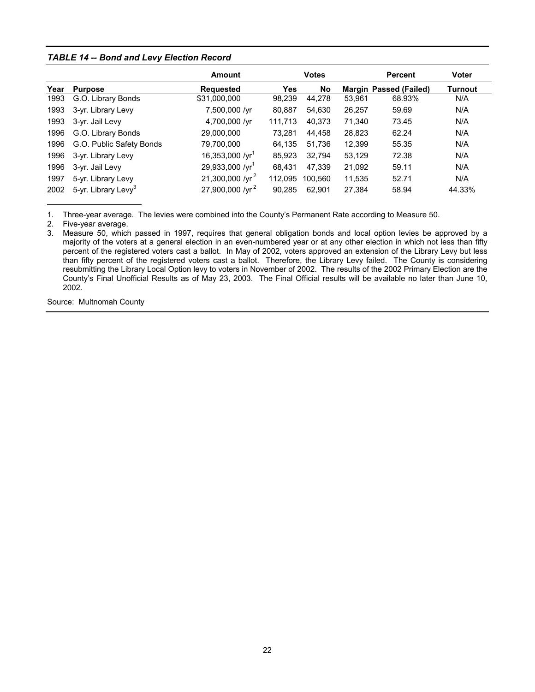### *TABLE 14 -- Bond and Levy Election Record*

|      |                                 | Amount                      |            | <b>Votes</b> |        | <b>Percent</b>                | <b>Voter</b> |
|------|---------------------------------|-----------------------------|------------|--------------|--------|-------------------------------|--------------|
| Year | <b>Purpose</b>                  | <b>Requested</b>            | <b>Yes</b> | No           |        | <b>Margin Passed (Failed)</b> | Turnout      |
| 1993 | G.O. Library Bonds              | \$31,000,000                | 98,239     | 44,278       | 53,961 | 68.93%                        | N/A          |
| 1993 | 3-yr. Library Levy              | 7,500,000 /yr               | 80,887     | 54,630       | 26,257 | 59.69                         | N/A          |
| 1993 | 3-yr. Jail Levy                 | 4,700,000 /yr               | 111,713    | 40,373       | 71,340 | 73.45                         | N/A          |
| 1996 | G.O. Library Bonds              | 29,000,000                  | 73,281     | 44,458       | 28,823 | 62.24                         | N/A          |
| 1996 | G.O. Public Safety Bonds        | 79,700,000                  | 64.135     | 51,736       | 12,399 | 55.35                         | N/A          |
| 1996 | 3-yr. Library Levy              | 16,353,000 /yr <sup>1</sup> | 85,923     | 32,794       | 53,129 | 72.38                         | N/A          |
| 1996 | 3-yr. Jail Levy                 | 29,933,000 /yr <sup>1</sup> | 68,431     | 47,339       | 21,092 | 59.11                         | N/A          |
| 1997 | 5-yr. Library Levy              | 21,300,000 /yr <sup>2</sup> | 112,095    | 100.560      | 11,535 | 52.71                         | N/A          |
| 2002 | 5-yr. Library Levy <sup>3</sup> | 27,900,000 /yr <sup>2</sup> | 90,285     | 62.901       | 27,384 | 58.94                         | 44.33%       |

1. Three-year average. The levies were combined into the County's Permanent Rate according to Measure 50.

2. Five-year average.

3. Measure 50, which passed in 1997, requires that general obligation bonds and local option levies be approved by a majority of the voters at a general election in an even-numbered year or at any other election in which not less than fifty percent of the registered voters cast a ballot. In May of 2002, voters approved an extension of the Library Levy but less than fifty percent of the registered voters cast a ballot. Therefore, the Library Levy failed. The County is considering resubmitting the Library Local Option levy to voters in November of 2002. The results of the 2002 Primary Election are the County's Final Unofficial Results as of May 23, 2003. The Final Official results will be available no later than June 10, 2002.

Source: Multnomah County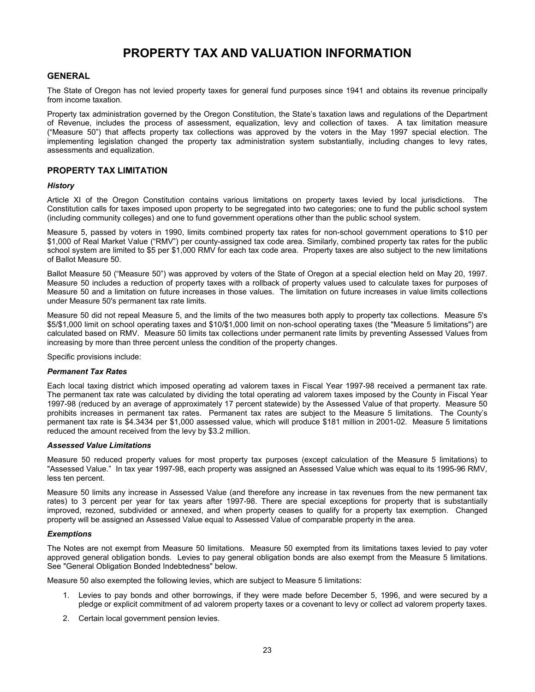## **PROPERTY TAX AND VALUATION INFORMATION**

### <span id="page-25-0"></span>**GENERAL**

The State of Oregon has not levied property taxes for general fund purposes since 1941 and obtains its revenue principally from income taxation.

Property tax administration governed by the Oregon Constitution, the State's taxation laws and regulations of the Department of Revenue, includes the process of assessment, equalization, levy and collection of taxes. A tax limitation measure ("Measure 50") that affects property tax collections was approved by the voters in the May 1997 special election. The implementing legislation changed the property tax administration system substantially, including changes to levy rates, assessments and equalization.

### **PROPERTY TAX LIMITATION**

#### *History*

Article XI of the Oregon Constitution contains various limitations on property taxes levied by local jurisdictions. The Constitution calls for taxes imposed upon property to be segregated into two categories; one to fund the public school system (including community colleges) and one to fund government operations other than the public school system.

Measure 5, passed by voters in 1990, limits combined property tax rates for non-school government operations to \$10 per \$1,000 of Real Market Value ("RMV") per county-assigned tax code area. Similarly, combined property tax rates for the public school system are limited to \$5 per \$1,000 RMV for each tax code area. Property taxes are also subject to the new limitations of Ballot Measure 50.

Ballot Measure 50 ("Measure 50") was approved by voters of the State of Oregon at a special election held on May 20, 1997. Measure 50 includes a reduction of property taxes with a rollback of property values used to calculate taxes for purposes of Measure 50 and a limitation on future increases in those values. The limitation on future increases in value limits collections under Measure 50's permanent tax rate limits.

Measure 50 did not repeal Measure 5, and the limits of the two measures both apply to property tax collections. Measure 5's \$5/\$1,000 limit on school operating taxes and \$10/\$1,000 limit on non-school operating taxes (the "Measure 5 limitations") are calculated based on RMV. Measure 50 limits tax collections under permanent rate limits by preventing Assessed Values from increasing by more than three percent unless the condition of the property changes.

Specific provisions include:

#### *Permanent Tax Rates*

Each local taxing district which imposed operating ad valorem taxes in Fiscal Year 1997-98 received a permanent tax rate. The permanent tax rate was calculated by dividing the total operating ad valorem taxes imposed by the County in Fiscal Year 1997-98 (reduced by an average of approximately 17 percent statewide) by the Assessed Value of that property. Measure 50 prohibits increases in permanent tax rates. Permanent tax rates are subject to the Measure 5 limitations. The County's permanent tax rate is \$4.3434 per \$1,000 assessed value, which will produce \$181 million in 2001-02. Measure 5 limitations reduced the amount received from the levy by \$3.2 million.

#### *Assessed Value Limitations*

Measure 50 reduced property values for most property tax purposes (except calculation of the Measure 5 limitations) to "Assessed Value." In tax year 1997-98, each property was assigned an Assessed Value which was equal to its 1995-96 RMV, less ten percent.

Measure 50 limits any increase in Assessed Value (and therefore any increase in tax revenues from the new permanent tax rates) to 3 percent per year for tax years after 1997-98. There are special exceptions for property that is substantially improved, rezoned, subdivided or annexed, and when property ceases to qualify for a property tax exemption. Changed property will be assigned an Assessed Value equal to Assessed Value of comparable property in the area.

#### *Exemptions*

The Notes are not exempt from Measure 50 limitations. Measure 50 exempted from its limitations taxes levied to pay voter approved general obligation bonds. Levies to pay general obligation bonds are also exempt from the Measure 5 limitations. See "General Obligation Bonded Indebtedness" below.

Measure 50 also exempted the following levies, which are subject to Measure 5 limitations:

- 1. Levies to pay bonds and other borrowings, if they were made before December 5, 1996, and were secured by a pledge or explicit commitment of ad valorem property taxes or a covenant to levy or collect ad valorem property taxes.
- 2. Certain local government pension levies.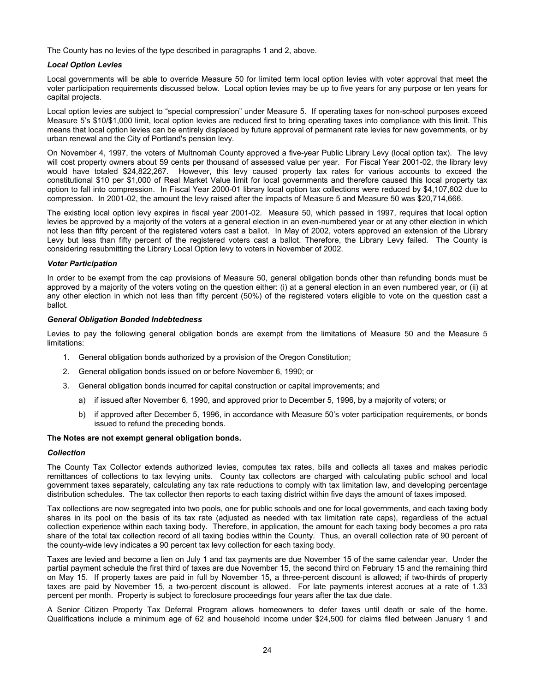The County has no levies of the type described in paragraphs 1 and 2, above.

### *Local Option Levies*

Local governments will be able to override Measure 50 for limited term local option levies with voter approval that meet the voter participation requirements discussed below. Local option levies may be up to five years for any purpose or ten years for capital projects.

Local option levies are subject to "special compression" under Measure 5. If operating taxes for non-school purposes exceed Measure 5's \$10/\$1,000 limit, local option levies are reduced first to bring operating taxes into compliance with this limit. This means that local option levies can be entirely displaced by future approval of permanent rate levies for new governments, or by urban renewal and the City of Portland's pension levy.

On November 4, 1997, the voters of Multnomah County approved a five-year Public Library Levy (local option tax). The levy will cost property owners about 59 cents per thousand of assessed value per year. For Fiscal Year 2001-02, the library levy would have totaled \$24,822,267. However, this levy caused property tax rates for various accounts to exceed the constitutional \$10 per \$1,000 of Real Market Value limit for local governments and therefore caused this local property tax option to fall into compression. In Fiscal Year 2000-01 library local option tax collections were reduced by \$4,107,602 due to compression. In 2001-02, the amount the levy raised after the impacts of Measure 5 and Measure 50 was \$20,714,666.

The existing local option levy expires in fiscal year 2001-02. Measure 50, which passed in 1997, requires that local option levies be approved by a majority of the voters at a general election in an even-numbered year or at any other election in which not less than fifty percent of the registered voters cast a ballot. In May of 2002, voters approved an extension of the Library Levy but less than fifty percent of the registered voters cast a ballot. Therefore, the Library Levy failed. The County is considering resubmitting the Library Local Option levy to voters in November of 2002.

#### *Voter Participation*

In order to be exempt from the cap provisions of Measure 50, general obligation bonds other than refunding bonds must be approved by a majority of the voters voting on the question either: (i) at a general election in an even numbered year, or (ii) at any other election in which not less than fifty percent (50%) of the registered voters eligible to vote on the question cast a ballot.

#### *General Obligation Bonded Indebtedness*

Levies to pay the following general obligation bonds are exempt from the limitations of Measure 50 and the Measure 5 limitations:

- 1. General obligation bonds authorized by a provision of the Oregon Constitution;
- 2. General obligation bonds issued on or before November 6, 1990; or
- 3. General obligation bonds incurred for capital construction or capital improvements; and
	- a) if issued after November 6, 1990, and approved prior to December 5, 1996, by a majority of voters; or
	- b) if approved after December 5, 1996, in accordance with Measure 50's voter participation requirements, or bonds issued to refund the preceding bonds.

#### **The Notes are not exempt general obligation bonds.**

#### *Collection*

The County Tax Collector extends authorized levies, computes tax rates, bills and collects all taxes and makes periodic remittances of collections to tax levying units. County tax collectors are charged with calculating public school and local government taxes separately, calculating any tax rate reductions to comply with tax limitation law, and developing percentage distribution schedules. The tax collector then reports to each taxing district within five days the amount of taxes imposed.

Tax collections are now segregated into two pools, one for public schools and one for local governments, and each taxing body shares in its pool on the basis of its tax rate (adjusted as needed with tax limitation rate caps), regardless of the actual collection experience within each taxing body. Therefore, in application, the amount for each taxing body becomes a pro rata share of the total tax collection record of all taxing bodies within the County. Thus, an overall collection rate of 90 percent of the county-wide levy indicates a 90 percent tax levy collection for each taxing body.

Taxes are levied and become a lien on July 1 and tax payments are due November 15 of the same calendar year. Under the partial payment schedule the first third of taxes are due November 15, the second third on February 15 and the remaining third on May 15. If property taxes are paid in full by November 15, a three-percent discount is allowed; if two-thirds of property taxes are paid by November 15, a two-percent discount is allowed. For late payments interest accrues at a rate of 1.33 percent per month. Property is subject to foreclosure proceedings four years after the tax due date.

A Senior Citizen Property Tax Deferral Program allows homeowners to defer taxes until death or sale of the home. Qualifications include a minimum age of 62 and household income under \$24,500 for claims filed between January 1 and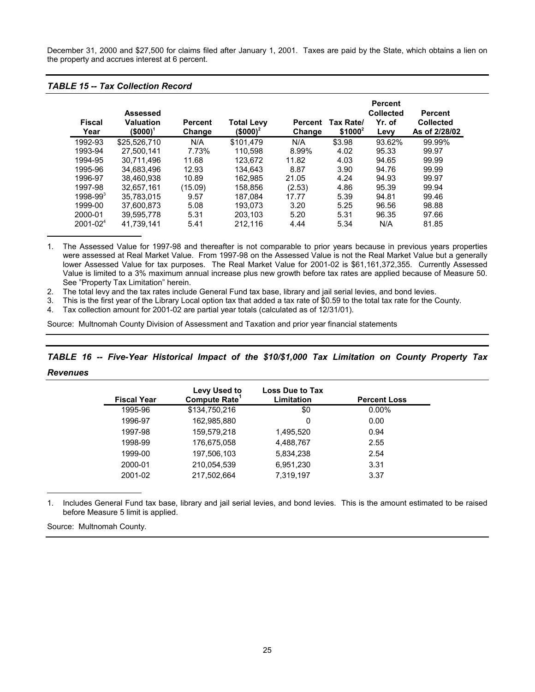December 31, 2000 and \$27,500 for claims filed after January 1, 2001. Taxes are paid by the State, which obtains a lien on the property and accrues interest at 6 percent.

### *TABLE 15 -- Tax Collection Record*

| <b>Fiscal</b><br>Year | <b>Assessed</b><br><b>Valuation</b><br>(\$000) <sup>1</sup> | <b>Percent</b><br>Change | <b>Total Levy</b><br>$$000$ <sup>2</sup> | <b>Percent</b><br>Change | Tax Rate/<br>$$1000^2$ | <b>Percent</b><br><b>Collected</b><br>Yr. of<br>Levy | <b>Percent</b><br><b>Collected</b><br>As of 2/28/02 |
|-----------------------|-------------------------------------------------------------|--------------------------|------------------------------------------|--------------------------|------------------------|------------------------------------------------------|-----------------------------------------------------|
| 1992-93               | \$25.526.710                                                | N/A                      | \$101.479                                | N/A                      | \$3.98                 | 93.62%                                               | 99.99%                                              |
| 1993-94               | 27.500.141                                                  | 7.73%                    | 110.598                                  | 8.99%                    | 4.02                   | 95.33                                                | 99.97                                               |
| 1994-95               | 30.711.496                                                  | 11.68                    | 123.672                                  | 11.82                    | 4.03                   | 94.65                                                | 99.99                                               |
| 1995-96               | 34.683.496                                                  | 12.93                    | 134.643                                  | 8.87                     | 3.90                   | 94.76                                                | 99.99                                               |
| 1996-97               | 38.460.938                                                  | 10.89                    | 162.985                                  | 21.05                    | 4.24                   | 94.93                                                | 99.97                                               |
| 1997-98               | 32.657.161                                                  | (15.09)                  | 158,856                                  | (2.53)                   | 4.86                   | 95.39                                                | 99.94                                               |
| $1998 - 993$          | 35.783.015                                                  | 9.57                     | 187.084                                  | 17.77                    | 5.39                   | 94.81                                                | 99.46                                               |
| 1999-00               | 37.600.873                                                  | 5.08                     | 193.073                                  | 3.20                     | 5.25                   | 96.56                                                | 98.88                                               |
| 2000-01               | 39.595.778                                                  | 5.31                     | 203.103                                  | 5.20                     | 5.31                   | 96.35                                                | 97.66                                               |
| $2001 - 024$          | 41.739.141                                                  | 5.41                     | 212,116                                  | 4.44                     | 5.34                   | N/A                                                  | 81.85                                               |

1. The Assessed Value for 1997-98 and thereafter is not comparable to prior years because in previous years properties were assessed at Real Market Value. From 1997-98 on the Assessed Value is not the Real Market Value but a generally lower Assessed Value for tax purposes. The Real Market Value for 2001-02 is \$61,161,372,355. Currently Assessed Value is limited to a 3% maximum annual increase plus new growth before tax rates are applied because of Measure 50. See "Property Tax Limitation" herein.

2. The total levy and the tax rates include General Fund tax base, library and jail serial levies, and bond levies.

3. This is the first year of the Library Local option tax that added a tax rate of \$0.59 to the total tax rate for the County.

4. Tax collection amount for 2001-02 are partial year totals (calculated as of 12/31/01).

Source: Multnomah County Division of Assessment and Taxation and prior year financial statements

*TABLE 16 -- Five-Year Historical Impact of the \$10/\$1,000 Tax Limitation on County Property Tax* 

| <b>Fiscal Year</b> | Levy Used to<br>Compute Rate <sup>1</sup> | <b>Loss Due to Tax</b><br>Limitation | <b>Percent Loss</b> |
|--------------------|-------------------------------------------|--------------------------------------|---------------------|
| 1995-96            | \$134,750,216                             | \$0                                  | $0.00\%$            |
| 1996-97            | 162,985,880                               | 0                                    | 0.00                |
| 1997-98            | 159,579,218                               | 1,495,520                            | 0.94                |
| 1998-99            | 176,675,058                               | 4,488,767                            | 2.55                |
| 1999-00            | 197,506,103                               | 5,834,238                            | 2.54                |
| 2000-01            | 210,054,539                               | 6,951,230                            | 3.31                |
| 2001-02            | 217.502.664                               | 7,319,197                            | 3.37                |

1. Includes General Fund tax base, library and jail serial levies, and bond levies. This is the amount estimated to be raised before Measure 5 limit is applied.

Source: Multnomah County.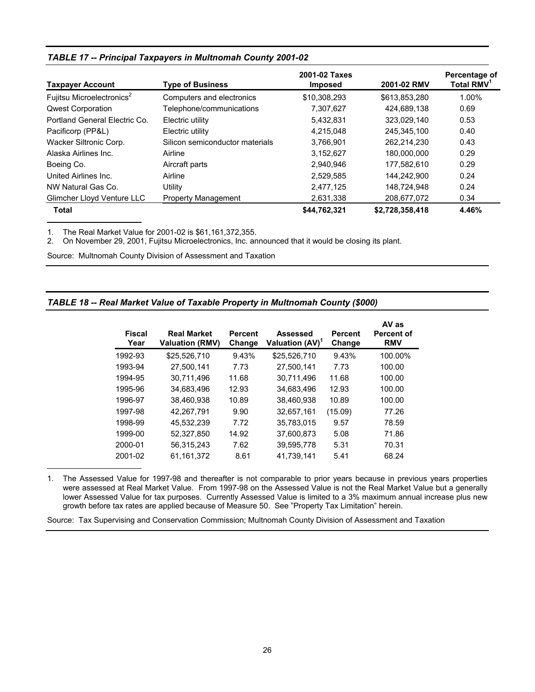| <b>Taxpayer Account</b>               | <b>Type of Business</b>         | 2001-02 Taxes<br><b>Imposed</b> | 2001-02 RMV     | Percentage of<br>Total RMV <sup>1</sup> |
|---------------------------------------|---------------------------------|---------------------------------|-----------------|-----------------------------------------|
| Fujitsu Microelectronics <sup>2</sup> | Computers and electronics       | \$10.308.293                    | \$613.853.280   | 1.00%                                   |
| <b>Qwest Corporation</b>              | Telephone/communications        | 7,307,627                       | 424,689,138     | 0.69                                    |
| Portland General Electric Co.         | Electric utility                | 5,432,831                       | 323,029,140     | 0.53                                    |
| Pacificorp (PP&L)                     | Electric utility                | 4.215.048                       | 245.345.100     | 0.40                                    |
| Wacker Siltronic Corp.                | Silicon semiconductor materials | 3,766,901                       | 262.214.230     | 0.43                                    |
| Alaska Airlines Inc.                  | Airline                         | 3,152,627                       | 180.000.000     | 0.29                                    |
| Boeing Co.                            | Aircraft parts                  | 2,940,946                       | 177.582.610     | 0.29                                    |
| United Airlines Inc.                  | Airline                         | 2,529,585                       | 144.242.900     | 0.24                                    |
| NW Natural Gas Co.                    | Utility                         | 2,477,125                       | 148,724,948     | 0.24                                    |
| Glimcher Lloyd Venture LLC            | <b>Property Management</b>      | 2,631,338                       | 208,677,072     | 0.34                                    |
| <b>Total</b>                          |                                 | \$44,762,321                    | \$2,728,358,418 | 4.46%                                   |

### *TABLE 17 -- Principal Taxpayers in Multnomah County 2001-02*

1. The Real Market Value for 2001-02 is \$61,161,372,355.

2. On November 29, 2001, Fujitsu Microelectronics, Inc. announced that it would be closing its plant.

Source: Multnomah County Division of Assessment and Taxation

### *TABLE 18 -- Real Market Value of Taxable Property in Multnomah County (\$000)*

| <b>Fiscal</b><br>Year | <b>Real Market</b><br><b>Valuation (RMV)</b> | <b>Percent</b><br>Change | Assessed<br>Valuation (AV) <sup>1</sup> | <b>Percent</b><br>Change | AV as<br><b>Percent of</b><br><b>RMV</b> |
|-----------------------|----------------------------------------------|--------------------------|-----------------------------------------|--------------------------|------------------------------------------|
| 1992-93               | \$25,526,710                                 | 9.43%                    | \$25,526,710                            | 9.43%                    | 100.00%                                  |
| 1993-94               | 27.500.141                                   | 7.73                     | 27,500,141                              | 7.73                     | 100.00                                   |
| 1994-95               | 30.711.496                                   | 11.68                    | 30.711.496                              | 11.68                    | 100.00                                   |
| 1995-96               | 34.683.496                                   | 12.93                    | 34.683.496                              | 12.93                    | 100.00                                   |
| 1996-97               | 38.460.938                                   | 10.89                    | 38.460.938                              | 10.89                    | 100.00                                   |
| 1997-98               | 42.267.791                                   | 9.90                     | 32,657,161                              | (15.09)                  | 77.26                                    |
| 1998-99               | 45,532,239                                   | 7.72                     | 35,783,015                              | 9.57                     | 78.59                                    |
| 1999-00               | 52.327.850                                   | 14.92                    | 37.600.873                              | 5.08                     | 71.86                                    |
| 2000-01               | 56.315.243                                   | 7.62                     | 39.595.778                              | 5.31                     | 70.31                                    |
| 2001-02               | 61.161.372                                   | 8.61                     | 41.739.141                              | 5.41                     | 68.24                                    |

1. The Assessed Value for 1997-98 and thereafter is not comparable to prior years because in previous years properties were assessed at Real Market Value. From 1997-98 on the Assessed Value is not the Real Market Value but a generally lower Assessed Value for tax purposes. Currently Assessed Value is limited to a 3% maximum annual increase plus new growth before tax rates are applied because of Measure 50. See "Property Tax Limitation" herein.

Source: Tax Supervising and Conservation Commission; Multnomah County Division of Assessment and Taxation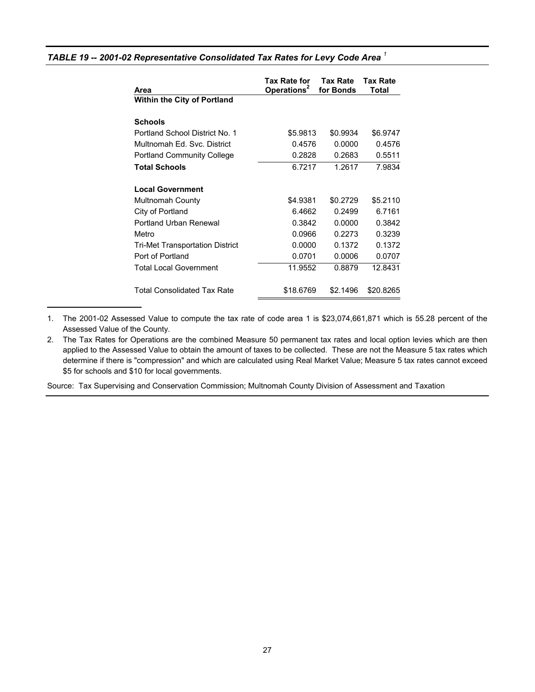| Area                                   | Tax Rate for<br>Operations <sup>2</sup> | Tax Rate<br>for Bonds | Tax Rate<br>Total |
|----------------------------------------|-----------------------------------------|-----------------------|-------------------|
| <b>Within the City of Portland</b>     |                                         |                       |                   |
| <b>Schools</b>                         |                                         |                       |                   |
| Portland School District No. 1         | \$5.9813                                | \$0.9934              | \$6.9747          |
| Multnomah Ed. Svc. District            | 0.4576                                  | 0.0000                | 0.4576            |
| <b>Portland Community College</b>      | 0.2828                                  | 0.2683                | 0.5511            |
| <b>Total Schools</b>                   | 6.7217                                  | 1.2617                | 7.9834            |
| <b>Local Government</b>                |                                         |                       |                   |
| Multnomah County                       | \$4.9381                                | \$0.2729              | \$5.2110          |
| City of Portland                       | 6.4662                                  | 0.2499                | 6.7161            |
| <b>Portland Urban Renewal</b>          | 0.3842                                  | 0.0000                | 0.3842            |
| Metro                                  | 0.0966                                  | 0.2273                | 0.3239            |
| <b>Tri-Met Transportation District</b> | 0.0000                                  | 0.1372                | 0.1372            |
| Port of Portland                       | 0.0701                                  | 0.0006                | 0.0707            |
| <b>Total Local Government</b>          | 11.9552                                 | 0.8879                | 12.8431           |
| <b>Total Consolidated Tax Rate</b>     | \$18.6769                               | \$2.1496              | \$20.8265         |

### *TABLE 19 -- 2001-02 Representative Consolidated Tax Rates for Levy Code Area <sup>1</sup>*

1. The 2001-02 Assessed Value to compute the tax rate of code area 1 is \$23,074,661,871 which is 55.28 percent of the Assessed Value of the County.

Source: Tax Supervising and Conservation Commission; Multnomah County Division of Assessment and Taxation

<sup>2.</sup> The Tax Rates for Operations are the combined Measure 50 permanent tax rates and local option levies which are then applied to the Assessed Value to obtain the amount of taxes to be collected. These are not the Measure 5 tax rates which determine if there is "compression" and which are calculated using Real Market Value; Measure 5 tax rates cannot exceed \$5 for schools and \$10 for local governments.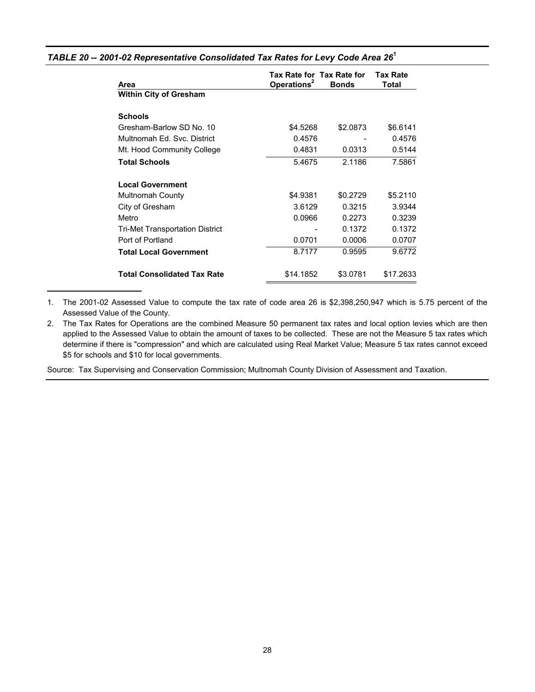| Area                               | Tax Rate for Tax Rate for<br>Operations <sup>2</sup> | <b>Bonds</b> | <b>Tax Rate</b><br>Total |
|------------------------------------|------------------------------------------------------|--------------|--------------------------|
| <b>Within City of Gresham</b>      |                                                      |              |                          |
| <b>Schools</b>                     |                                                      |              |                          |
| Gresham-Barlow SD No. 10           | \$4.5268                                             | \$2.0873     | \$6.6141                 |
| Multnomah Ed. Svc. District        | 0.4576                                               |              | 0.4576                   |
| Mt. Hood Community College         | 0.4831                                               | 0.0313       | 0.5144                   |
| <b>Total Schools</b>               | 5.4675                                               | 2.1186       | 7.5861                   |
| <b>Local Government</b>            |                                                      |              |                          |
| <b>Multnomah County</b>            | \$4.9381                                             | \$0.2729     | \$5.2110                 |
| City of Gresham                    | 3.6129                                               | 0.3215       | 3.9344                   |
| Metro                              | 0.0966                                               | 0.2273       | 0.3239                   |
| Tri-Met Transportation District    |                                                      | 0.1372       | 0.1372                   |
| Port of Portland                   | 0.0701                                               | 0.0006       | 0.0707                   |
| <b>Total Local Government</b>      | 8.7177                                               | 0.9595       | 9.6772                   |
| <b>Total Consolidated Tax Rate</b> | \$14.1852                                            | \$3.0781     | \$17.2633                |

### *TABLE 20 -- 2001-02 Representative Consolidated Tax Rates for Levy Code Area 26***<sup>1</sup>**

1. The 2001-02 Assessed Value to compute the tax rate of code area 26 is \$2,398,250,947 which is 5.75 percent of the Assessed Value of the County.

2. The Tax Rates for Operations are the combined Measure 50 permanent tax rates and local option levies which are then applied to the Assessed Value to obtain the amount of taxes to be collected. These are not the Measure 5 tax rates which determine if there is "compression" and which are calculated using Real Market Value; Measure 5 tax rates cannot exceed \$5 for schools and \$10 for local governments.

Source: Tax Supervising and Conservation Commission; Multnomah County Division of Assessment and Taxation.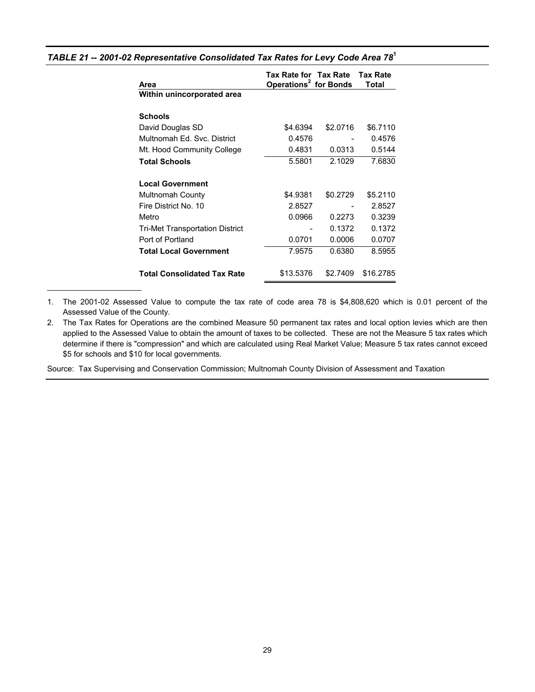| Area                                   | Tax Rate for Tax Rate Tax Rate<br>Operations <sup>2</sup> for Bonds |          | Total     |
|----------------------------------------|---------------------------------------------------------------------|----------|-----------|
| Within unincorporated area             |                                                                     |          |           |
| <b>Schools</b>                         |                                                                     |          |           |
| David Douglas SD                       | \$4.6394                                                            | \$2.0716 | \$6.7110  |
| Multnomah Ed. Svc. District            | 0.4576                                                              |          | 0.4576    |
| Mt. Hood Community College             | 0.4831                                                              | 0.0313   | 0.5144    |
| <b>Total Schools</b>                   | 5.5801                                                              | 2.1029   | 7.6830    |
| <b>Local Government</b>                |                                                                     |          |           |
| <b>Multnomah County</b>                | \$4.9381                                                            | \$0.2729 | \$5.2110  |
| Fire District No. 10                   | 2.8527                                                              |          | 2.8527    |
| Metro                                  | 0.0966                                                              | 0.2273   | 0.3239    |
| <b>Tri-Met Transportation District</b> |                                                                     | 0.1372   | 0.1372    |
| Port of Portland                       | 0.0701                                                              | 0.0006   | 0.0707    |
| <b>Total Local Government</b>          | 7.9575                                                              | 0.6380   | 8.5955    |
| <b>Total Consolidated Tax Rate</b>     | \$13.5376                                                           | \$2.7409 | \$16.2785 |

### *TABLE 21 -- 2001-02 Representative Consolidated Tax Rates for Levy Code Area 78***<sup>1</sup>**

1. The 2001-02 Assessed Value to compute the tax rate of code area 78 is \$4,808,620 which is 0.01 percent of the Assessed Value of the County.

2. The Tax Rates for Operations are the combined Measure 50 permanent tax rates and local option levies which are then applied to the Assessed Value to obtain the amount of taxes to be collected. These are not the Measure 5 tax rates which determine if there is "compression" and which are calculated using Real Market Value; Measure 5 tax rates cannot exceed \$5 for schools and \$10 for local governments.

Source: Tax Supervising and Conservation Commission; Multnomah County Division of Assessment and Taxation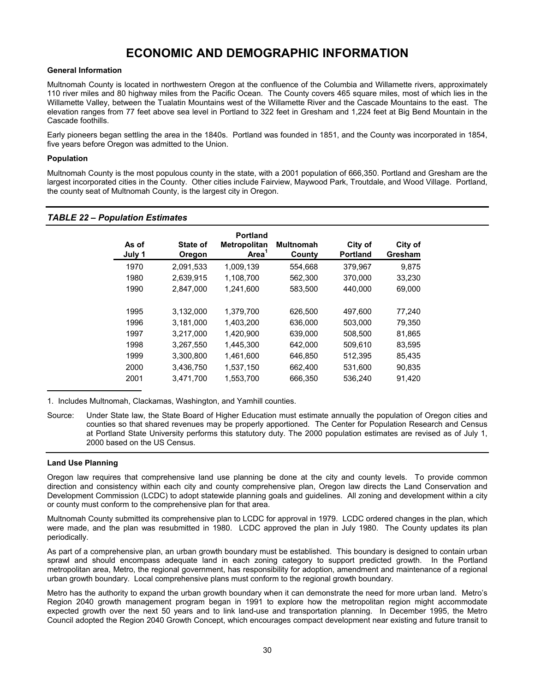## **ECONOMIC AND DEMOGRAPHIC INFORMATION**

### <span id="page-32-0"></span>**General Information**

Multnomah County is located in northwestern Oregon at the confluence of the Columbia and Willamette rivers, approximately 110 river miles and 80 highway miles from the Pacific Ocean. The County covers 465 square miles, most of which lies in the Willamette Valley, between the Tualatin Mountains west of the Willamette River and the Cascade Mountains to the east. The elevation ranges from 77 feet above sea level in Portland to 322 feet in Gresham and 1,224 feet at Big Bend Mountain in the Cascade foothills.

Early pioneers began settling the area in the 1840s. Portland was founded in 1851, and the County was incorporated in 1854, five years before Oregon was admitted to the Union.

### **Population**

Multnomah County is the most populous county in the state, with a 2001 population of 666,350. Portland and Gresham are the largest incorporated cities in the County. Other cities include Fairview, Maywood Park, Troutdale, and Wood Village. Portland, the county seat of Multnomah County, is the largest city in Oregon.

| As of<br>July 1 | State of<br>Oregon | <b>Portland</b><br><b>Metropolitan</b><br>Area <sup>1</sup> | <b>Multnomah</b><br>County | City of<br><b>Portland</b> | City of<br>Gresham |
|-----------------|--------------------|-------------------------------------------------------------|----------------------------|----------------------------|--------------------|
| 1970            | 2,091,533          | 1,009,139                                                   | 554,668                    | 379,967                    | 9.875              |
| 1980            | 2,639,915          | 1,108,700                                                   | 562,300                    | 370,000                    | 33,230             |
| 1990            | 2.847.000          | 1,241,600                                                   | 583,500                    | 440,000                    | 69,000             |
|                 |                    |                                                             |                            |                            |                    |
| 1995            | 3,132,000          | 1,379,700                                                   | 626,500                    | 497,600                    | 77,240             |
| 1996            | 3.181.000          | 1,403,200                                                   | 636,000                    | 503,000                    | 79,350             |
| 1997            | 3,217,000          | 1,420,900                                                   | 639,000                    | 508,500                    | 81,865             |
| 1998            | 3,267,550          | 1,445,300                                                   | 642,000                    | 509,610                    | 83,595             |
| 1999            | 3,300,800          | 1,461,600                                                   | 646,850                    | 512,395                    | 85,435             |
| 2000            | 3.436.750          | 1,537,150                                                   | 662,400                    | 531,600                    | 90.835             |
| 2001            | 3,471,700          | 1,553,700                                                   | 666,350                    | 536,240                    | 91,420             |

### *TABLE 22 – Population Estimates*

1. Includes Multnomah, Clackamas, Washington, and Yamhill counties.

### **Land Use Planning**

Oregon law requires that comprehensive land use planning be done at the city and county levels. To provide common direction and consistency within each city and county comprehensive plan, Oregon law directs the Land Conservation and Development Commission (LCDC) to adopt statewide planning goals and guidelines. All zoning and development within a city or county must conform to the comprehensive plan for that area.

Multnomah County submitted its comprehensive plan to LCDC for approval in 1979. LCDC ordered changes in the plan, which were made, and the plan was resubmitted in 1980. LCDC approved the plan in July 1980. The County updates its plan periodically.

As part of a comprehensive plan, an urban growth boundary must be established. This boundary is designed to contain urban sprawl and should encompass adequate land in each zoning category to support predicted growth. In the Portland metropolitan area, Metro, the regional government, has responsibility for adoption, amendment and maintenance of a regional urban growth boundary. Local comprehensive plans must conform to the regional growth boundary.

Metro has the authority to expand the urban growth boundary when it can demonstrate the need for more urban land. Metro's Region 2040 growth management program began in 1991 to explore how the metropolitan region might accommodate expected growth over the next 50 years and to link land-use and transportation planning. In December 1995, the Metro Council adopted the Region 2040 Growth Concept, which encourages compact development near existing and future transit to

Source: Under State law, the State Board of Higher Education must estimate annually the population of Oregon cities and counties so that shared revenues may be properly apportioned. The Center for Population Research and Census at Portland State University performs this statutory duty. The 2000 population estimates are revised as of July 1, 2000 based on the US Census.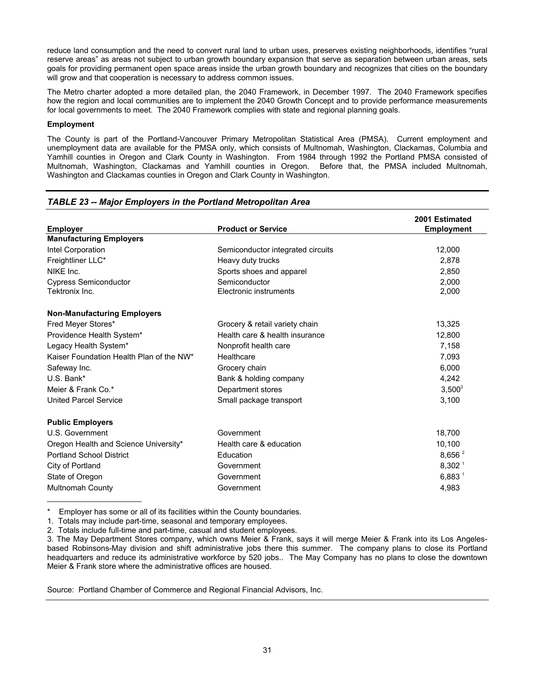reduce land consumption and the need to convert rural land to urban uses, preserves existing neighborhoods, identifies "rural reserve areas" as areas not subject to urban growth boundary expansion that serve as separation between urban areas, sets goals for providing permanent open space areas inside the urban growth boundary and recognizes that cities on the boundary will grow and that cooperation is necessary to address common issues.

The Metro charter adopted a more detailed plan, the 2040 Framework, in December 1997. The 2040 Framework specifies how the region and local communities are to implement the 2040 Growth Concept and to provide performance measurements for local governments to meet. The 2040 Framework complies with state and regional planning goals.

### **Employment**

The County is part of the Portland-Vancouver Primary Metropolitan Statistical Area (PMSA). Current employment and unemployment data are available for the PMSA only, which consists of Multnomah, Washington, Clackamas, Columbia and Yamhill counties in Oregon and Clark County in Washington. From 1984 through 1992 the Portland PMSA consisted of Multnomah, Washington, Clackamas and Yamhill counties in Oregon. Before that, the PMSA included Multnomah, Washington and Clackamas counties in Oregon and Clark County in Washington.

| <b>Employer</b>                          | <b>Product or Service</b>         | 2001 Estimated<br><b>Employment</b> |
|------------------------------------------|-----------------------------------|-------------------------------------|
| <b>Manufacturing Employers</b>           |                                   |                                     |
| Intel Corporation                        | Semiconductor integrated circuits | 12,000                              |
| Freightliner LLC*                        | Heavy duty trucks                 | 2.878                               |
| NIKE Inc.                                | Sports shoes and apparel          | 2,850                               |
| <b>Cypress Semiconductor</b>             | Semiconductor                     | 2,000                               |
| Tektronix Inc.                           | Electronic instruments            | 2,000                               |
| <b>Non-Manufacturing Employers</b>       |                                   |                                     |
| Fred Meyer Stores*                       | Grocery & retail variety chain    | 13,325                              |
| Providence Health System*                | Health care & health insurance    | 12,800                              |
| Legacy Health System*                    | Nonprofit health care             | 7,158                               |
| Kaiser Foundation Health Plan of the NW* | Healthcare                        | 7,093                               |
| Safeway Inc.                             | Grocery chain                     | 6,000                               |
| U.S. Bank*                               | Bank & holding company            | 4,242                               |
| Meier & Frank Co.*                       | Department stores                 | $3,500^3$                           |
| <b>United Parcel Service</b>             | Small package transport           | 3,100                               |
| <b>Public Employers</b>                  |                                   |                                     |
| U.S. Government                          | Government                        | 18,700                              |
| Oregon Health and Science University*    | Health care & education           | 10,100                              |
| <b>Portland School District</b>          | Education                         | 8,656 $2$                           |
| City of Portland                         | Government                        | 8,302 <sup>1</sup>                  |
| State of Oregon                          | Government                        | $6,883$ <sup>1</sup>                |
| Multnomah County                         | Government                        | 4,983                               |

### *TABLE 23 -- Major Employers in the Portland Metropolitan Area*

Employer has some or all of its facilities within the County boundaries.

1. Totals may include part-time, seasonal and temporary employees.

2. Totals include full-time and part-time, casual and student employees.

Source: Portland Chamber of Commerce and Regional Financial Advisors, Inc.

<sup>3.</sup> The May Department Stores company, which owns Meier & Frank, says it will merge Meier & Frank into its Los Angelesbased Robinsons-May division and shift administrative jobs there this summer. The company plans to close its Portland headquarters and reduce its administrative workforce by 520 jobs.. The May Company has no plans to close the downtown Meier & Frank store where the administrative offices are housed.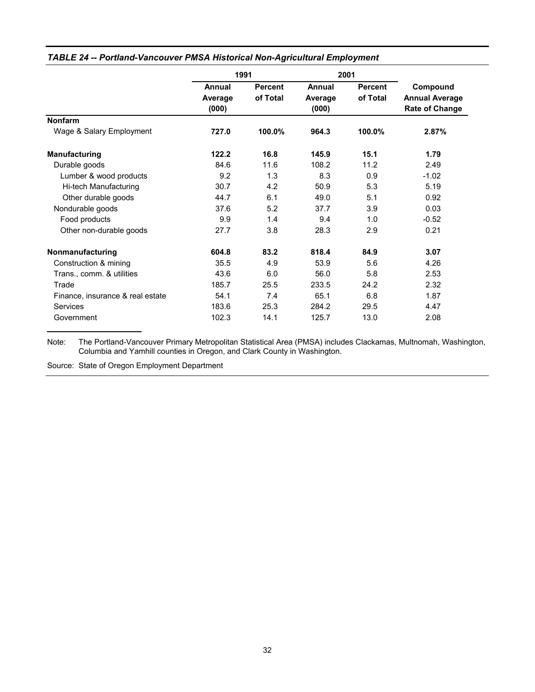|                                  | 1991                       |                            |                            | 2001                       |                                                            |  |
|----------------------------------|----------------------------|----------------------------|----------------------------|----------------------------|------------------------------------------------------------|--|
|                                  | Annual<br>Average<br>(000) | <b>Percent</b><br>of Total | Annual<br>Average<br>(000) | <b>Percent</b><br>of Total | Compound<br><b>Annual Average</b><br><b>Rate of Change</b> |  |
| <b>Nonfarm</b>                   |                            |                            |                            |                            |                                                            |  |
| Wage & Salary Employment         | 727.0                      | 100.0%                     | 964.3                      | 100.0%                     | 2.87%                                                      |  |
| <b>Manufacturing</b>             | 122.2                      | 16.8                       | 145.9                      | 15.1                       | 1.79                                                       |  |
| Durable goods                    | 84.6                       | 11.6                       | 108.2                      | 11.2                       | 2.49                                                       |  |
| Lumber & wood products           | 9.2                        | 1.3                        | 8.3                        | 0.9                        | $-1.02$                                                    |  |
| Hi-tech Manufacturing            | 30.7                       | 4.2                        | 50.9                       | 5.3                        | 5.19                                                       |  |
| Other durable goods              | 44.7                       | 6.1                        | 49.0                       | 5.1                        | 0.92                                                       |  |
| Nondurable goods                 | 37.6                       | 5.2                        | 37.7                       | 3.9                        | 0.03                                                       |  |
| Food products                    | 9.9                        | 1.4                        | 9.4                        | 1.0                        | $-0.52$                                                    |  |
| Other non-durable goods          | 27.7                       | 3.8                        | 28.3                       | 2.9                        | 0.21                                                       |  |
| Nonmanufacturing                 | 604.8                      | 83.2                       | 818.4                      | 84.9                       | 3.07                                                       |  |
| Construction & mining            | 35.5                       | 4.9                        | 53.9                       | 5.6                        | 4.26                                                       |  |
| Trans., comm. & utilities        | 43.6                       | 6.0                        | 56.0                       | 5.8                        | 2.53                                                       |  |
| Trade                            | 185.7                      | 25.5                       | 233.5                      | 24.2                       | 2.32                                                       |  |
| Finance, insurance & real estate | 54.1                       | 7.4                        | 65.1                       | 6.8                        | 1.87                                                       |  |
| Services                         | 183.6                      | 25.3                       | 284.2                      | 29.5                       | 4.47                                                       |  |
| Government                       | 102.3                      | 14.1                       | 125.7                      | 13.0                       | 2.08                                                       |  |

### *TABLE 24 -- Portland-Vancouver PMSA Historical Non-Agricultural Employment*

Note: The Portland-Vancouver Primary Metropolitan Statistical Area (PMSA) includes Clackamas, Multnomah, Washington, Columbia and Yamhill counties in Oregon, and Clark County in Washington.

Source: State of Oregon Employment Department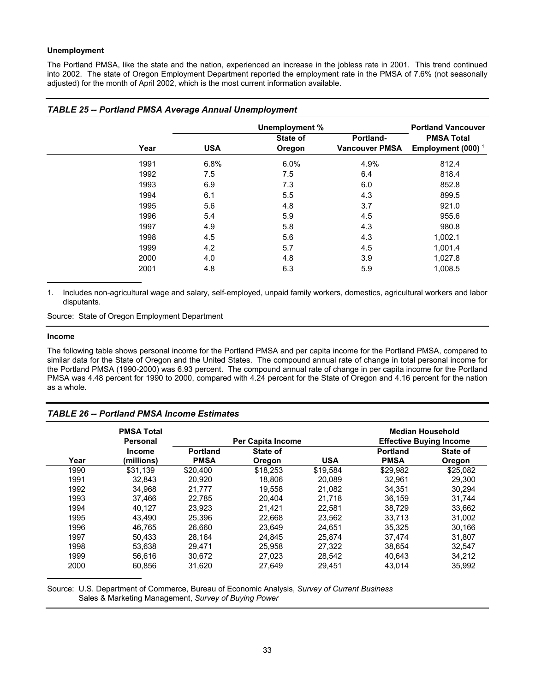### **Unemployment**

The Portland PMSA, like the state and the nation, experienced an increase in the jobless rate in 2001. This trend continued into 2002. The state of Oregon Employment Department reported the employment rate in the PMSA of 7.6% (not seasonally adjusted) for the month of April 2002, which is the most current information available.

|      |            | Unemployment %            |                                    | <b>Portland Vancouver</b>                 |
|------|------------|---------------------------|------------------------------------|-------------------------------------------|
| Year | <b>USA</b> | <b>State of</b><br>Oregon | Portland-<br><b>Vancouver PMSA</b> | <b>PMSA Total</b><br>Employment (000) $1$ |
| 1991 | 6.8%       | 6.0%                      | 4.9%                               | 812.4                                     |
| 1992 | 7.5        | 7.5                       | 6.4                                | 818.4                                     |
| 1993 | 6.9        | 7.3                       | 6.0                                | 852.8                                     |
| 1994 | 6.1        | 5.5                       | 4.3                                | 899.5                                     |
| 1995 | 5.6        | 4.8                       | 3.7                                | 921.0                                     |
| 1996 | 5.4        | 5.9                       | 4.5                                | 955.6                                     |
| 1997 | 4.9        | 5.8                       | 4.3                                | 980.8                                     |
| 1998 | 4.5        | 5.6                       | 4.3                                | 1,002.1                                   |
| 1999 | 4.2        | 5.7                       | 4.5                                | 1,001.4                                   |
| 2000 | 4.0        | 4.8                       | 3.9                                | 1,027.8                                   |
| 2001 | 4.8        | 6.3                       | 5.9                                | 1,008.5                                   |

### *TABLE 25 -- Portland PMSA Average Annual Unemployment*

1. Includes non-agricultural wage and salary, self-employed, unpaid family workers, domestics, agricultural workers and labor disputants.

Source: State of Oregon Employment Department

#### **Income**

The following table shows personal income for the Portland PMSA and per capita income for the Portland PMSA, compared to similar data for the State of Oregon and the United States. The compound annual rate of change in total personal income for the Portland PMSA (1990-2000) was 6.93 percent. The compound annual rate of change in per capita income for the Portland PMSA was 4.48 percent for 1990 to 2000, compared with 4.24 percent for the State of Oregon and 4.16 percent for the nation as a whole.

### *TABLE 26 -- Portland PMSA Income Estimates*

|      | <b>PMSA Total</b><br><b>Personal</b> |                                | Per Capita Income  |            | <b>Median Household</b>        | <b>Effective Buying Income</b> |
|------|--------------------------------------|--------------------------------|--------------------|------------|--------------------------------|--------------------------------|
| Year | <b>Income</b><br>(millions)          | <b>Portland</b><br><b>PMSA</b> | State of<br>Oregon | <b>USA</b> | <b>Portland</b><br><b>PMSA</b> | State of<br>Oregon             |
| 1990 | \$31.139                             | \$20,400                       | \$18,253           | \$19.584   | \$29,982                       | \$25,082                       |
| 1991 | 32.843                               | 20.920                         | 18,806             | 20.089     | 32,961                         | 29,300                         |
| 1992 | 34,968                               | 21,777                         | 19,558             | 21,082     | 34,351                         | 30.294                         |
| 1993 | 37.466                               | 22.785                         | 20.404             | 21.718     | 36.159                         | 31.744                         |
| 1994 | 40.127                               | 23.923                         | 21.421             | 22.581     | 38.729                         | 33,662                         |
| 1995 | 43.490                               | 25.396                         | 22.668             | 23,562     | 33,713                         | 31,002                         |
| 1996 | 46.765                               | 26.660                         | 23,649             | 24,651     | 35,325                         | 30,166                         |
| 1997 | 50,433                               | 28.164                         | 24,845             | 25.874     | 37.474                         | 31,807                         |
| 1998 | 53.638                               | 29.471                         | 25.958             | 27.322     | 38.654                         | 32.547                         |
| 1999 | 56.616                               | 30.672                         | 27.023             | 28,542     | 40.643                         | 34.212                         |
| 2000 | 60.856                               | 31.620                         | 27.649             | 29.451     | 43.014                         | 35,992                         |

Source: U.S. Department of Commerce, Bureau of Economic Analysis, *Survey of Current Business* Sales & Marketing Management, *Survey of Buying Power*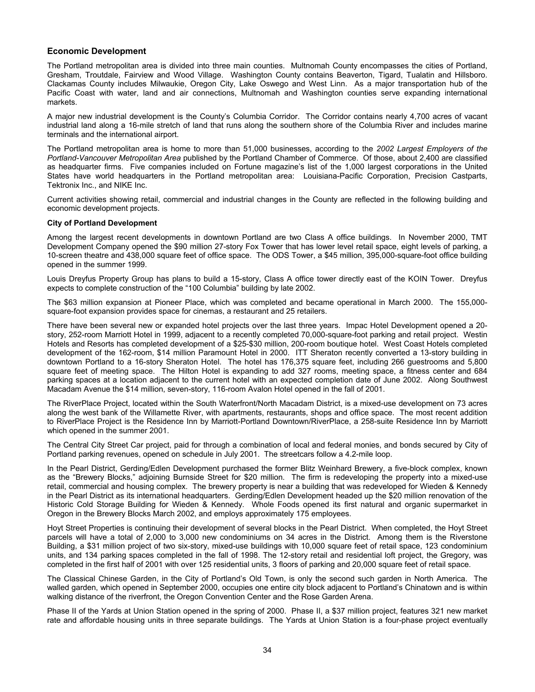### **Economic Development**

The Portland metropolitan area is divided into three main counties. Multnomah County encompasses the cities of Portland, Gresham, Troutdale, Fairview and Wood Village. Washington County contains Beaverton, Tigard, Tualatin and Hillsboro. Clackamas County includes Milwaukie, Oregon City, Lake Oswego and West Linn. As a major transportation hub of the Pacific Coast with water, land and air connections, Multnomah and Washington counties serve expanding international markets.

A major new industrial development is the County's Columbia Corridor. The Corridor contains nearly 4,700 acres of vacant industrial land along a 16-mile stretch of land that runs along the southern shore of the Columbia River and includes marine terminals and the international airport.

The Portland metropolitan area is home to more than 51,000 businesses, according to the *2002 Largest Employers of the Portland-Vancouver Metropolitan Area* published by the Portland Chamber of Commerce. Of those, about 2,400 are classified as headquarter firms. Five companies included on Fortune magazine's list of the 1,000 largest corporations in the United States have world headquarters in the Portland metropolitan area: Louisiana-Pacific Corporation, Precision Castparts, Tektronix Inc., and NIKE Inc.

Current activities showing retail, commercial and industrial changes in the County are reflected in the following building and economic development projects.

#### **City of Portland Development**

Among the largest recent developments in downtown Portland are two Class A office buildings. In November 2000, TMT Development Company opened the \$90 million 27-story Fox Tower that has lower level retail space, eight levels of parking, a 10-screen theatre and 438,000 square feet of office space. The ODS Tower, a \$45 million, 395,000-square-foot office building opened in the summer 1999.

Louis Dreyfus Property Group has plans to build a 15-story, Class A office tower directly east of the KOIN Tower. Dreyfus expects to complete construction of the "100 Columbia" building by late 2002.

The \$63 million expansion at Pioneer Place, which was completed and became operational in March 2000. The 155,000 square-foot expansion provides space for cinemas, a restaurant and 25 retailers.

There have been several new or expanded hotel projects over the last three years. Impac Hotel Development opened a 20 story, 252-room Marriott Hotel in 1999, adjacent to a recently completed 70,000-square-foot parking and retail project. Westin Hotels and Resorts has completed development of a \$25-\$30 million, 200-room boutique hotel. West Coast Hotels completed development of the 162-room, \$14 million Paramount Hotel in 2000. ITT Sheraton recently converted a 13-story building in downtown Portland to a 16-story Sheraton Hotel. The hotel has 176,375 square feet, including 266 guestrooms and 5,800 square feet of meeting space. The Hilton Hotel is expanding to add 327 rooms, meeting space, a fitness center and 684 parking spaces at a location adjacent to the current hotel with an expected completion date of June 2002. Along Southwest Macadam Avenue the \$14 million, seven-story, 116-room Avalon Hotel opened in the fall of 2001.

The RiverPlace Project, located within the South Waterfront/North Macadam District, is a mixed-use development on 73 acres along the west bank of the Willamette River, with apartments, restaurants, shops and office space. The most recent addition to RiverPlace Project is the Residence Inn by Marriott-Portland Downtown/RiverPlace, a 258-suite Residence Inn by Marriott which opened in the summer 2001.

The Central City Street Car project, paid for through a combination of local and federal monies, and bonds secured by City of Portland parking revenues, opened on schedule in July 2001. The streetcars follow a 4.2-mile loop.

In the Pearl District, Gerding/Edlen Development purchased the former Blitz Weinhard Brewery, a five-block complex, known as the "Brewery Blocks," adjoining Burnside Street for \$20 million. The firm is redeveloping the property into a mixed-use retail, commercial and housing complex. The brewery property is near a building that was redeveloped for Wieden & Kennedy in the Pearl District as its international headquarters. Gerding/Edlen Development headed up the \$20 million renovation of the Historic Cold Storage Building for Wieden & Kennedy. Whole Foods opened its first natural and organic supermarket in Oregon in the Brewery Blocks March 2002, and employs approximately 175 employees.

Hoyt Street Properties is continuing their development of several blocks in the Pearl District. When completed, the Hoyt Street parcels will have a total of 2,000 to 3,000 new condominiums on 34 acres in the District. Among them is the Riverstone Building, a \$31 million project of two six-story, mixed-use buildings with 10,000 square feet of retail space, 123 condominium units, and 134 parking spaces completed in the fall of 1998. The 12-story retail and residential loft project, the Gregory, was completed in the first half of 2001 with over 125 residential units, 3 floors of parking and 20,000 square feet of retail space.

The Classical Chinese Garden, in the City of Portland's Old Town, is only the second such garden in North America. The walled garden, which opened in September 2000, occupies one entire city block adjacent to Portland's Chinatown and is within walking distance of the riverfront, the Oregon Convention Center and the Rose Garden Arena.

Phase II of the Yards at Union Station opened in the spring of 2000. Phase II, a \$37 million project, features 321 new market rate and affordable housing units in three separate buildings. The Yards at Union Station is a four-phase project eventually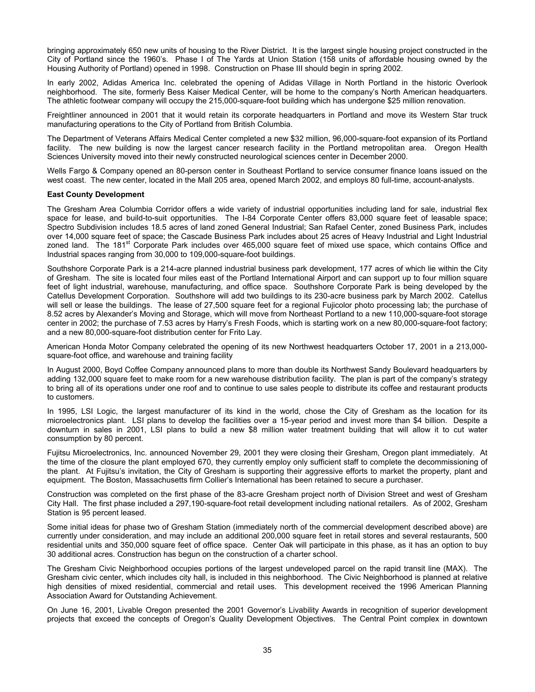bringing approximately 650 new units of housing to the River District. It is the largest single housing project constructed in the City of Portland since the 1960's. Phase I of The Yards at Union Station (158 units of affordable housing owned by the Housing Authority of Portland) opened in 1998. Construction on Phase III should begin in spring 2002.

In early 2002, Adidas America Inc. celebrated the opening of Adidas Village in North Portland in the historic Overlook neighborhood. The site, formerly Bess Kaiser Medical Center, will be home to the company's North American headquarters. The athletic footwear company will occupy the 215,000-square-foot building which has undergone \$25 million renovation.

Freightliner announced in 2001 that it would retain its corporate headquarters in Portland and move its Western Star truck manufacturing operations to the City of Portland from British Columbia.

The Department of Veterans Affairs Medical Center completed a new \$32 million, 96,000-square-foot expansion of its Portland facility. The new building is now the largest cancer research facility in the Portland metropolitan area. Oregon Health Sciences University moved into their newly constructed neurological sciences center in December 2000.

Wells Fargo & Company opened an 80-person center in Southeast Portland to service consumer finance loans issued on the west coast. The new center, located in the Mall 205 area, opened March 2002, and employs 80 full-time, account-analysts.

#### **East County Development**

The Gresham Area Columbia Corridor offers a wide variety of industrial opportunities including land for sale, industrial flex space for lease, and build-to-suit opportunities. The I-84 Corporate Center offers 83,000 square feet of leasable space; Spectro Subdivision includes 18.5 acres of land zoned General Industrial; San Rafael Center, zoned Business Park, includes over 14,000 square feet of space; the Cascade Business Park includes about 25 acres of Heavy Industrial and Light Industrial zoned land. The 181<sup>st</sup> Corporate Park includes over 465,000 square feet of mixed use space, which contains Office and Industrial spaces ranging from 30,000 to 109,000-square-foot buildings.

Southshore Corporate Park is a 214-acre planned industrial business park development, 177 acres of which lie within the City of Gresham. The site is located four miles east of the Portland International Airport and can support up to four million square feet of light industrial, warehouse, manufacturing, and office space. Southshore Corporate Park is being developed by the Catellus Development Corporation. Southshore will add two buildings to its 230-acre business park by March 2002. Catellus will sell or lease the buildings. The lease of 27,500 square feet for a regional Fujicolor photo processing lab; the purchase of 8.52 acres by Alexander's Moving and Storage, which will move from Northeast Portland to a new 110,000-square-foot storage center in 2002; the purchase of 7.53 acres by Harry's Fresh Foods, which is starting work on a new 80,000-square-foot factory; and a new 80,000-square-foot distribution center for Frito Lay.

American Honda Motor Company celebrated the opening of its new Northwest headquarters October 17, 2001 in a 213,000 square-foot office, and warehouse and training facility

In August 2000, Boyd Coffee Company announced plans to more than double its Northwest Sandy Boulevard headquarters by adding 132,000 square feet to make room for a new warehouse distribution facility. The plan is part of the company's strategy to bring all of its operations under one roof and to continue to use sales people to distribute its coffee and restaurant products to customers.

In 1995, LSI Logic, the largest manufacturer of its kind in the world, chose the City of Gresham as the location for its microelectronics plant. LSI plans to develop the facilities over a 15-year period and invest more than \$4 billion. Despite a downturn in sales in 2001, LSI plans to build a new \$8 million water treatment building that will allow it to cut water consumption by 80 percent.

Fujitsu Microelectronics, Inc. announced November 29, 2001 they were closing their Gresham, Oregon plant immediately. At the time of the closure the plant employed 670, they currently employ only sufficient staff to complete the decommissioning of the plant. At Fujitsu's invitation, the City of Gresham is supporting their aggressive efforts to market the property, plant and equipment. The Boston, Massachusetts firm Collier's International has been retained to secure a purchaser.

Construction was completed on the first phase of the 83-acre Gresham project north of Division Street and west of Gresham City Hall. The first phase included a 297,190-square-foot retail development including national retailers. As of 2002, Gresham Station is 95 percent leased.

Some initial ideas for phase two of Gresham Station (immediately north of the commercial development described above) are currently under consideration, and may include an additional 200,000 square feet in retail stores and several restaurants, 500 residential units and 350,000 square feet of office space. Center Oak will participate in this phase, as it has an option to buy 30 additional acres. Construction has begun on the construction of a charter school.

The Gresham Civic Neighborhood occupies portions of the largest undeveloped parcel on the rapid transit line (MAX). The Gresham civic center, which includes city hall, is included in this neighborhood. The Civic Neighborhood is planned at relative high densities of mixed residential, commercial and retail uses. This development received the 1996 American Planning Association Award for Outstanding Achievement.

On June 16, 2001, Livable Oregon presented the 2001 Governor's Livability Awards in recognition of superior development projects that exceed the concepts of Oregon's Quality Development Objectives. The Central Point complex in downtown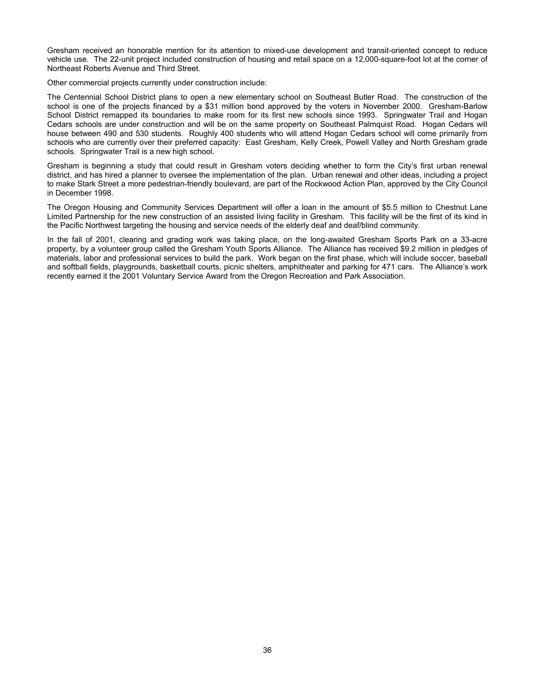Gresham received an honorable mention for its attention to mixed-use development and transit-oriented concept to reduce vehicle use. The 22-unit project included construction of housing and retail space on a 12,000-square-foot lot at the corner of Northeast Roberts Avenue and Third Street.

Other commercial projects currently under construction include:

The Centennial School District plans to open a new elementary school on Southeast Butler Road. The construction of the school is one of the projects financed by a \$31 million bond approved by the voters in November 2000. Gresham-Barlow School District remapped its boundaries to make room for its first new schools since 1993. Springwater Trail and Hogan Cedars schools are under construction and will be on the same property on Southeast Palmquist Road. Hogan Cedars will house between 490 and 530 students. Roughly 400 students who will attend Hogan Cedars school will come primarily from schools who are currently over their preferred capacity: East Gresham, Kelly Creek, Powell Valley and North Gresham grade schools. Springwater Trail is a new high school.

Gresham is beginning a study that could result in Gresham voters deciding whether to form the City's first urban renewal district, and has hired a planner to oversee the implementation of the plan. Urban renewal and other ideas, including a project to make Stark Street a more pedestrian-friendly boulevard, are part of the Rockwood Action Plan, approved by the City Council in December 1998.

The Oregon Housing and Community Services Department will offer a loan in the amount of \$5.5 million to Chestnut Lane Limited Partnership for the new construction of an assisted living facility in Gresham. This facility will be the first of its kind in the Pacific Northwest targeting the housing and service needs of the elderly deaf and deaf/blind community.

In the fall of 2001, clearing and grading work was taking place, on the long-awaited Gresham Sports Park on a 33-acre property, by a volunteer group called the Gresham Youth Sports Alliance. The Alliance has received \$9.2 million in pledges of materials, labor and professional services to build the park. Work began on the first phase, which will include soccer, baseball and softball fields, playgrounds, basketball courts, picnic shelters, amphitheater and parking for 471 cars. The Alliance's work recently earned it the 2001 Voluntary Service Award from the Oregon Recreation and Park Association.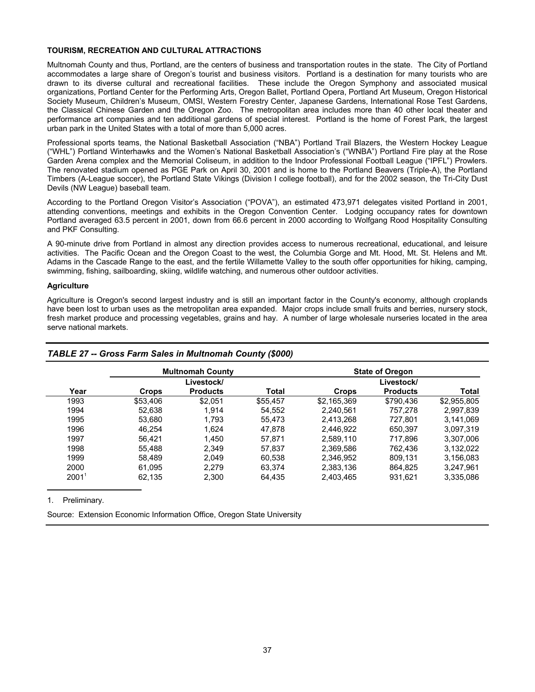### **TOURISM, RECREATION AND CULTURAL ATTRACTIONS**

Multnomah County and thus, Portland, are the centers of business and transportation routes in the state. The City of Portland accommodates a large share of Oregon's tourist and business visitors. Portland is a destination for many tourists who are drawn to its diverse cultural and recreational facilities. These include the Oregon Symphony and associated musical organizations, Portland Center for the Performing Arts, Oregon Ballet, Portland Opera, Portland Art Museum, Oregon Historical Society Museum, Children's Museum, OMSI, Western Forestry Center, Japanese Gardens, International Rose Test Gardens, the Classical Chinese Garden and the Oregon Zoo. The metropolitan area includes more than 40 other local theater and performance art companies and ten additional gardens of special interest. Portland is the home of Forest Park, the largest urban park in the United States with a total of more than 5,000 acres.

Professional sports teams, the National Basketball Association ("NBA") Portland Trail Blazers, the Western Hockey League ("WHL") Portland Winterhawks and the Women's National Basketball Association's ("WNBA") Portland Fire play at the Rose Garden Arena complex and the Memorial Coliseum, in addition to the Indoor Professional Football League ("IPFL") Prowlers. The renovated stadium opened as PGE Park on April 30, 2001 and is home to the Portland Beavers (Triple-A), the Portland Timbers (A-League soccer), the Portland State Vikings (Division I college football), and for the 2002 season, the Tri-City Dust Devils (NW League) baseball team.

According to the Portland Oregon Visitor's Association ("POVA"), an estimated 473,971 delegates visited Portland in 2001, attending conventions, meetings and exhibits in the Oregon Convention Center. Lodging occupancy rates for downtown Portland averaged 63.5 percent in 2001, down from 66.6 percent in 2000 according to Wolfgang Rood Hospitality Consulting and PKF Consulting.

A 90-minute drive from Portland in almost any direction provides access to numerous recreational, educational, and leisure activities. The Pacific Ocean and the Oregon Coast to the west, the Columbia Gorge and Mt. Hood, Mt. St. Helens and Mt. Adams in the Cascade Range to the east, and the fertile Willamette Valley to the south offer opportunities for hiking, camping, swimming, fishing, sailboarding, skiing, wildlife watching, and numerous other outdoor activities.

### **Agriculture**

Agriculture is Oregon's second largest industry and is still an important factor in the County's economy, although croplands have been lost to urban uses as the metropolitan area expanded. Major crops include small fruits and berries, nursery stock, fresh market produce and processing vegetables, grains and hay. A number of large wholesale nurseries located in the area serve national markets.

|                   | <b>Multnomah County</b><br>Livestock/ |                 |              | <b>State of Oregon</b><br>Livestock/ |                 |             |
|-------------------|---------------------------------------|-----------------|--------------|--------------------------------------|-----------------|-------------|
|                   |                                       |                 |              |                                      |                 |             |
| Year              | Crops                                 | <b>Products</b> | <b>Total</b> | Crops                                | <b>Products</b> | Total       |
| 1993              | \$53,406                              | \$2,051         | \$55,457     | \$2,165,369                          | \$790,436       | \$2,955,805 |
| 1994              | 52,638                                | 1.914           | 54.552       | 2,240,561                            | 757.278         | 2,997,839   |
| 1995              | 53,680                                | 1.793           | 55,473       | 2,413,268                            | 727,801         | 3,141,069   |
| 1996              | 46.254                                | 1.624           | 47,878       | 2,446,922                            | 650,397         | 3.097.319   |
| 1997              | 56.421                                | 1.450           | 57,871       | 2,589,110                            | 717,896         | 3.307.006   |
| 1998              | 55.488                                | 2,349           | 57,837       | 2,369,586                            | 762.436         | 3,132,022   |
| 1999              | 58.489                                | 2.049           | 60.538       | 2.346.952                            | 809,131         | 3.156.083   |
| 2000              | 61.095                                | 2.279           | 63,374       | 2,383,136                            | 864.825         | 3.247.961   |
| 2001 <sup>1</sup> | 62,135                                | 2,300           | 64,435       | 2,403,465                            | 931,621         | 3,335,086   |

### *TABLE 27 -- Gross Farm Sales in Multnomah County (\$000)*

1. Preliminary.

Source: Extension Economic Information Office, Oregon State University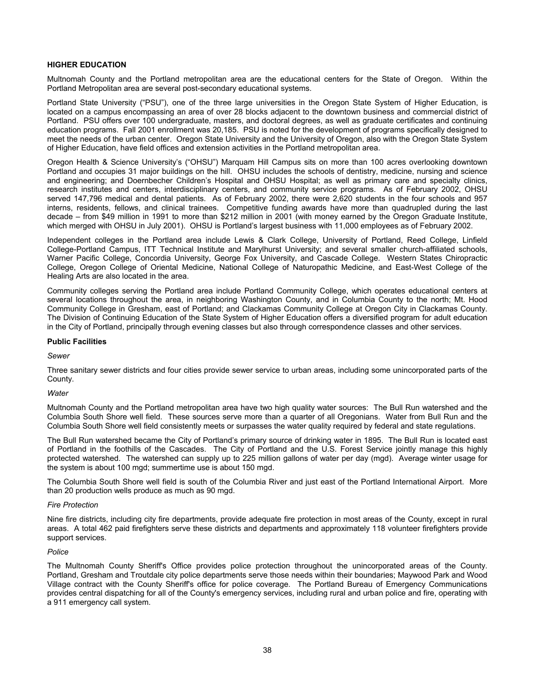### **HIGHER EDUCATION**

Multnomah County and the Portland metropolitan area are the educational centers for the State of Oregon. Within the Portland Metropolitan area are several post-secondary educational systems.

Portland State University ("PSU"), one of the three large universities in the Oregon State System of Higher Education, is located on a campus encompassing an area of over 28 blocks adjacent to the downtown business and commercial district of Portland. PSU offers over 100 undergraduate, masters, and doctoral degrees, as well as graduate certificates and continuing education programs. Fall 2001 enrollment was 20,185. PSU is noted for the development of programs specifically designed to meet the needs of the urban center. Oregon State University and the University of Oregon, also with the Oregon State System of Higher Education, have field offices and extension activities in the Portland metropolitan area.

Oregon Health & Science University's ("OHSU") Marquam Hill Campus sits on more than 100 acres overlooking downtown Portland and occupies 31 major buildings on the hill. OHSU includes the schools of dentistry, medicine, nursing and science and engineering; and Doernbecher Children's Hospital and OHSU Hospital; as well as primary care and specialty clinics, research institutes and centers, interdisciplinary centers, and community service programs. As of February 2002, OHSU served 147,796 medical and dental patients. As of February 2002, there were 2,620 students in the four schools and 957 interns, residents, fellows, and clinical trainees. Competitive funding awards have more than quadrupled during the last decade – from \$49 million in 1991 to more than \$212 million in 2001 (with money earned by the Oregon Graduate Institute, which merged with OHSU in July 2001). OHSU is Portland's largest business with 11,000 employees as of February 2002.

Independent colleges in the Portland area include Lewis & Clark College, University of Portland, Reed College, Linfield College-Portland Campus, ITT Technical Institute and Marylhurst University; and several smaller church-affiliated schools, Warner Pacific College, Concordia University, George Fox University, and Cascade College. Western States Chiropractic College, Oregon College of Oriental Medicine, National College of Naturopathic Medicine, and East-West College of the Healing Arts are also located in the area.

Community colleges serving the Portland area include Portland Community College, which operates educational centers at several locations throughout the area, in neighboring Washington County, and in Columbia County to the north; Mt. Hood Community College in Gresham, east of Portland; and Clackamas Community College at Oregon City in Clackamas County. The Division of Continuing Education of the State System of Higher Education offers a diversified program for adult education in the City of Portland, principally through evening classes but also through correspondence classes and other services.

#### **Public Facilities**

#### *Sewer*

Three sanitary sewer districts and four cities provide sewer service to urban areas, including some unincorporated parts of the County.

#### *Water*

Multnomah County and the Portland metropolitan area have two high quality water sources: The Bull Run watershed and the Columbia South Shore well field. These sources serve more than a quarter of all Oregonians. Water from Bull Run and the Columbia South Shore well field consistently meets or surpasses the water quality required by federal and state regulations.

The Bull Run watershed became the City of Portland's primary source of drinking water in 1895. The Bull Run is located east of Portland in the foothills of the Cascades. The City of Portland and the U.S. Forest Service jointly manage this highly protected watershed. The watershed can supply up to 225 million gallons of water per day (mgd). Average winter usage for the system is about 100 mgd; summertime use is about 150 mgd.

The Columbia South Shore well field is south of the Columbia River and just east of the Portland International Airport. More than 20 production wells produce as much as 90 mgd.

#### *Fire Protection*

Nine fire districts, including city fire departments, provide adequate fire protection in most areas of the County, except in rural areas. A total 462 paid firefighters serve these districts and departments and approximately 118 volunteer firefighters provide support services.

#### *Police*

The Multnomah County Sheriff's Office provides police protection throughout the unincorporated areas of the County. Portland, Gresham and Troutdale city police departments serve those needs within their boundaries; Maywood Park and Wood Village contract with the County Sheriff's office for police coverage. The Portland Bureau of Emergency Communications provides central dispatching for all of the County's emergency services, including rural and urban police and fire, operating with a 911 emergency call system.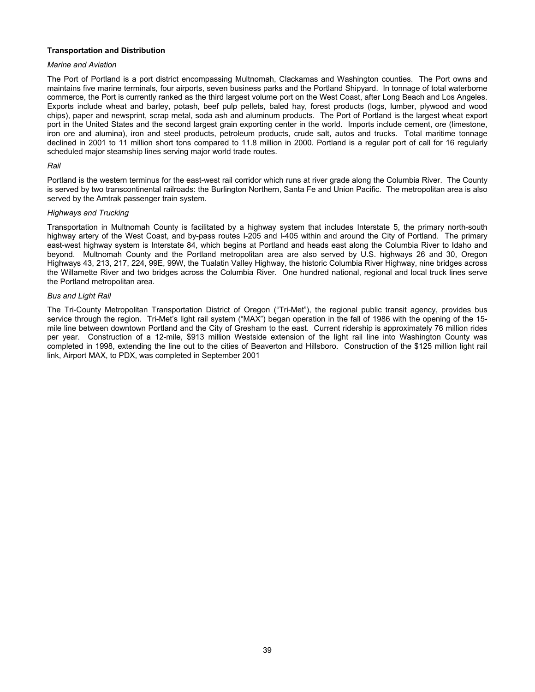### **Transportation and Distribution**

### *Marine and Aviation*

The Port of Portland is a port district encompassing Multnomah, Clackamas and Washington counties. The Port owns and maintains five marine terminals, four airports, seven business parks and the Portland Shipyard. In tonnage of total waterborne commerce, the Port is currently ranked as the third largest volume port on the West Coast, after Long Beach and Los Angeles. Exports include wheat and barley, potash, beef pulp pellets, baled hay, forest products (logs, lumber, plywood and wood chips), paper and newsprint, scrap metal, soda ash and aluminum products. The Port of Portland is the largest wheat export port in the United States and the second largest grain exporting center in the world. Imports include cement, ore (limestone, iron ore and alumina), iron and steel products, petroleum products, crude salt, autos and trucks. Total maritime tonnage declined in 2001 to 11 million short tons compared to 11.8 million in 2000. Portland is a regular port of call for 16 regularly scheduled major steamship lines serving major world trade routes.

### *Rail*

Portland is the western terminus for the east-west rail corridor which runs at river grade along the Columbia River. The County is served by two transcontinental railroads: the Burlington Northern, Santa Fe and Union Pacific. The metropolitan area is also served by the Amtrak passenger train system.

#### *Highways and Trucking*

Transportation in Multnomah County is facilitated by a highway system that includes Interstate 5, the primary north-south highway artery of the West Coast, and by-pass routes I-205 and I-405 within and around the City of Portland. The primary east-west highway system is Interstate 84, which begins at Portland and heads east along the Columbia River to Idaho and beyond. Multnomah County and the Portland metropolitan area are also served by U.S. highways 26 and 30, Oregon Highways 43, 213, 217, 224, 99E, 99W, the Tualatin Valley Highway, the historic Columbia River Highway, nine bridges across the Willamette River and two bridges across the Columbia River. One hundred national, regional and local truck lines serve the Portland metropolitan area.

#### *Bus and Light Rail*

The Tri-County Metropolitan Transportation District of Oregon ("Tri-Met"), the regional public transit agency, provides bus service through the region. Tri-Met's light rail system ("MAX") began operation in the fall of 1986 with the opening of the 15 mile line between downtown Portland and the City of Gresham to the east. Current ridership is approximately 76 million rides per year. Construction of a 12-mile, \$913 million Westside extension of the light rail line into Washington County was completed in 1998, extending the line out to the cities of Beaverton and Hillsboro. Construction of the \$125 million light rail link, Airport MAX, to PDX, was completed in September 2001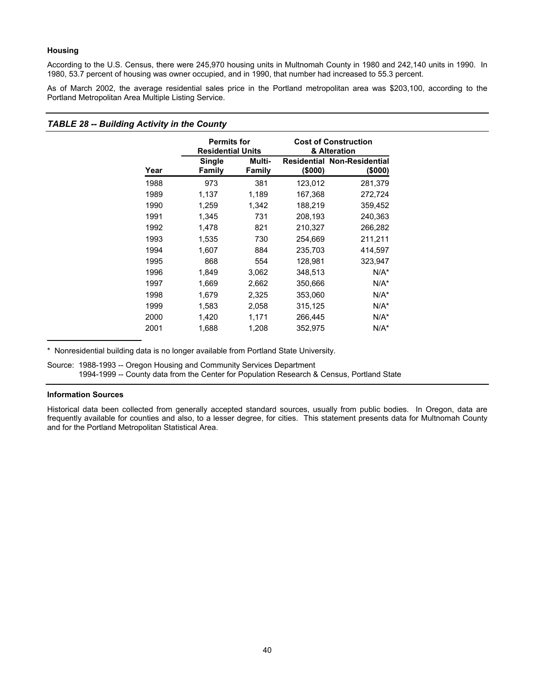#### **Housing**

According to the U.S. Census, there were 245,970 housing units in Multnomah County in 1980 and 242,140 units in 1990. In 1980, 53.7 percent of housing was owner occupied, and in 1990, that number had increased to 55.3 percent.

As of March 2002, the average residential sales price in the Portland metropolitan area was \$203,100, according to the Portland Metropolitan Area Multiple Listing Service.

### *TABLE 28 -- Building Activity in the County*

|      | <b>Permits for</b><br><b>Residential Units</b> |                         | <b>Cost of Construction</b><br>& Alteration |                                               |  |
|------|------------------------------------------------|-------------------------|---------------------------------------------|-----------------------------------------------|--|
| Year | Single<br>Family                               | Multi-<br><b>Family</b> | (\$000)                                     | <b>Residential Non-Residential</b><br>(\$000) |  |
| 1988 | 973                                            | 381                     | 123,012                                     | 281,379                                       |  |
| 1989 | 1,137                                          | 1,189                   | 167,368                                     | 272,724                                       |  |
| 1990 | 1,259                                          | 1,342                   | 188,219                                     | 359,452                                       |  |
| 1991 | 1,345                                          | 731                     | 208,193                                     | 240,363                                       |  |
| 1992 | 1,478                                          | 821                     | 210,327                                     | 266,282                                       |  |
| 1993 | 1,535                                          | 730                     | 254,669                                     | 211,211                                       |  |
| 1994 | 1,607                                          | 884                     | 235,703                                     | 414,597                                       |  |
| 1995 | 868                                            | 554                     | 128,981                                     | 323,947                                       |  |
| 1996 | 1,849                                          | 3,062                   | 348,513                                     | $N/A^*$                                       |  |
| 1997 | 1,669                                          | 2,662                   | 350,666                                     | $N/A^*$                                       |  |
| 1998 | 1,679                                          | 2,325                   | 353,060                                     | $N/A^*$                                       |  |
| 1999 | 1,583                                          | 2,058                   | 315,125                                     | $N/A^*$                                       |  |
| 2000 | 1,420                                          | 1,171                   | 266,445                                     | $N/A^*$                                       |  |
| 2001 | 1,688                                          | 1,208                   | 352,975                                     | $N/A^*$                                       |  |

Nonresidential building data is no longer available from Portland State University.

Source: 1988-1993 -- Oregon Housing and Community Services Department 1994-1999 -- County data from the Center for Population Research & Census, Portland State

#### **Information Sources**

Historical data been collected from generally accepted standard sources, usually from public bodies. In Oregon, data are frequently available for counties and also, to a lesser degree, for cities. This statement presents data for Multnomah County and for the Portland Metropolitan Statistical Area.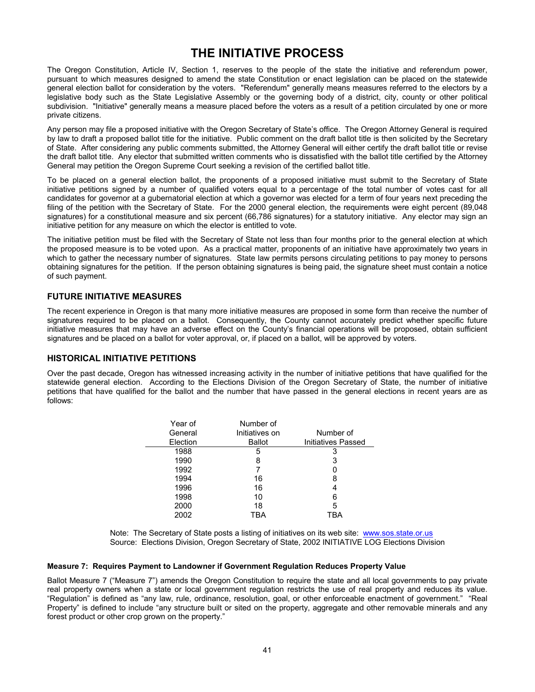## **THE INITIATIVE PROCESS**

<span id="page-43-0"></span>The Oregon Constitution, Article IV, Section 1, reserves to the people of the state the initiative and referendum power, pursuant to which measures designed to amend the state Constitution or enact legislation can be placed on the statewide general election ballot for consideration by the voters. "Referendum" generally means measures referred to the electors by a legislative body such as the State Legislative Assembly or the governing body of a district, city, county or other political subdivision. "Initiative" generally means a measure placed before the voters as a result of a petition circulated by one or more private citizens.

Any person may file a proposed initiative with the Oregon Secretary of State's office. The Oregon Attorney General is required by law to draft a proposed ballot title for the initiative. Public comment on the draft ballot title is then solicited by the Secretary of State. After considering any public comments submitted, the Attorney General will either certify the draft ballot title or revise the draft ballot title. Any elector that submitted written comments who is dissatisfied with the ballot title certified by the Attorney General may petition the Oregon Supreme Court seeking a revision of the certified ballot title.

To be placed on a general election ballot, the proponents of a proposed initiative must submit to the Secretary of State initiative petitions signed by a number of qualified voters equal to a percentage of the total number of votes cast for all candidates for governor at a gubernatorial election at which a governor was elected for a term of four years next preceding the filing of the petition with the Secretary of State. For the 2000 general election, the requirements were eight percent (89,048 signatures) for a constitutional measure and six percent (66,786 signatures) for a statutory initiative. Any elector may sign an initiative petition for any measure on which the elector is entitled to vote.

The initiative petition must be filed with the Secretary of State not less than four months prior to the general election at which the proposed measure is to be voted upon. As a practical matter, proponents of an initiative have approximately two years in which to gather the necessary number of signatures. State law permits persons circulating petitions to pay money to persons obtaining signatures for the petition. If the person obtaining signatures is being paid, the signature sheet must contain a notice of such payment.

### **FUTURE INITIATIVE MEASURES**

The recent experience in Oregon is that many more initiative measures are proposed in some form than receive the number of signatures required to be placed on a ballot. Consequently, the County cannot accurately predict whether specific future initiative measures that may have an adverse effect on the County's financial operations will be proposed, obtain sufficient signatures and be placed on a ballot for voter approval, or, if placed on a ballot, will be approved by voters.

### **HISTORICAL INITIATIVE PETITIONS**

Over the past decade, Oregon has witnessed increasing activity in the number of initiative petitions that have qualified for the statewide general election. According to the Elections Division of the Oregon Secretary of State, the number of initiative petitions that have qualified for the ballot and the number that have passed in the general elections in recent years are as follows:

| Year of  | Number of      |                    |
|----------|----------------|--------------------|
| General  | Initiatives on | Number of          |
| Election | <b>Ballot</b>  | Initiatives Passed |
| 1988     | 5              | 3                  |
| 1990     | 8              | 3                  |
| 1992     |                |                    |
| 1994     | 16             | 8                  |
| 1996     | 16             |                    |
| 1998     | 10             | 6                  |
| 2000     | 18             | 5                  |
| 2002     | TBA            |                    |

Note: The Secretary of State posts a listing of initiatives on its web site: www.sos.state.or.us Source: Elections Division, Oregon Secretary of State, 2002 INITIATIVE LOG Elections Division

### **Measure 7: Requires Payment to Landowner if Government Regulation Reduces Property Value**

Ballot Measure 7 ("Measure 7") amends the Oregon Constitution to require the state and all local governments to pay private real property owners when a state or local government regulation restricts the use of real property and reduces its value. "Regulation" is defined as "any law, rule, ordinance, resolution, goal, or other enforceable enactment of government." "Real Property" is defined to include "any structure built or sited on the property, aggregate and other removable minerals and any forest product or other crop grown on the property."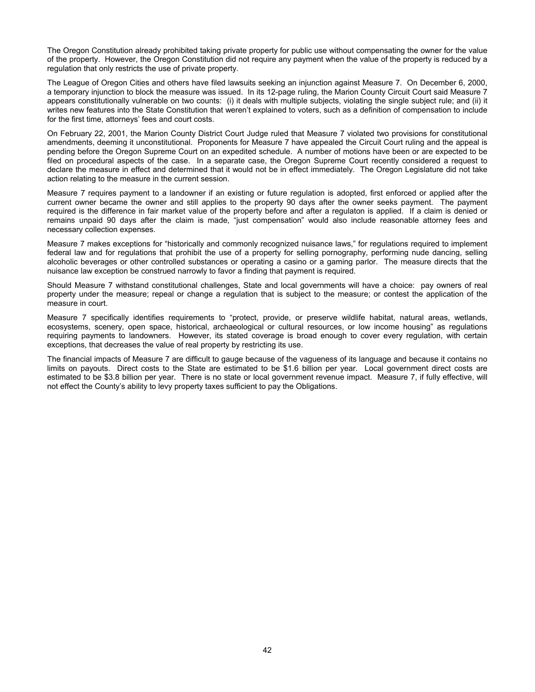The Oregon Constitution already prohibited taking private property for public use without compensating the owner for the value of the property. However, the Oregon Constitution did not require any payment when the value of the property is reduced by a regulation that only restricts the use of private property.

The League of Oregon Cities and others have filed lawsuits seeking an injunction against Measure 7. On December 6, 2000, a temporary injunction to block the measure was issued. In its 12-page ruling, the Marion County Circuit Court said Measure 7 appears constitutionally vulnerable on two counts: (i) it deals with multiple subjects, violating the single subject rule; and (ii) it writes new features into the State Constitution that weren't explained to voters, such as a definition of compensation to include for the first time, attorneys' fees and court costs.

On February 22, 2001, the Marion County District Court Judge ruled that Measure 7 violated two provisions for constitutional amendments, deeming it unconstitutional. Proponents for Measure 7 have appealed the Circuit Court ruling and the appeal is pending before the Oregon Supreme Court on an expedited schedule. A number of motions have been or are expected to be filed on procedural aspects of the case. In a separate case, the Oregon Supreme Court recently considered a request to declare the measure in effect and determined that it would not be in effect immediately. The Oregon Legislature did not take action relating to the measure in the current session.

Measure 7 requires payment to a landowner if an existing or future regulation is adopted, first enforced or applied after the current owner became the owner and still applies to the property 90 days after the owner seeks payment. The payment required is the difference in fair market value of the property before and after a regulaton is applied. If a claim is denied or remains unpaid 90 days after the claim is made, "just compensation" would also include reasonable attorney fees and necessary collection expenses.

Measure 7 makes exceptions for "historically and commonly recognized nuisance laws," for regulations required to implement federal law and for regulations that prohibit the use of a property for selling pornography, performing nude dancing, selling alcoholic beverages or other controlled substances or operating a casino or a gaming parlor. The measure directs that the nuisance law exception be construed narrowly to favor a finding that payment is required.

Should Measure 7 withstand constitutional challenges, State and local governments will have a choice: pay owners of real property under the measure; repeal or change a regulation that is subject to the measure; or contest the application of the measure in court.

Measure 7 specifically identifies requirements to "protect, provide, or preserve wildlife habitat, natural areas, wetlands, ecosystems, scenery, open space, historical, archaeological or cultural resources, or low income housing" as regulations requiring payments to landowners. However, its stated coverage is broad enough to cover every regulation, with certain exceptions, that decreases the value of real property by restricting its use.

The financial impacts of Measure 7 are difficult to gauge because of the vagueness of its language and because it contains no limits on payouts. Direct costs to the State are estimated to be \$1.6 billion per year. Local government direct costs are estimated to be \$3.8 billion per year. There is no state or local government revenue impact. Measure 7, if fully effective, will not effect the County's ability to levy property taxes sufficient to pay the Obligations.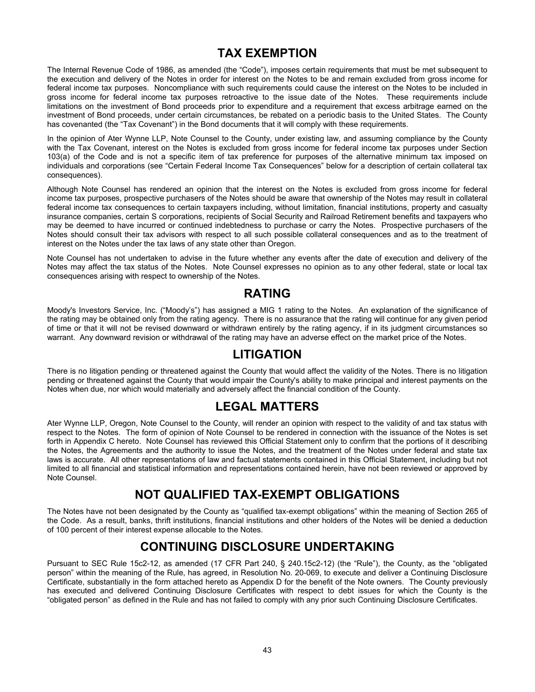## **TAX EXEMPTION**

<span id="page-45-0"></span>The Internal Revenue Code of 1986, as amended (the "Code"), imposes certain requirements that must be met subsequent to the execution and delivery of the Notes in order for interest on the Notes to be and remain excluded from gross income for federal income tax purposes. Noncompliance with such requirements could cause the interest on the Notes to be included in gross income for federal income tax purposes retroactive to the issue date of the Notes. These requirements include limitations on the investment of Bond proceeds prior to expenditure and a requirement that excess arbitrage earned on the investment of Bond proceeds, under certain circumstances, be rebated on a periodic basis to the United States. The County has covenanted (the "Tax Covenant") in the Bond documents that it will comply with these requirements.

In the opinion of Ater Wynne LLP, Note Counsel to the County, under existing law, and assuming compliance by the County with the Tax Covenant, interest on the Notes is excluded from gross income for federal income tax purposes under Section 103(a) of the Code and is not a specific item of tax preference for purposes of the alternative minimum tax imposed on individuals and corporations (see "Certain Federal Income Tax Consequences" below for a description of certain collateral tax consequences).

Although Note Counsel has rendered an opinion that the interest on the Notes is excluded from gross income for federal income tax purposes, prospective purchasers of the Notes should be aware that ownership of the Notes may result in collateral federal income tax consequences to certain taxpayers including, without limitation, financial institutions, property and casualty insurance companies, certain S corporations, recipients of Social Security and Railroad Retirement benefits and taxpayers who may be deemed to have incurred or continued indebtedness to purchase or carry the Notes. Prospective purchasers of the Notes should consult their tax advisors with respect to all such possible collateral consequences and as to the treatment of interest on the Notes under the tax laws of any state other than Oregon.

Note Counsel has not undertaken to advise in the future whether any events after the date of execution and delivery of the Notes may affect the tax status of the Notes. Note Counsel expresses no opinion as to any other federal, state or local tax consequences arising with respect to ownership of the Notes.

## **RATING**

Moody's Investors Service, Inc. ("Moody's") has assigned a MIG 1 rating to the Notes. An explanation of the significance of the rating may be obtained only from the rating agency. There is no assurance that the rating will continue for any given period of time or that it will not be revised downward or withdrawn entirely by the rating agency, if in its judgment circumstances so warrant. Any downward revision or withdrawal of the rating may have an adverse effect on the market price of the Notes.

## **LITIGATION**

There is no litigation pending or threatened against the County that would affect the validity of the Notes. There is no litigation pending or threatened against the County that would impair the County's ability to make principal and interest payments on the Notes when due, nor which would materially and adversely affect the financial condition of the County.

## **LEGAL MATTERS**

Ater Wynne LLP, Oregon, Note Counsel to the County, will render an opinion with respect to the validity of and tax status with respect to the Notes. The form of opinion of Note Counsel to be rendered in connection with the issuance of the Notes is set forth in Appendix C hereto. Note Counsel has reviewed this Official Statement only to confirm that the portions of it describing the Notes, the Agreements and the authority to issue the Notes, and the treatment of the Notes under federal and state tax laws is accurate. All other representations of law and factual statements contained in this Official Statement, including but not limited to all financial and statistical information and representations contained herein, have not been reviewed or approved by Note Counsel.

## **NOT QUALIFIED TAX-EXEMPT OBLIGATIONS**

The Notes have not been designated by the County as "qualified tax-exempt obligations" within the meaning of Section 265 of the Code. As a result, banks, thrift institutions, financial institutions and other holders of the Notes will be denied a deduction of 100 percent of their interest expense allocable to the Notes.

## **CONTINUING DISCLOSURE UNDERTAKING**

Pursuant to SEC Rule 15c2-12, as amended (17 CFR Part 240, § 240.15c2-12) (the "Rule"), the County, as the "obligated person" within the meaning of the Rule, has agreed, in Resolution No. 20-069, to execute and deliver a Continuing Disclosure Certificate, substantially in the form attached hereto as Appendix D for the benefit of the Note owners. The County previously has executed and delivered Continuing Disclosure Certificates with respect to debt issues for which the County is the "obligated person" as defined in the Rule and has not failed to comply with any prior such Continuing Disclosure Certificates.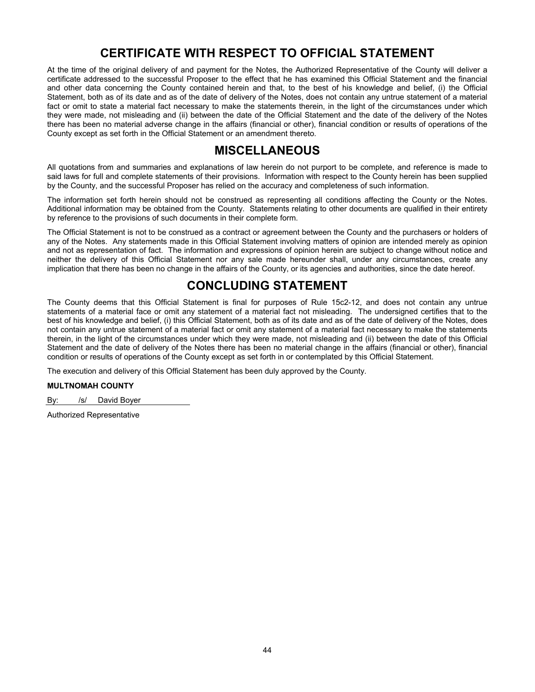## **CERTIFICATE WITH RESPECT TO OFFICIAL STATEMENT**

<span id="page-46-0"></span>At the time of the original delivery of and payment for the Notes, the Authorized Representative of the County will deliver a certificate addressed to the successful Proposer to the effect that he has examined this Official Statement and the financial and other data concerning the County contained herein and that, to the best of his knowledge and belief, (i) the Official Statement, both as of its date and as of the date of delivery of the Notes, does not contain any untrue statement of a material fact or omit to state a material fact necessary to make the statements therein, in the light of the circumstances under which they were made, not misleading and (ii) between the date of the Official Statement and the date of the delivery of the Notes there has been no material adverse change in the affairs (financial or other), financial condition or results of operations of the County except as set forth in the Official Statement or an amendment thereto.

## **MISCELLANEOUS**

All quotations from and summaries and explanations of law herein do not purport to be complete, and reference is made to said laws for full and complete statements of their provisions. Information with respect to the County herein has been supplied by the County, and the successful Proposer has relied on the accuracy and completeness of such information.

The information set forth herein should not be construed as representing all conditions affecting the County or the Notes. Additional information may be obtained from the County. Statements relating to other documents are qualified in their entirety by reference to the provisions of such documents in their complete form.

The Official Statement is not to be construed as a contract or agreement between the County and the purchasers or holders of any of the Notes. Any statements made in this Official Statement involving matters of opinion are intended merely as opinion and not as representation of fact. The information and expressions of opinion herein are subject to change without notice and neither the delivery of this Official Statement nor any sale made hereunder shall, under any circumstances, create any implication that there has been no change in the affairs of the County, or its agencies and authorities, since the date hereof.

## **CONCLUDING STATEMENT**

The County deems that this Official Statement is final for purposes of Rule 15c2-12, and does not contain any untrue statements of a material face or omit any statement of a material fact not misleading. The undersigned certifies that to the best of his knowledge and belief, (i) this Official Statement, both as of its date and as of the date of delivery of the Notes, does not contain any untrue statement of a material fact or omit any statement of a material fact necessary to make the statements therein, in the light of the circumstances under which they were made, not misleading and (ii) between the date of this Official Statement and the date of delivery of the Notes there has been no material change in the affairs (financial or other), financial condition or results of operations of the County except as set forth in or contemplated by this Official Statement.

The execution and delivery of this Official Statement has been duly approved by the County.

### **MULTNOMAH COUNTY**

By: /s/ David Boyer

Authorized Representative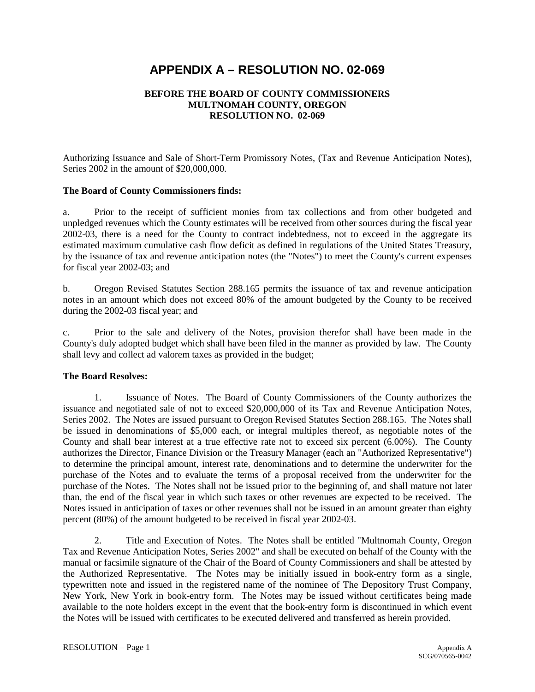## <span id="page-47-0"></span>**APPENDIX A – RESOLUTION NO. 02-069**

### **BEFORE THE BOARD OF COUNTY COMMISSIONERS MULTNOMAH COUNTY, OREGON RESOLUTION NO. 02-069**

Authorizing Issuance and Sale of Short-Term Promissory Notes, (Tax and Revenue Anticipation Notes), Series 2002 in the amount of \$20,000,000.

### **The Board of County Commissioners finds:**

a. Prior to the receipt of sufficient monies from tax collections and from other budgeted and unpledged revenues which the County estimates will be received from other sources during the fiscal year 2002-03, there is a need for the County to contract indebtedness, not to exceed in the aggregate its estimated maximum cumulative cash flow deficit as defined in regulations of the United States Treasury, by the issuance of tax and revenue anticipation notes (the "Notes") to meet the County's current expenses for fiscal year 2002-03; and

b. Oregon Revised Statutes Section 288.165 permits the issuance of tax and revenue anticipation notes in an amount which does not exceed 80% of the amount budgeted by the County to be received during the 2002-03 fiscal year; and

c. Prior to the sale and delivery of the Notes, provision therefor shall have been made in the County's duly adopted budget which shall have been filed in the manner as provided by law. The County shall levy and collect ad valorem taxes as provided in the budget;

### **The Board Resolves:**

1. Issuance of Notes. The Board of County Commissioners of the County authorizes the issuance and negotiated sale of not to exceed \$20,000,000 of its Tax and Revenue Anticipation Notes, Series 2002. The Notes are issued pursuant to Oregon Revised Statutes Section 288.165. The Notes shall be issued in denominations of \$5,000 each, or integral multiples thereof, as negotiable notes of the County and shall bear interest at a true effective rate not to exceed six percent (6.00%). The County authorizes the Director, Finance Division or the Treasury Manager (each an "Authorized Representative") to determine the principal amount, interest rate, denominations and to determine the underwriter for the purchase of the Notes and to evaluate the terms of a proposal received from the underwriter for the purchase of the Notes. The Notes shall not be issued prior to the beginning of, and shall mature not later than, the end of the fiscal year in which such taxes or other revenues are expected to be received. The Notes issued in anticipation of taxes or other revenues shall not be issued in an amount greater than eighty percent (80%) of the amount budgeted to be received in fiscal year 2002-03.

2. Title and Execution of Notes. The Notes shall be entitled "Multnomah County, Oregon Tax and Revenue Anticipation Notes, Series 2002" and shall be executed on behalf of the County with the manual or facsimile signature of the Chair of the Board of County Commissioners and shall be attested by the Authorized Representative. The Notes may be initially issued in book-entry form as a single, typewritten note and issued in the registered name of the nominee of The Depository Trust Company, New York, New York in book-entry form. The Notes may be issued without certificates being made available to the note holders except in the event that the book-entry form is discontinued in which event the Notes will be issued with certificates to be executed delivered and transferred as herein provided.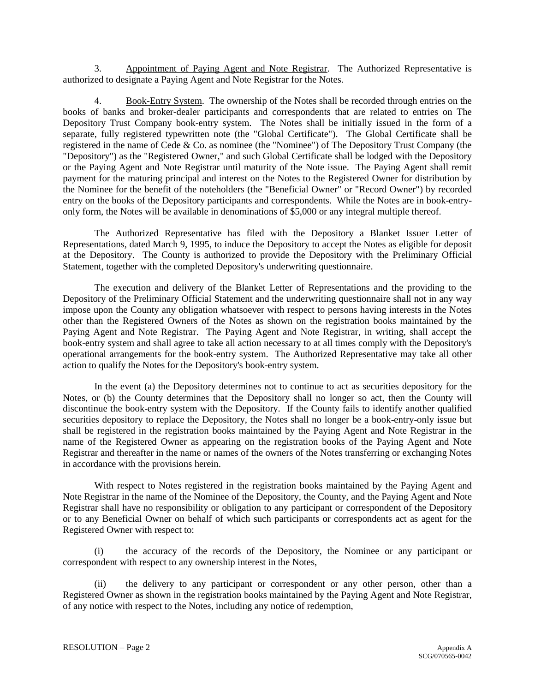3. Appointment of Paying Agent and Note Registrar. The Authorized Representative is authorized to designate a Paying Agent and Note Registrar for the Notes.

4. Book-Entry System. The ownership of the Notes shall be recorded through entries on the books of banks and broker-dealer participants and correspondents that are related to entries on The Depository Trust Company book-entry system. The Notes shall be initially issued in the form of a separate, fully registered typewritten note (the "Global Certificate"). The Global Certificate shall be registered in the name of Cede & Co. as nominee (the "Nominee") of The Depository Trust Company (the "Depository") as the "Registered Owner," and such Global Certificate shall be lodged with the Depository or the Paying Agent and Note Registrar until maturity of the Note issue. The Paying Agent shall remit payment for the maturing principal and interest on the Notes to the Registered Owner for distribution by the Nominee for the benefit of the noteholders (the "Beneficial Owner" or "Record Owner") by recorded entry on the books of the Depository participants and correspondents. While the Notes are in book-entryonly form, the Notes will be available in denominations of \$5,000 or any integral multiple thereof.

The Authorized Representative has filed with the Depository a Blanket Issuer Letter of Representations, dated March 9, 1995, to induce the Depository to accept the Notes as eligible for deposit at the Depository. The County is authorized to provide the Depository with the Preliminary Official Statement, together with the completed Depository's underwriting questionnaire.

The execution and delivery of the Blanket Letter of Representations and the providing to the Depository of the Preliminary Official Statement and the underwriting questionnaire shall not in any way impose upon the County any obligation whatsoever with respect to persons having interests in the Notes other than the Registered Owners of the Notes as shown on the registration books maintained by the Paying Agent and Note Registrar. The Paying Agent and Note Registrar, in writing, shall accept the book-entry system and shall agree to take all action necessary to at all times comply with the Depository's operational arrangements for the book-entry system. The Authorized Representative may take all other action to qualify the Notes for the Depository's book-entry system.

In the event (a) the Depository determines not to continue to act as securities depository for the Notes, or (b) the County determines that the Depository shall no longer so act, then the County will discontinue the book-entry system with the Depository. If the County fails to identify another qualified securities depository to replace the Depository, the Notes shall no longer be a book-entry-only issue but shall be registered in the registration books maintained by the Paying Agent and Note Registrar in the name of the Registered Owner as appearing on the registration books of the Paying Agent and Note Registrar and thereafter in the name or names of the owners of the Notes transferring or exchanging Notes in accordance with the provisions herein.

With respect to Notes registered in the registration books maintained by the Paying Agent and Note Registrar in the name of the Nominee of the Depository, the County, and the Paying Agent and Note Registrar shall have no responsibility or obligation to any participant or correspondent of the Depository or to any Beneficial Owner on behalf of which such participants or correspondents act as agent for the Registered Owner with respect to:

(i) the accuracy of the records of the Depository, the Nominee or any participant or correspondent with respect to any ownership interest in the Notes,

(ii) the delivery to any participant or correspondent or any other person, other than a Registered Owner as shown in the registration books maintained by the Paying Agent and Note Registrar, of any notice with respect to the Notes, including any notice of redemption,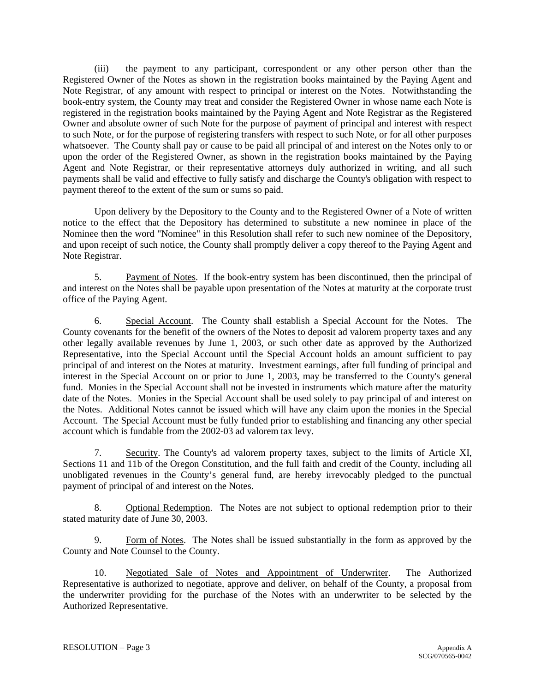(iii) the payment to any participant, correspondent or any other person other than the Registered Owner of the Notes as shown in the registration books maintained by the Paying Agent and Note Registrar, of any amount with respect to principal or interest on the Notes. Notwithstanding the book-entry system, the County may treat and consider the Registered Owner in whose name each Note is registered in the registration books maintained by the Paying Agent and Note Registrar as the Registered Owner and absolute owner of such Note for the purpose of payment of principal and interest with respect to such Note, or for the purpose of registering transfers with respect to such Note, or for all other purposes whatsoever. The County shall pay or cause to be paid all principal of and interest on the Notes only to or upon the order of the Registered Owner, as shown in the registration books maintained by the Paying Agent and Note Registrar, or their representative attorneys duly authorized in writing, and all such payments shall be valid and effective to fully satisfy and discharge the County's obligation with respect to payment thereof to the extent of the sum or sums so paid.

Upon delivery by the Depository to the County and to the Registered Owner of a Note of written notice to the effect that the Depository has determined to substitute a new nominee in place of the Nominee then the word "Nominee" in this Resolution shall refer to such new nominee of the Depository, and upon receipt of such notice, the County shall promptly deliver a copy thereof to the Paying Agent and Note Registrar.

5. Payment of Notes. If the book-entry system has been discontinued, then the principal of and interest on the Notes shall be payable upon presentation of the Notes at maturity at the corporate trust office of the Paying Agent.

6. Special Account. The County shall establish a Special Account for the Notes. The County covenants for the benefit of the owners of the Notes to deposit ad valorem property taxes and any other legally available revenues by June 1, 2003, or such other date as approved by the Authorized Representative, into the Special Account until the Special Account holds an amount sufficient to pay principal of and interest on the Notes at maturity. Investment earnings, after full funding of principal and interest in the Special Account on or prior to June 1, 2003, may be transferred to the County's general fund. Monies in the Special Account shall not be invested in instruments which mature after the maturity date of the Notes. Monies in the Special Account shall be used solely to pay principal of and interest on the Notes. Additional Notes cannot be issued which will have any claim upon the monies in the Special Account. The Special Account must be fully funded prior to establishing and financing any other special account which is fundable from the 2002-03 ad valorem tax levy.

7. Security. The County's ad valorem property taxes, subject to the limits of Article XI, Sections 11 and 11b of the Oregon Constitution, and the full faith and credit of the County, including all unobligated revenues in the County's general fund, are hereby irrevocably pledged to the punctual payment of principal of and interest on the Notes.

8. Optional Redemption. The Notes are not subject to optional redemption prior to their stated maturity date of June 30, 2003.

9. Form of Notes. The Notes shall be issued substantially in the form as approved by the County and Note Counsel to the County.

10. Negotiated Sale of Notes and Appointment of Underwriter. The Authorized Representative is authorized to negotiate, approve and deliver, on behalf of the County, a proposal from the underwriter providing for the purchase of the Notes with an underwriter to be selected by the Authorized Representative.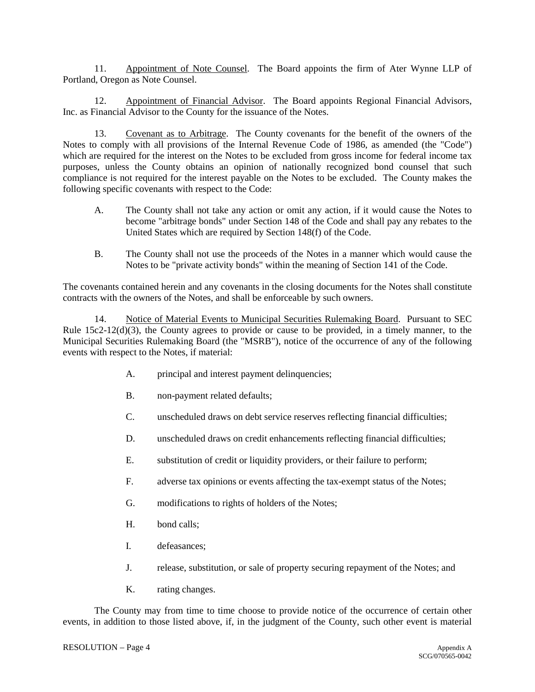11. Appointment of Note Counsel. The Board appoints the firm of Ater Wynne LLP of Portland, Oregon as Note Counsel.

12. Appointment of Financial Advisor. The Board appoints Regional Financial Advisors, Inc. as Financial Advisor to the County for the issuance of the Notes.

13. Covenant as to Arbitrage. The County covenants for the benefit of the owners of the Notes to comply with all provisions of the Internal Revenue Code of 1986, as amended (the "Code") which are required for the interest on the Notes to be excluded from gross income for federal income tax purposes, unless the County obtains an opinion of nationally recognized bond counsel that such compliance is not required for the interest payable on the Notes to be excluded. The County makes the following specific covenants with respect to the Code:

- A. The County shall not take any action or omit any action, if it would cause the Notes to become "arbitrage bonds" under Section 148 of the Code and shall pay any rebates to the United States which are required by Section 148(f) of the Code.
- B. The County shall not use the proceeds of the Notes in a manner which would cause the Notes to be "private activity bonds" within the meaning of Section 141 of the Code.

The covenants contained herein and any covenants in the closing documents for the Notes shall constitute contracts with the owners of the Notes, and shall be enforceable by such owners.

14. Notice of Material Events to Municipal Securities Rulemaking Board. Pursuant to SEC Rule 15c2-12(d)(3), the County agrees to provide or cause to be provided, in a timely manner, to the Municipal Securities Rulemaking Board (the "MSRB"), notice of the occurrence of any of the following events with respect to the Notes, if material:

- A. principal and interest payment delinquencies;
- B. non-payment related defaults;
- C. unscheduled draws on debt service reserves reflecting financial difficulties;
- D. unscheduled draws on credit enhancements reflecting financial difficulties;
- E. substitution of credit or liquidity providers, or their failure to perform;
- F. adverse tax opinions or events affecting the tax-exempt status of the Notes;
- G. modifications to rights of holders of the Notes;
- H. bond calls;
- I. defeasances;
- J. release, substitution, or sale of property securing repayment of the Notes; and
- K. rating changes.

The County may from time to time choose to provide notice of the occurrence of certain other events, in addition to those listed above, if, in the judgment of the County, such other event is material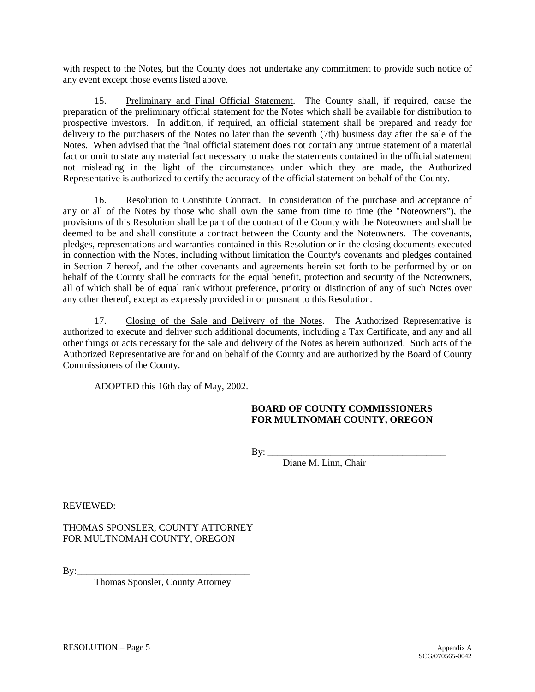with respect to the Notes, but the County does not undertake any commitment to provide such notice of any event except those events listed above.

15. Preliminary and Final Official Statement. The County shall, if required, cause the preparation of the preliminary official statement for the Notes which shall be available for distribution to prospective investors. In addition, if required, an official statement shall be prepared and ready for delivery to the purchasers of the Notes no later than the seventh (7th) business day after the sale of the Notes. When advised that the final official statement does not contain any untrue statement of a material fact or omit to state any material fact necessary to make the statements contained in the official statement not misleading in the light of the circumstances under which they are made, the Authorized Representative is authorized to certify the accuracy of the official statement on behalf of the County.

16. Resolution to Constitute Contract. In consideration of the purchase and acceptance of any or all of the Notes by those who shall own the same from time to time (the "Noteowners"), the provisions of this Resolution shall be part of the contract of the County with the Noteowners and shall be deemed to be and shall constitute a contract between the County and the Noteowners. The covenants, pledges, representations and warranties contained in this Resolution or in the closing documents executed in connection with the Notes, including without limitation the County's covenants and pledges contained in Section 7 hereof, and the other covenants and agreements herein set forth to be performed by or on behalf of the County shall be contracts for the equal benefit, protection and security of the Noteowners, all of which shall be of equal rank without preference, priority or distinction of any of such Notes over any other thereof, except as expressly provided in or pursuant to this Resolution.

17. Closing of the Sale and Delivery of the Notes. The Authorized Representative is authorized to execute and deliver such additional documents, including a Tax Certificate, and any and all other things or acts necessary for the sale and delivery of the Notes as herein authorized. Such acts of the Authorized Representative are for and on behalf of the County and are authorized by the Board of County Commissioners of the County.

ADOPTED this 16th day of May, 2002.

### **BOARD OF COUNTY COMMISSIONERS FOR MULTNOMAH COUNTY, OREGON**

 $\text{By:}\_$ 

Diane M. Linn, Chair

REVIEWED:

THOMAS SPONSLER, COUNTY ATTORNEY FOR MULTNOMAH COUNTY, OREGON

By:\_\_\_\_\_\_\_\_\_\_\_\_\_\_\_\_\_\_\_\_\_\_\_\_\_\_\_\_\_\_\_\_\_\_\_\_

Thomas Sponsler, County Attorney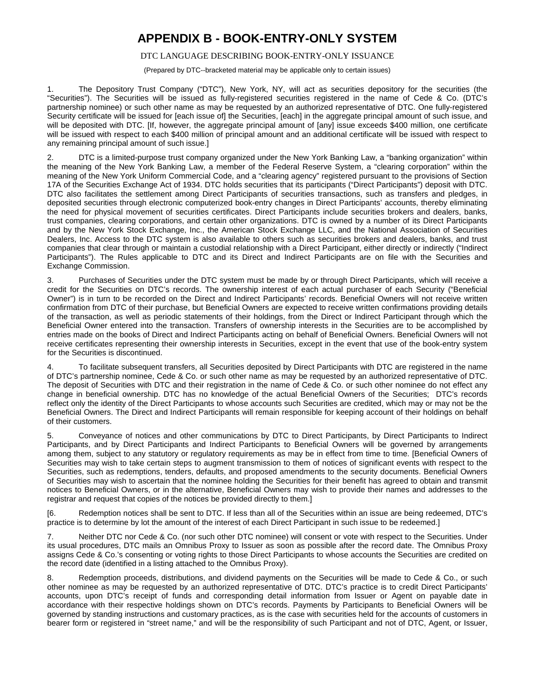## **APPENDIX B - BOOK-ENTRY-ONLY SYSTEM**

### DTC LANGUAGE DESCRIBING BOOK-ENTRY-ONLY ISSUANCE

(Prepared by DTC--bracketed material may be applicable only to certain issues)

<span id="page-52-0"></span>1. The Depository Trust Company ("DTC"), New York, NY, will act as securities depository for the securities (the "Securities"). The Securities will be issued as fully-registered securities registered in the name of Cede & Co. (DTC's partnership nominee) or such other name as may be requested by an authorized representative of DTC. One fully-registered Security certificate will be issued for [each issue of] the Securities, [each] in the aggregate principal amount of such issue, and will be deposited with DTC. [If, however, the aggregate principal amount of [any] issue exceeds \$400 million, one certificate will be issued with respect to each \$400 million of principal amount and an additional certificate will be issued with respect to any remaining principal amount of such issue.]

2. DTC is a limited-purpose trust company organized under the New York Banking Law, a "banking organization" within the meaning of the New York Banking Law, a member of the Federal Reserve System, a "clearing corporation" within the meaning of the New York Uniform Commercial Code, and a "clearing agency" registered pursuant to the provisions of Section 17A of the Securities Exchange Act of 1934. DTC holds securities that its participants ("Direct Participants") deposit with DTC. DTC also facilitates the settlement among Direct Participants of securities transactions, such as transfers and pledges, in deposited securities through electronic computerized book-entry changes in Direct Participants' accounts, thereby eliminating the need for physical movement of securities certificates. Direct Participants include securities brokers and dealers, banks, trust companies, clearing corporations, and certain other organizations. DTC is owned by a number of its Direct Participants and by the New York Stock Exchange, Inc., the American Stock Exchange LLC, and the National Association of Securities Dealers, Inc. Access to the DTC system is also available to others such as securities brokers and dealers, banks, and trust companies that clear through or maintain a custodial relationship with a Direct Participant, either directly or indirectly ("Indirect Participants"). The Rules applicable to DTC and its Direct and Indirect Participants are on file with the Securities and Exchange Commission.

3. Purchases of Securities under the DTC system must be made by or through Direct Participants, which will receive a credit for the Securities on DTC's records. The ownership interest of each actual purchaser of each Security ("Beneficial Owner") is in turn to be recorded on the Direct and Indirect Participants' records. Beneficial Owners will not receive written confirmation from DTC of their purchase, but Beneficial Owners are expected to receive written confirmations providing details of the transaction, as well as periodic statements of their holdings, from the Direct or Indirect Participant through which the Beneficial Owner entered into the transaction. Transfers of ownership interests in the Securities are to be accomplished by entries made on the books of Direct and Indirect Participants acting on behalf of Beneficial Owners. Beneficial Owners will not receive certificates representing their ownership interests in Securities, except in the event that use of the book-entry system for the Securities is discontinued.

4. To facilitate subsequent transfers, all Securities deposited by Direct Participants with DTC are registered in the name of DTC's partnership nominee, Cede & Co. or such other name as may be requested by an authorized representative of DTC. The deposit of Securities with DTC and their registration in the name of Cede & Co. or such other nominee do not effect any change in beneficial ownership. DTC has no knowledge of the actual Beneficial Owners of the Securities; DTC's records reflect only the identity of the Direct Participants to whose accounts such Securities are credited, which may or may not be the Beneficial Owners. The Direct and Indirect Participants will remain responsible for keeping account of their holdings on behalf of their customers.

5. Conveyance of notices and other communications by DTC to Direct Participants, by Direct Participants to Indirect Participants, and by Direct Participants and Indirect Participants to Beneficial Owners will be governed by arrangements among them, subject to any statutory or regulatory requirements as may be in effect from time to time. [Beneficial Owners of Securities may wish to take certain steps to augment transmission to them of notices of significant events with respect to the Securities, such as redemptions, tenders, defaults, and proposed amendments to the security documents. Beneficial Owners of Securities may wish to ascertain that the nominee holding the Securities for their benefit has agreed to obtain and transmit notices to Beneficial Owners, or in the alternative, Beneficial Owners may wish to provide their names and addresses to the registrar and request that copies of the notices be provided directly to them.]

[6. Redemption notices shall be sent to DTC. If less than all of the Securities within an issue are being redeemed, DTC's practice is to determine by lot the amount of the interest of each Direct Participant in such issue to be redeemed.]

7. Neither DTC nor Cede & Co. (nor such other DTC nominee) will consent or vote with respect to the Securities. Under its usual procedures, DTC mails an Omnibus Proxy to Issuer as soon as possible after the record date. The Omnibus Proxy assigns Cede & Co.'s consenting or voting rights to those Direct Participants to whose accounts the Securities are credited on the record date (identified in a listing attached to the Omnibus Proxy).

8. Redemption proceeds, distributions, and dividend payments on the Securities will be made to Cede & Co., or such other nominee as may be requested by an authorized representative of DTC. DTC's practice is to credit Direct Participants' accounts, upon DTC's receipt of funds and corresponding detail information from Issuer or Agent on payable date in accordance with their respective holdings shown on DTC's records. Payments by Participants to Beneficial Owners will be governed by standing instructions and customary practices, as is the case with securities held for the accounts of customers in bearer form or registered in "street name," and will be the responsibility of such Participant and not of DTC, Agent, or Issuer,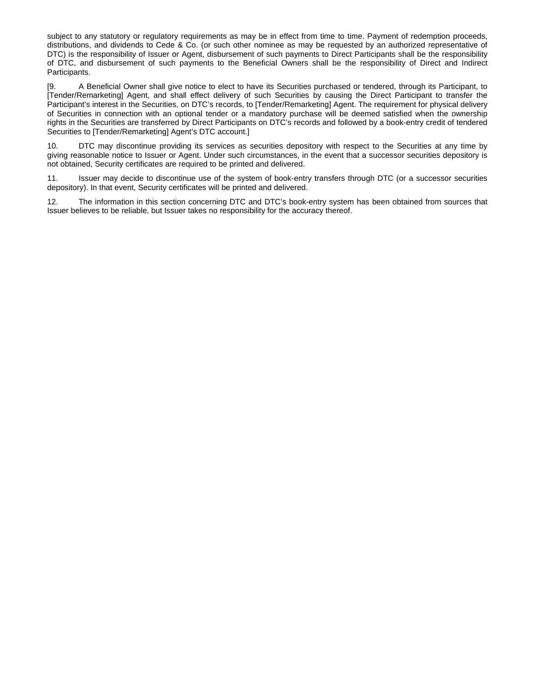subject to any statutory or regulatory requirements as may be in effect from time to time. Payment of redemption proceeds, distributions, and dividends to Cede & Co. (or such other nominee as may be requested by an authorized representative of DTC) is the responsibility of Issuer or Agent, disbursement of such payments to Direct Participants shall be the responsibility of DTC, and disbursement of such payments to the Beneficial Owners shall be the responsibility of Direct and Indirect Participants.

[9. A Beneficial Owner shall give notice to elect to have its Securities purchased or tendered, through its Participant, to [Tender/Remarketing] Agent, and shall effect delivery of such Securities by causing the Direct Participant to transfer the Participant's interest in the Securities, on DTC's records, to [Tender/Remarketing] Agent. The requirement for physical delivery of Securities in connection with an optional tender or a mandatory purchase will be deemed satisfied when the ownership rights in the Securities are transferred by Direct Participants on DTC's records and followed by a book-entry credit of tendered Securities to [Tender/Remarketing] Agent's DTC account.]

10. DTC may discontinue providing its services as securities depository with respect to the Securities at any time by giving reasonable notice to Issuer or Agent. Under such circumstances, in the event that a successor securities depository is not obtained, Security certificates are required to be printed and delivered.

11. Issuer may decide to discontinue use of the system of book-entry transfers through DTC (or a successor securities depository). In that event, Security certificates will be printed and delivered.

12. The information in this section concerning DTC and DTC's book-entry system has been obtained from sources that Issuer believes to be reliable, but Issuer takes no responsibility for the accuracy thereof.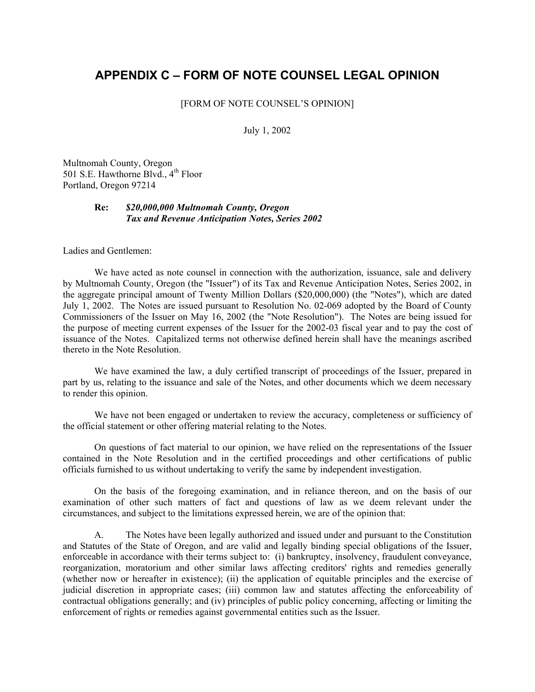## <span id="page-54-0"></span>**APPENDIX C – FORM OF NOTE COUNSEL LEGAL OPINION**

### [FORM OF NOTE COUNSEL'S OPINION]

July 1, 2002

Multnomah County, Oregon 501 S.E. Hawthorne Blvd., 4<sup>th</sup> Floor Portland, Oregon 97214

### **Re:** *\$20,000,000 Multnomah County, Oregon Tax and Revenue Anticipation Notes, Series 2002*

Ladies and Gentlemen:

We have acted as note counsel in connection with the authorization, issuance, sale and delivery by Multnomah County, Oregon (the "Issuer") of its Tax and Revenue Anticipation Notes, Series 2002, in the aggregate principal amount of Twenty Million Dollars (\$20,000,000) (the "Notes"), which are dated July 1, 2002. The Notes are issued pursuant to Resolution No. 02-069 adopted by the Board of County Commissioners of the Issuer on May 16, 2002 (the "Note Resolution"). The Notes are being issued for the purpose of meeting current expenses of the Issuer for the 2002-03 fiscal year and to pay the cost of issuance of the Notes. Capitalized terms not otherwise defined herein shall have the meanings ascribed thereto in the Note Resolution.

We have examined the law, a duly certified transcript of proceedings of the Issuer, prepared in part by us, relating to the issuance and sale of the Notes, and other documents which we deem necessary to render this opinion.

We have not been engaged or undertaken to review the accuracy, completeness or sufficiency of the official statement or other offering material relating to the Notes.

On questions of fact material to our opinion, we have relied on the representations of the Issuer contained in the Note Resolution and in the certified proceedings and other certifications of public officials furnished to us without undertaking to verify the same by independent investigation.

On the basis of the foregoing examination, and in reliance thereon, and on the basis of our examination of other such matters of fact and questions of law as we deem relevant under the circumstances, and subject to the limitations expressed herein, we are of the opinion that:

A. The Notes have been legally authorized and issued under and pursuant to the Constitution and Statutes of the State of Oregon, and are valid and legally binding special obligations of the Issuer, enforceable in accordance with their terms subject to: (i) bankruptcy, insolvency, fraudulent conveyance, reorganization, moratorium and other similar laws affecting creditors' rights and remedies generally (whether now or hereafter in existence); (ii) the application of equitable principles and the exercise of judicial discretion in appropriate cases; (iii) common law and statutes affecting the enforceability of contractual obligations generally; and (iv) principles of public policy concerning, affecting or limiting the enforcement of rights or remedies against governmental entities such as the Issuer.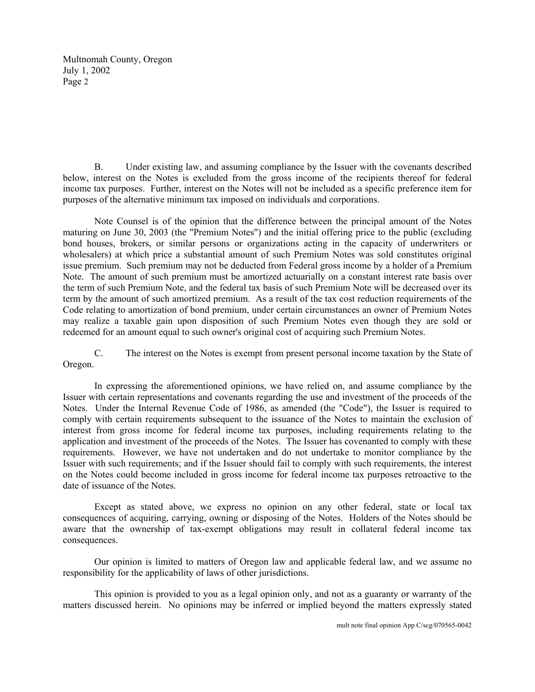Multnomah County, Oregon July 1, 2002 Page 2

B. Under existing law, and assuming compliance by the Issuer with the covenants described below, interest on the Notes is excluded from the gross income of the recipients thereof for federal income tax purposes. Further, interest on the Notes will not be included as a specific preference item for purposes of the alternative minimum tax imposed on individuals and corporations.

Note Counsel is of the opinion that the difference between the principal amount of the Notes maturing on June 30, 2003 (the "Premium Notes") and the initial offering price to the public (excluding bond houses, brokers, or similar persons or organizations acting in the capacity of underwriters or wholesalers) at which price a substantial amount of such Premium Notes was sold constitutes original issue premium. Such premium may not be deducted from Federal gross income by a holder of a Premium Note. The amount of such premium must be amortized actuarially on a constant interest rate basis over the term of such Premium Note, and the federal tax basis of such Premium Note will be decreased over its term by the amount of such amortized premium. As a result of the tax cost reduction requirements of the Code relating to amortization of bond premium, under certain circumstances an owner of Premium Notes may realize a taxable gain upon disposition of such Premium Notes even though they are sold or redeemed for an amount equal to such owner's original cost of acquiring such Premium Notes.

C. The interest on the Notes is exempt from present personal income taxation by the State of Oregon.

In expressing the aforementioned opinions, we have relied on, and assume compliance by the Issuer with certain representations and covenants regarding the use and investment of the proceeds of the Notes. Under the Internal Revenue Code of 1986, as amended (the "Code"), the Issuer is required to comply with certain requirements subsequent to the issuance of the Notes to maintain the exclusion of interest from gross income for federal income tax purposes, including requirements relating to the application and investment of the proceeds of the Notes. The Issuer has covenanted to comply with these requirements. However, we have not undertaken and do not undertake to monitor compliance by the Issuer with such requirements; and if the Issuer should fail to comply with such requirements, the interest on the Notes could become included in gross income for federal income tax purposes retroactive to the date of issuance of the Notes.

Except as stated above, we express no opinion on any other federal, state or local tax consequences of acquiring, carrying, owning or disposing of the Notes. Holders of the Notes should be aware that the ownership of tax-exempt obligations may result in collateral federal income tax consequences.

Our opinion is limited to matters of Oregon law and applicable federal law, and we assume no responsibility for the applicability of laws of other jurisdictions.

This opinion is provided to you as a legal opinion only, and not as a guaranty or warranty of the matters discussed herein. No opinions may be inferred or implied beyond the matters expressly stated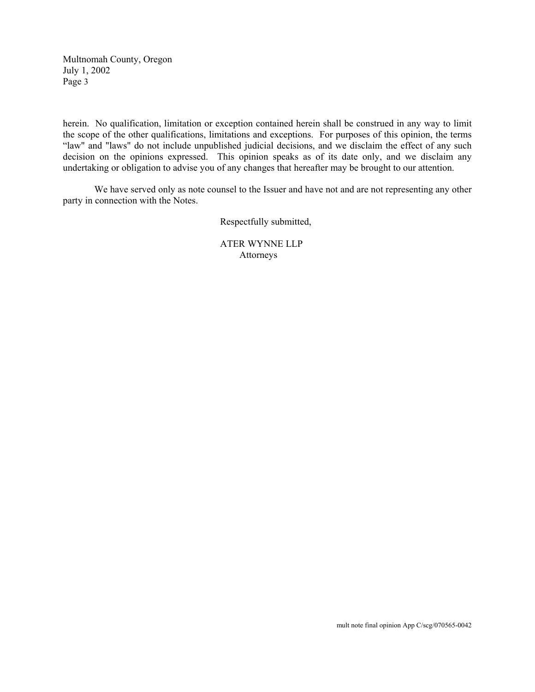Multnomah County, Oregon July 1, 2002 Page 3

herein. No qualification, limitation or exception contained herein shall be construed in any way to limit the scope of the other qualifications, limitations and exceptions. For purposes of this opinion, the terms "law" and "laws" do not include unpublished judicial decisions, and we disclaim the effect of any such decision on the opinions expressed. This opinion speaks as of its date only, and we disclaim any undertaking or obligation to advise you of any changes that hereafter may be brought to our attention.

We have served only as note counsel to the Issuer and have not and are not representing any other party in connection with the Notes.

Respectfully submitted,

 ATER WYNNE LLP Attorneys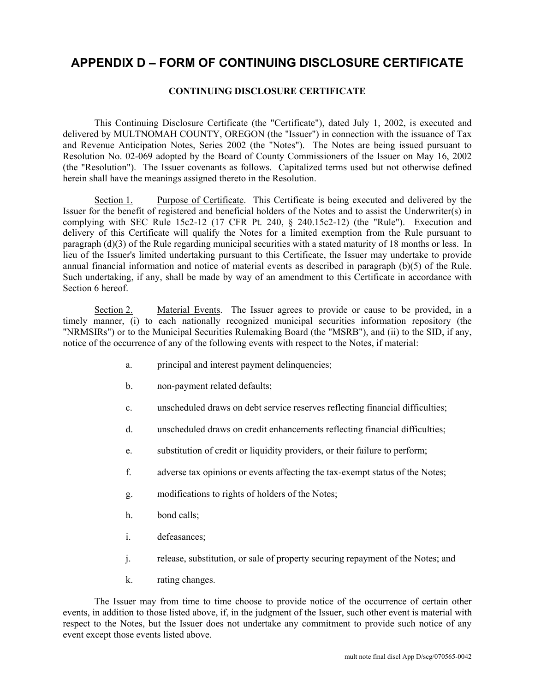## **APPENDIX D – FORM OF CONTINUING DISCLOSURE CERTIFICATE**

### **CONTINUING DISCLOSURE CERTIFICATE**

This Continuing Disclosure Certificate (the "Certificate"), dated July 1, 2002, is executed and delivered by MULTNOMAH COUNTY, OREGON (the "Issuer") in connection with the issuance of Tax and Revenue Anticipation Notes, Series 2002 (the "Notes"). The Notes are being issued pursuant to Resolution No. 02-069 adopted by the Board of County Commissioners of the Issuer on May 16, 2002 (the "Resolution"). The Issuer covenants as follows. Capitalized terms used but not otherwise defined herein shall have the meanings assigned thereto in the Resolution.

Section 1. Purpose of Certificate. This Certificate is being executed and delivered by the Issuer for the benefit of registered and beneficial holders of the Notes and to assist the Underwriter(s) in complying with SEC Rule 15c2-12 (17 CFR Pt. 240, § 240.15c2-12) (the "Rule"). Execution and delivery of this Certificate will qualify the Notes for a limited exemption from the Rule pursuant to paragraph (d)(3) of the Rule regarding municipal securities with a stated maturity of 18 months or less. In lieu of the Issuer's limited undertaking pursuant to this Certificate, the Issuer may undertake to provide annual financial information and notice of material events as described in paragraph (b)(5) of the Rule. Such undertaking, if any, shall be made by way of an amendment to this Certificate in accordance with Section 6 hereof.

Section 2. Material Events. The Issuer agrees to provide or cause to be provided, in a timely manner, (i) to each nationally recognized municipal securities information repository (the "NRMSIRs") or to the Municipal Securities Rulemaking Board (the "MSRB"), and (ii) to the SID, if any, notice of the occurrence of any of the following events with respect to the Notes, if material:

- a. principal and interest payment delinquencies;
- b. non-payment related defaults;
- c. unscheduled draws on debt service reserves reflecting financial difficulties;
- d. unscheduled draws on credit enhancements reflecting financial difficulties;
- e. substitution of credit or liquidity providers, or their failure to perform;
- f. adverse tax opinions or events affecting the tax-exempt status of the Notes;
- g. modifications to rights of holders of the Notes;
- h. bond calls;
- i. defeasances;
- j. release, substitution, or sale of property securing repayment of the Notes; and
- k. rating changes.

The Issuer may from time to time choose to provide notice of the occurrence of certain other events, in addition to those listed above, if, in the judgment of the Issuer, such other event is material with respect to the Notes, but the Issuer does not undertake any commitment to provide such notice of any event except those events listed above.